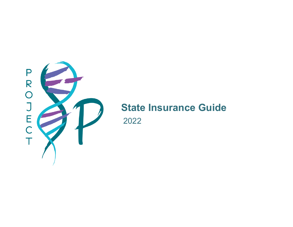

# **State Insurance Guide**

2022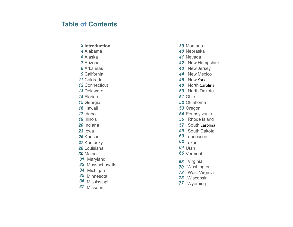### **Table of Contents**

- 
- 
- 
- 
- 
- 
- 
- 
- 
- Florida *51* Ohio
- 
- 
- 
- 
- 
- 
- 
- Kentucky *62* Texas
- Louisiana
- 
- 31 Maryland
- Massachusetts
- 34 Michigan
- 35 Minnesota
- Mississippi
- 37 Missouri
- 
- 
- 
- 3 Introduction<br>
3 Montana<br>
4 Alabama<br>
5 Alaska<br>
5 Alaska<br>
4 Alabama<br>
4 Alabama<br>
4 Alex Mexica<br>
4 Alex Mexica<br>
4 Alex Mexica<br>
4 Alex Mexica<br>
4 Alex Mexica<br>
4 Alex Mexica<br>
4 Alex Mexica<br>
4 Alex Mexica<br>
4 Alex Mexica<br>
4 Alex
	-
	-
- Colorado *46* New York
	- North Carolina
- Delaware *50* North Dakota
	-
- Georgia *52* Oklahoma
- Hawaii *53* Oregon
- Idaho *54* Pennsylvania
- Illinois *56* Rhode Island
- Indiana *57* South Carolina
- Iowa *59* South Dakota
- Kansas *60* Tennessee
	-
	-
- Maine *66* Vermont
	- Virginia
	- Washington
	- West Virginia
	- Wisconsin
	- Wyoming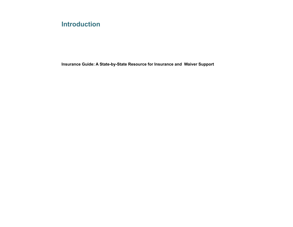# **Introduction**

**Insurance Guide: A State-by-State Resource for Insurance and Waiver Support**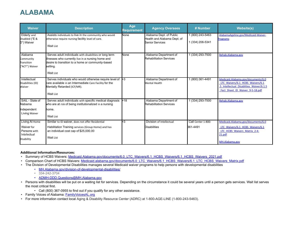# **ALABAMA**

| <b>Waiver</b>                                                              | <b>Description</b>                                                                                                                                                                                 | Age<br><b>Requirement</b> | <b>Agency Oversees</b>                                                    | # Number                             | <b>Website(s)</b>                                                                                                                                     |
|----------------------------------------------------------------------------|----------------------------------------------------------------------------------------------------------------------------------------------------------------------------------------------------|---------------------------|---------------------------------------------------------------------------|--------------------------------------|-------------------------------------------------------------------------------------------------------------------------------------------------------|
| <b>Elderly and</b><br>Disabled ("E &<br>D") Waiver                         | Assists individuals to live in the community who would<br>otherwise require nursing facility level of care.<br><b>Wait List</b>                                                                    | None                      | Alabama Dept. of Public<br>Health and Alabama Dept. of<br>Senior Services | 1 (800) 243-5463<br>1 (334) 206-5341 | AlabamaAgeline.gov/Medicaid-Waiver-<br><b>Programs</b>                                                                                                |
| Alabama<br>Community<br>Transition<br>"ACT") Waiver                        | Serves adult individuals with disabilities or long term<br>illnesses who currently live in a nursing home and<br>desire to transition to a home or community-based<br>setting.<br><b>Wait List</b> | None                      | Alabama Department of<br><b>Rehabilitation Services</b>                   | 1 (334) 293-7500                     | Rehab.Alabama.gov                                                                                                                                     |
| Intellectual<br>Disabilities (ID)<br>Waiver                                | Serves individuals who would otherwise require level of $+3$<br>care available in an Intermediate Care Facility for the<br>Mentally Retarded (ICF/MR).<br><b>Wait List</b>                         |                           | Alabama Department of<br>Mental Health                                    | 1 (800) 361-4491                     | Medicaid.Alabama.gov/documents/6.0<br>LTC Waivers/6.1 HCBS Waivers/6.1<br>.5 Intellectual Disablities Waiver/6.1.5<br>Fact Sheet ID Waiver 9-5-18.pdf |
| SAIL - State of<br>Alabama<br>Independent<br>Living Waiver                 | Serves adult individuals with specific medical diagnosis<br>who are at risk of being institutionalized in a nursing<br>home.<br><b>Wait List</b>                                                   | $+18$                     | Alabama Department of<br><b>Rehabilitation Services</b>                   | 1 (334) 293-7500                     | Rehab.Alabama.gov                                                                                                                                     |
| Living At Home<br>Waiver for<br>Persons with<br>Intellectual<br>Disability | Similar to ID waiver, does not offer Residential<br>Habilitation Training services (Group Home) and has<br>an individual cost cap of \$25,000.00<br><b>Wait List</b>                               | +3                        | Division of Intellectual<br><b>Disabilities</b>                           | Call Center 1-800-<br>361-4491       | Medicaid.Alabama.gov/documents/6.0<br>LTC Waivers/6.1 HCBS Waivers/6.1<br>LTC HCBS Waivers Matrix 2-4-<br>21.pdf<br>MH.Alabama.gov                    |

#### **Additional Information/Resources:**

- Summary of HCBS Waivers: [Medicaid.Alabama.gov/documents/6.0\\_LTC\\_Waivers/6.1\\_HCBS\\_Waivers/6.1\\_HCBS\\_Waivers\\_2021.pdf](https://medicaid.alabama.gov/documents/6.0_LTC_Waivers/6.1_HCBS_Waivers/6.1_HCBS_Waivers_2021.pdf)
- Comparison Chart of HCBS Waivers: [Medicaid.alabama.gov/documents/6.0\\_LTC\\_Waivers/6.1\\_HCBS\\_Waivers/6.1\\_LTC\\_HCBS\\_Waivers\\_Matrix.pdf](https://medicaid.alabama.gov/documents/6.0_LTC_Waivers/6.1_HCBS_Waivers/6.1_LTC_HCBS_Waivers_Matrix.pdf)
- The Division of Developmental Disabilities manages several Medicaid waiver programs to help persons with developmental disabilities
	- [MH.Alabama.gov/division-of-developmental-disabilities/](https://mh.alabama.gov/division-of-developmental-disabilities/)
	- 334-242-3704
	- [ADMH-DDD.Questions@MH.Alabama.gov](mailto:admh-ddd.questions@mh.alabama.gov)
- Persons with disabilities will be put on a waiting list for services. Depending on the circumstance it could be several years until a person gets services. Wait list serves the most critical first.
	- Call (800) 367-0955 to find out if you qualify for any other assistance.
- Family Voices of Alabama: [FamilyVoicesAL.org](https://www.familyvoicesal.org/)
- For more information contact local Aging & Disability Resource Center (ADRC) at 1-800-AGE-LINE (1-800-243-5463).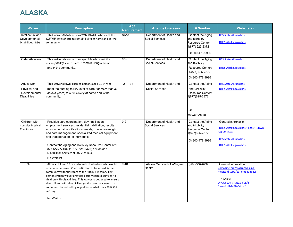# **ALASKA**

| <b>Waiver</b>                                           | <b>Description</b>                                                                                                                                                                                                                                                                                                                                                                                                                                  | Age<br>Requirement | <b>Agency Oversees</b>                             | # Number                                                                   | <b>Website(s)</b>                                                                                                                                        |
|---------------------------------------------------------|-----------------------------------------------------------------------------------------------------------------------------------------------------------------------------------------------------------------------------------------------------------------------------------------------------------------------------------------------------------------------------------------------------------------------------------------------------|--------------------|----------------------------------------------------|----------------------------------------------------------------------------|----------------------------------------------------------------------------------------------------------------------------------------------------------|
| Intellectual and<br>Developmental<br>Disabilities (IDD) | This waiver allows persons with MR/DD who meet the<br>ICF/MR level of care to remain living at home and in the<br>community.                                                                                                                                                                                                                                                                                                                        | <b>None</b>        | Department of Health and<br><b>Social Services</b> | Contact the Aging<br>and Disability<br>Resource Center:<br>1(877) 625-2372 | HSS.State.AK.us/dsds<br>DHSS.Alaska.gov/dsds                                                                                                             |
|                                                         |                                                                                                                                                                                                                                                                                                                                                                                                                                                     |                    |                                                    | Or 800-478-9996                                                            |                                                                                                                                                          |
| Older Alaskans                                          | This waiver allows persons aged 65+ who meet the<br>nursing facility level of care to remain living at home                                                                                                                                                                                                                                                                                                                                         | $65+$              | Department of Health and<br>Social Services        | Contact the Aging<br>and Disability                                        | HSS.State.AK.us/dsds                                                                                                                                     |
|                                                         | and in the community.                                                                                                                                                                                                                                                                                                                                                                                                                               |                    |                                                    | Resource Center:<br>1(877) 625-2372                                        | DHSS.Alaska.gov/dsds                                                                                                                                     |
|                                                         |                                                                                                                                                                                                                                                                                                                                                                                                                                                     |                    |                                                    | Or 800-478-9996                                                            |                                                                                                                                                          |
| <b>Adults with</b>                                      | This waiver allows disabled persons aged 21-64 who                                                                                                                                                                                                                                                                                                                                                                                                  | $21 - 64$          | Department of Health and                           | Contact the Aging                                                          | HSS.State.AK.us/dsds                                                                                                                                     |
| Physical and<br>Developmental<br><b>Disabilities</b>    | meet the nursing facility level of care (for more than 30<br>days a years) to remain living at home and in the<br>community.                                                                                                                                                                                                                                                                                                                        |                    | Social Services                                    | and Disability<br>Resource Center:<br>1(877) 625-2372                      | DHSS.Alaska.gov/dsds                                                                                                                                     |
|                                                         |                                                                                                                                                                                                                                                                                                                                                                                                                                                     |                    |                                                    | Or<br>800-478-9996                                                         |                                                                                                                                                          |
| Children with                                           | Provides care coordination, day habilitation,                                                                                                                                                                                                                                                                                                                                                                                                       | $0 - 21$           | Department of Health and<br>Social Services        | Contact the Aging                                                          | General Information:                                                                                                                                     |
| <b>Complex Medical</b><br>Conditions                    | employment services, residential habilitation, respite,<br>environmental modifications, meals, nursing oversight<br>and care management, specialized medical equipment,                                                                                                                                                                                                                                                                             |                    |                                                    | and Disability<br>Resource Center:<br>1(877) 625-2372                      | DHSS.Alaska.gov/dsds/Pages/HCBWp<br>ogram.aspx                                                                                                           |
|                                                         | and transportation for individuals                                                                                                                                                                                                                                                                                                                                                                                                                  |                    |                                                    | Or 800-478-9996                                                            | HSS.State.AK.us/dsds                                                                                                                                     |
|                                                         | Contact the Aging and Disability Resource Center at 1-<br>877-6AK-ADRC (1-877-625-2372) or Senior &<br>Disabilities Services at 907-269-3666                                                                                                                                                                                                                                                                                                        |                    |                                                    |                                                                            | DHSS.Alaska.gov/dsds                                                                                                                                     |
|                                                         | No Wait list                                                                                                                                                                                                                                                                                                                                                                                                                                        |                    |                                                    |                                                                            |                                                                                                                                                          |
| TEFRA                                                   | Allows children 18 or under with disabilities, who would<br>otherwise be served in an institution to be served in the<br>community without regard to the family's income. This<br>demonstration waiver provides basic Medicaid services to<br>children with disabilities. This waiver is designed to ensure<br>that children with disabilities get the care they need in a<br>community-based setting regardless of what their families<br>can pay. | $0 - 18$           | Alaska Medicaid - CoMagine<br>Health               | $(907)$ 550-7600                                                           | General Information:<br>Comagine.org/program/alaska-<br>nedicaid-tefra/patients-families<br>To Apply:<br>PAWeb.hss.state.ak.us/e-<br>orms/pdf/MED-04.pdf |
|                                                         | No Wait List                                                                                                                                                                                                                                                                                                                                                                                                                                        |                    |                                                    |                                                                            |                                                                                                                                                          |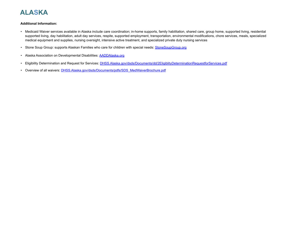# **ALASKA**

#### **Additional Information:**

- Medicaid Waiver services available in Alaska include care coordination; in-home supports, family habilitation, shared care, group home, supported living, residential supported living, day habilitation, adult day services, respite, supported employment, transportation, environmental modifications, chore services, meals, specialized medical equipment and supplies, nursing oversight, intensive active treatment, and specialized private duty nursing services
- Stone Soup Group: supports Alaskan Families who care for children with special needs: [StoneSoupGroup.org](https://www.stonesoupgroup.org/)
- Alaska Association on Developmental Disabilities: **[AADDAlaska.org](http://www.aaddalaska.org/)**
- Eligibility Determination and Request for Services: [DHSS.Alaska.gov/dsds/Documents/dd/2EligiblityDeterminationRequestforServices.pdf](https://dhss.alaska.gov/dsds/Documents/dd/2EligiblityDeterminationRequestforServices.pdf)
- Overview of all waivers: **[DHSS.Alaska.gov/dsds/Documents/pdfs/SDS\\_MedWaiverBrochure.pdf](https://dhss.alaska.gov/dsds/Documents/pdfs/SDS_MedWaiverBrochure.pdf)**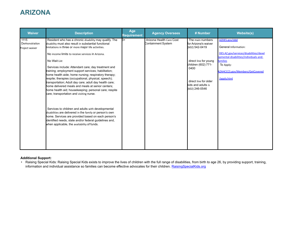# **ARIZONA**

| <b>Waiver</b>                           | <b>Description</b>                                                                                                                                                                                                                                                                                                                                                                                                                                                                                                                                                                                                                                                                                                                                                                                                                                                                                                                                                            | Age<br><b>Requirement</b> | <b>Agency Oversees</b>                         | # Number                                                                                                                                                                            | <b>Website(s)</b>                                                                                                                                                                                    |
|-----------------------------------------|-------------------------------------------------------------------------------------------------------------------------------------------------------------------------------------------------------------------------------------------------------------------------------------------------------------------------------------------------------------------------------------------------------------------------------------------------------------------------------------------------------------------------------------------------------------------------------------------------------------------------------------------------------------------------------------------------------------------------------------------------------------------------------------------------------------------------------------------------------------------------------------------------------------------------------------------------------------------------------|---------------------------|------------------------------------------------|-------------------------------------------------------------------------------------------------------------------------------------------------------------------------------------|------------------------------------------------------------------------------------------------------------------------------------------------------------------------------------------------------|
| 1115<br>Demonstration<br>Project waiver | Resident who has a chronic disability may qualify. The<br>disability must also result in substantial functional<br>limitations in three or more major life activities.<br>No income limits to receive services in Arizona.<br>No Wait List<br>Services include: Attendant care; day treatment and<br>training; employment support services; habilitation;<br>home health aide; home nursing; respiratory therapy;<br>respite; therapies (occupational, physical, speech);<br>transportation; Adult day care; adult day health care;<br>home delivered meals and meals at senior centers;<br>home health aid; housekeeping; personal care; respite<br>care; transportation and visiting nurse.<br>Services to children and adults with developmental<br>disabilities are delivered in the family or person's own<br>home. Services are provided based on each person's<br>dentified needs, state and/or federal guidelines and,<br>when applicable, the availability of funds. | $B+$                      | Arizona Health Care Cost<br>Containment System | The main numbers<br>for Arizona's waiver<br>(602) 542-0419<br>direct line for young<br>children (602) 771-<br>0400<br>direct line for older<br>kids and adults is<br>(602) 246-0546 | AZDES.gov/ddd<br>General Information:<br>DES.AZ.gov/services/disabilities/devel<br>ppmental-disabilities/individuals-and-<br>families<br>To Apply:<br>AZAHCCCS.gov/Members/GetCovered<br>/apply.html |

### **Additional Support:**

• Raising Special Kids: Raising Special Kids exists to improve the lives of children with the full range of disabilities, from birth to age 26, by providing support, training, information and individual assistance so families can become effective advocates for their children. [RaisingSpecialKids.org](https://raisingspecialkids.org/)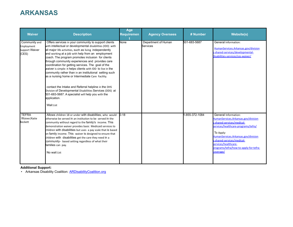# **ARKANSAS**

| <b>Waiver</b>                                                 | <b>Description</b>                                                                                                                                                                                                                                                                                                                                                                                                                                                                                                                                                                                                                                                                                                                                                                       | Age<br><b>Requiremen</b> | <b>Agency Oversees</b>                 | # Number       | <b>Website(s)</b>                                                                                                                                                                                                                                                                                 |
|---------------------------------------------------------------|------------------------------------------------------------------------------------------------------------------------------------------------------------------------------------------------------------------------------------------------------------------------------------------------------------------------------------------------------------------------------------------------------------------------------------------------------------------------------------------------------------------------------------------------------------------------------------------------------------------------------------------------------------------------------------------------------------------------------------------------------------------------------------------|--------------------------|----------------------------------------|----------------|---------------------------------------------------------------------------------------------------------------------------------------------------------------------------------------------------------------------------------------------------------------------------------------------------|
| Community and<br>Employment<br><b>Support Waiver</b><br>(CES) | Offers services in your community to support clients<br>with intellectual or developmental disabilities (IDD) with<br>all major life activities, such as living independently<br>and working at a job with help from an employment<br>coach. The program promotes inclusion for clients<br>through community experiences and provides care<br>coordination for getting services. The goal of the<br>waiver is simple: it helps clients with IDD to live in the<br>community rather than in an institutional setting such<br>as a nursing home or Intermediate Care Facility.<br>contact the Intake and Referral helpline in the DHS<br>Division of Developmental Disabilities Services (DDS) at<br>501-683-5687. A specialist will help you with the<br>application.<br><b>Wait List</b> | None                     | Department of Human<br><b>Services</b> | 501-683-5687   | General Information:<br>HumanServices.Arkansas.gov/division<br>s-shared-services/developmental-<br>disabilities-services/ces-waiver/                                                                                                                                                              |
| <b>TEFRA</b><br>Waiver/Katie<br>Beckett                       | Allows children 18 or under with disabilities, who would<br>btherwise be served in an institution to be served in the<br>community without regard to the family's income. This<br>demonstration waiver provides basic Medicaid services to<br>children with disabilities but uses a pay scale that is based<br>on family income. This waiver is designed to ensure that<br>children with disabilities get the care they need in a<br>community- based setting regardless of what their<br>families can pay.<br>No wait List                                                                                                                                                                                                                                                              | $D-18$                   |                                        | 1-855-372-1084 | General Information:<br>HumanServices.Arkansas.gov/division<br>s-shared-services/medical-<br>services/healthcare-programs/tefra/<br>To Apply:<br>HumanServices.Arkansas.gov/division<br>s-shared-services/medical-<br>services/healthcare-<br>programs/tefra/how-to-apply-for-tefra-<br>coverage/ |

**Additional Support:**

• Arkansas Disability Coalition: **[ARDisabilityCoalition.org](https://ardisabilitycoalition.org/)**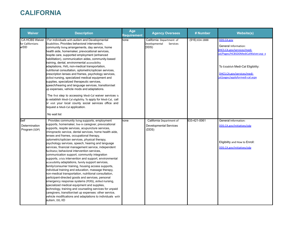# **CALIFORNIA**

| <b>Waiver</b>                                     | <b>Description</b>                                                                                                                                                                                                                                                                                                                                                                                                                                                                                                                                                                                                                                                                                                                                                                                                                                                                                                                                                                                                                                                                                                                                                                            | Age<br><b>Requirement</b> | <b>Agency Oversees</b>                                             | # Number           | <b>Website(s)</b>                                                                                                                                                                                                  |
|---------------------------------------------------|-----------------------------------------------------------------------------------------------------------------------------------------------------------------------------------------------------------------------------------------------------------------------------------------------------------------------------------------------------------------------------------------------------------------------------------------------------------------------------------------------------------------------------------------------------------------------------------------------------------------------------------------------------------------------------------------------------------------------------------------------------------------------------------------------------------------------------------------------------------------------------------------------------------------------------------------------------------------------------------------------------------------------------------------------------------------------------------------------------------------------------------------------------------------------------------------------|---------------------------|--------------------------------------------------------------------|--------------------|--------------------------------------------------------------------------------------------------------------------------------------------------------------------------------------------------------------------|
| <b>CA HCBS Waiver</b><br>for Californians<br>w/DD | For individuals with autism and Developmental<br>Disabilities. Provides behavioral intervention,<br>community living arrangements, day service, home<br>health aide, homemaker, prevocational services,<br>respite care, supported employment (enhanced<br>habilitation), communication aides, community-based<br>training, dental, environmental accessibility<br>adaptations, FMS, non-medical transportation,<br>nutritional consultation, optometric/optician services,<br>prescription lenses and frames, psychology services,<br>skilled nursing, specialized medical equipment and<br>supplies, specialized therapeutic services,<br>speech/hearing and language services, transition/set<br>up expenses, vehicle mods and adaptations.<br>The first step to accessing Medi-Cal waiver services is<br>to establish Medi-Cal eligibility. To apply for Medi-Cal, call<br>or visit your local county social services office and<br>request a Medi-Cal application.<br>No wait list                                                                                                                                                                                                       | <b>none</b>               | California Department of<br>Developmental<br>Services<br>(DDS)     | $(916) 654 - 1888$ | <b>DDS.CA.gov</b><br>General Information:<br>HCS.CA.gov/services/medi-<br>al/Pages/HCBSDDMediCalWaiver.asp x<br>To Establish Medi-Cal Eligibility:<br>DHCS.CA.gov/services/medi-<br>al/pages/applyformedi-cal.aspx |
| Self<br>Determination<br>Program (SDP)            | Provides community living supports, employment<br>supports, homemaker, live-in caregiver, prevocational<br>supports, respite services, acupuncture services,<br>chiropractic service, dental services, home health aide,<br>enses and frames, occupational therapy,<br>optometric/optician services, physical therapy,<br>psychology services, speech, hearing and language<br>services, financial management service, independent<br>facilitator, behavioral intervention services,<br>communication support, community integration<br>supports, crisis intervention and support, environmental<br>accessibility adaptations, family support services,<br>family/consumer training, housing access supports,<br>individual training and education, massage therapy,<br>non-medical transportation, nutritional consultation,<br>participant-directed goods and services, personal<br>emergency response systems (PERS), skilled nursing,<br>specialized medical equipment and supplies,<br>technology, training and counseling services for unpaid<br>caregivers, transition/set up expenses: other service,<br>vehicle modifications and adaptations to individuals with<br>autism, DD, IID | none                      | California Department of<br><b>Developmental Services</b><br>(DDS) | 833-421-0061       | General Information:<br>DDS.CA.gov/initiatives/sdp<br>Eligibility and How to Enroll:<br>DDS.CA.gov/initiatives/sdp                                                                                                 |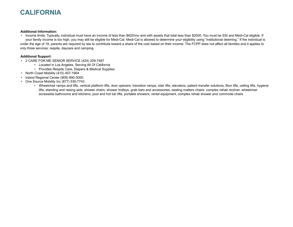# **CALIFORNIA**

#### **Additional Information:**

• Income limits: Typically, individual must have an income of less than \$620/mo and with assets that total less than \$2000. You must be SSI and Medi-Cal eligible. If your family income is too high, you may still be eligible for Medi-Cal. Medi-Cal is allowed to determine your eligibility using "institutional deeming." If the individual is under the age of 18, parents are required by law to contribute toward a share of the cost based on their income. The FCPP does not affect all families and it applies to only three services: respite, daycare and camping.

### **Additional Support:**

- 2 CARE FOR ME SENIOR SERVICE (424) 209-7487
	- Located in Los Angeles, Serving All Of California
		- Provides Respite Care, Diapers & Medical Supplies
- North Coast Mobility (415) 457-1664
- Inland Regional Center (909) 890-3000
- One Source Mobility Inc (877) 530-7743
	- Wheelchair ramps and lifts, vertical platform lifts, door openers, transition ramps, stair lifts, elevators, patient transfer solutions, floor lifts, ceiling lifts, hygiene lifts, standing and raising aids, shower chairs, shower trolleys, grab bars and accessories, seating matters chairs- complex rehab recliner, wheelchair accessible bathrooms and kitchens, pool and hot tub lifts, portable showers, rental equipment, complex rehab shower and commode chairs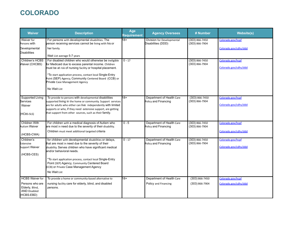# **COLORADO**

| <b>Waiver</b>                                                                                     | <b>Description</b>                                                                                                                                                                                                                                                                                                                                                            | Age<br><b>Requirement</b> | <b>Agency Oversees</b>                            | # Number                                 | <b>Website(s)</b>                          |
|---------------------------------------------------------------------------------------------------|-------------------------------------------------------------------------------------------------------------------------------------------------------------------------------------------------------------------------------------------------------------------------------------------------------------------------------------------------------------------------------|---------------------------|---------------------------------------------------|------------------------------------------|--------------------------------------------|
| Waiver for<br>Persons with<br>Developmental<br><b>Disabilities</b>                                | For persons with developmental disabilities. The<br>person receiving services cannot be living with his or<br>her family.<br>Wait List average 5-7 years                                                                                                                                                                                                                      | 18+                       | Division for Developmental<br>Disabilities (DDD)  | $(303)866 - 7450$<br>$(303) 866 - 7904$  | Colorado.gov/hcpf<br>Colorado.gov/cdhs/ddd |
| Children's HCBS<br>Waiver (CHCBS)                                                                 | For disabled children who would otherwise be ineligible<br>for Medicaid due to excess parental income. Children<br>must be at risk of nursing facility or hospital placement.<br>*To start application process, contact local Single-Entry<br>Point (SEP) Agency, Community Centered Board (CCB) or<br>Private Case Management Agency<br>No Wait List                         | $0 - 17$                  |                                                   | $(303)866 - 7450$<br>$(303)866 - 7904$   | Colorado.gov/hcpf<br>Colorado.gov/cdhs/ddd |
| Supported Living<br><b>Services</b><br>Waiver<br>(HCBS-SLS)                                       | To provide to persons with developmental disabilities<br>supported living in the home or community. Support services<br>are for adults who either can live independently with limited<br>supports or who, if they need extensive support, are getting<br>that support from other sources, such as their family.                                                               | $18+$                     | Department of Health Care<br>Policy and Financing | $(303) 866 - 7450$<br>(303) 866-7904     | Colorado.gov/hcpf<br>Colorado.gov/cdhs/ddd |
| <b>Children With</b><br><b>Autism Waiver</b><br>(HCBS-CWA)                                        | For children with a medical diagnosis of Autism who<br>are most in need due to the severity of their disability.<br>Children must meet additional targeted criteria                                                                                                                                                                                                           | $0 - 5$                   | Department of Health Care<br>Policy and Financing | $(303)866 - 7450$<br>$(303)866 - 7904$   | Colorado.gov/hcpf<br>Colorado.gov/cdhs/ddd |
| Children's<br>Extensive<br>Support Waiver<br>(HCBS-CES)                                           | for children with developmental disabilities or delays,<br>that are most in need due to the severity of their<br>disability. Serves children who have significant medical<br>and/or behavioral needs.<br>*To start application process, contact local Single-Entry<br>Point (SEP) Agency, Community Centered Board<br>(CCB) or Private Case Management Agency<br>No Wait List | $0 - 17$                  | Department of Health Care<br>Policy and Financing | $(303) 866 - 7450$<br>$(303) 866 - 7904$ | Colorado.gov/hcpf<br>Colorado.gov/cdhs/ddd |
| <b>HCBS Waiver for</b><br>Persons who are<br>Elderly, Blind,<br><b>AND Disabled</b><br>(HCBS-EBD) | To provide a home or community-based alternative to<br>nursing facility care for elderly, blind, and disabled<br>persons.                                                                                                                                                                                                                                                     | 18+                       | Department of Health Care<br>Policy and Financing | $(303) 866 - 7450$<br>$(303)866 - 7904$  | Colorado.gov/hcpf<br>Colorado.gov/cdhs/ddd |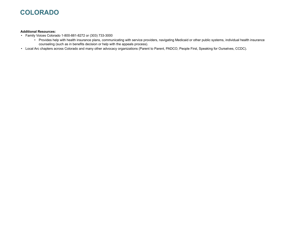# **COLORADO**

#### **Additional Resources:**

- Family Voices Colorado 1-800-881-8272 or (303) 733-3000
	- Provides help with health insurance plans, communicating with service providers, navigating Medicaid or other public systems, individual health insurance counseling (such as in benefits decision or help with the appeals process).
- Local Arc chapters across Colorado and many other advocacy organizations (Parent to Parent, PADCO, People First, Speaking for Ourselves, CCDC).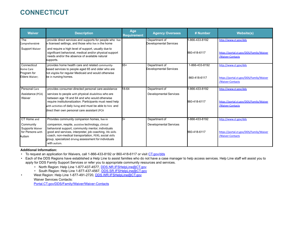# **CONNECTICUT**

| <b>Waiver</b>                                              | <b>Description</b>                                                                                                                                                                                                                                                                                      | Age<br><b>Requirement</b> | <b>Agency Oversees</b>                  | # Number                       | <b>Website(s)</b>                                                |
|------------------------------------------------------------|---------------------------------------------------------------------------------------------------------------------------------------------------------------------------------------------------------------------------------------------------------------------------------------------------------|---------------------------|-----------------------------------------|--------------------------------|------------------------------------------------------------------|
| The<br>Comprehensive                                       | provide direct services and supports for people who live<br>in licensed settings, and those who live in the home                                                                                                                                                                                        |                           | Department of<br>Developmental Services | 1-866-433-8192                 | http://www.ct.gov/dds                                            |
| Support Waiver                                             | and require a high level of support, usually due to<br>significant behavioral, medical and/or physical support<br>needs and/or the absence of available natural<br>supports.                                                                                                                            |                           |                                         | 860-418-6117                   | https://portal.ct.gov/DDS/Family/Waiver<br>/Waiver-Contacts      |
| Connecticut<br>Home Care<br>Program for<br>Elders Waiver;  | provides home health care and related community-<br>based services to people aged 65 and older who are<br>not eligible for regular Medicaid and would otherwise<br>be in nursing homes.                                                                                                                 | 65+                       | Department of<br>Developmental Services | 1-866-433-8192<br>860-418-6117 | http://www.ct.gov/dds<br>https://portal.ct.gov/DDS/Family/Waiver |
|                                                            |                                                                                                                                                                                                                                                                                                         |                           |                                         |                                | /Waiver-Contacts                                                 |
| Personal Care                                              | provides consumer-directed personal care assistance                                                                                                                                                                                                                                                     | 18-64                     | Department of                           | -866-433-8192                  | http://www.ct.gov/dds                                            |
| Assistance (PCA)<br>Waiver                                 | services to people with physical disabilities who are<br>between age 18 and 64 and who would otherwise<br>require institutionalization. Participants must need help<br>with activities of daily living and must be able to hire and<br>direct their own personal care assistant (PCA                    |                           | <b>Developmental Services</b>           | 860-418-6117                   | https://portal.ct.gov/DDS/Family/Waiver<br>/Waiver-Contacts      |
| CT Home and                                                | Provides community companion homes, live-in                                                                                                                                                                                                                                                             | $_{3+}$                   | Department of                           | 1-866-433-8192                 | http://www.ct.gov/dds                                            |
| Community<br>Supports Waiver<br>for Persons with<br>Autism | companion, respite, assistive technology, clinical<br>behavioral support, community mentor, individuals<br>good and services, interpreter, job coaching, life skills<br>coach, non-medical transportation, PERS, social skills<br>group, specialized driving assessment for individuals<br>with autism. |                           | <b>Developmental Services</b>           | 860-418-6117                   | https://portal.ct.gov/DDS/Family/Waiver<br>/Waiver-Contacts      |

### **Additional Information:**

• To request an application for Waivers, call 1-866-433-8192 or 860-418-6117 or visit [CT.gov/dds](http://www.ct.gov/dds)

- Each of the DDS Regions have established a Help Line to assist families who do not have a case manager to help access services. Help Line staff will assist you to apply for DDS Family Support Services or refer you to appropriate community resources and services.
	- North Region: Help Line 1-877-437-4577, [DDS.NR.IFSHelpLine@CT.gov](mailto:DDS.NR.IFSHelpLine@ct.gov)
	- South Region: Help Line 1-877-437-4567, [DDS.SR.IFSHelpLine@CT.gov](mailto:DDS.SR.IFSHelpLine@ct.gov)
- West Region: Help Line 1-877-491-2720, [DDS.WR.IFSHelpLine@CT.gov](mailto:DDS.WR.IFSHelpLine@ct.gov) Waiver Services Contacts: [Portal.CT.gov/DDS/Family/Waiver/Waiver-Contacts](https://portal.ct.gov/DDS/Family/Waiver/Waiver-Contacts)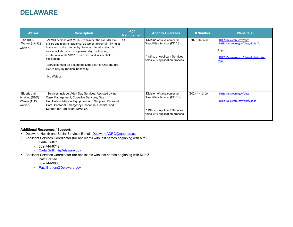### **DELAWARE**

| <b>Waiver</b>                                                   | <b>Description</b>                                                                                                                                                                                                                                                                                                                                                                                                              | Age<br><b>Requirement</b> | <b>Agency Oversees</b>                                                                                                        | # Number       | <b>Website(s)</b>                                                                                                 |
|-----------------------------------------------------------------|---------------------------------------------------------------------------------------------------------------------------------------------------------------------------------------------------------------------------------------------------------------------------------------------------------------------------------------------------------------------------------------------------------------------------------|---------------------------|-------------------------------------------------------------------------------------------------------------------------------|----------------|-------------------------------------------------------------------------------------------------------------------|
| The DDDS<br>Waiver (1915(c)<br>waiver)                          | Allows persons with MR/DD who meet the ICF/MR level<br>of care and require residential placement to remain living at<br>home and in the community. Services offered under this<br>waiver include: case management, day habilitation,<br>institutional or in-home respite care, and residential<br>habilitation.<br>Services must be described in the Plan of Care and are<br>limited only by medical necessity.<br>No Wait List | $4+$                      | Division of Developmental<br>Disabilities Services (DDDS)<br>* Office of Applicant Services<br>helps with application process | (302) 744-9700 | DHSS.Delaware.gov/dhss<br>DHSS.Delaware.gov/dhss/ddds_To<br>Apply:<br>DHSS.Delaware.gov/dhss/ddds/intake.<br>html |
| Elderly and<br>Disabled (E&D)<br><b>Waiver (1115</b><br>waiver) | Services include: Adult Day Services; Assisted Living;<br>Case Management; Cognitive Services; Day<br>Habilitation; Medical Equipment and Supplies; Personal<br>Care; Personal Emergency Response; Respite; and<br>Support for Participant Direction.                                                                                                                                                                           |                           | Division of Developmental<br>Disabilities Services (DDDS)<br>* Office of Applicant Services<br>helps with application process | (302) 744-9700 | DHSS.Delaware.gov/dhss<br>DHSS.Delaware.gov/dhss/ddds                                                             |

#### **Additional Resources / Support:**

- Delaware Health and Social Services E-mail: [DelawareADRC@state.de.us](mailto:Delawareadrc@state.de.us)
- Applicant Services Coordinator (for applicants with last names beginning with A to L)
	- Carla Griffith
	- 302-744-9719
	- [Carla.Griffith@Delaware.gov](mailto:Carla.Griffith@Delaware.gov)
- Applicant Services Coordinator (for applicants with last names beginning with M to Z)
	- Patti Bratten
	- 302-744-9605
	- [Patti.Bratten@Delaware.gov](mailto:Patti.Bratten@Delaware.gov)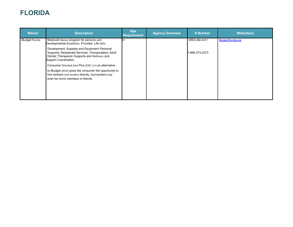# **FLORIDA**

| <b>Waiver</b>   | <b>Description</b>                                                                                                                                                                | Age<br><b>Requirement</b> | <b>Agency Oversees</b> | # Number       | <b>Website(s)</b>  |
|-----------------|-----------------------------------------------------------------------------------------------------------------------------------------------------------------------------------|---------------------------|------------------------|----------------|--------------------|
| iBudget Florida | Medicaid Waiver program for persons with<br>Developmental Disabilities. Provides: Life Skills                                                                                     | R+                        |                        | (850) 488-4257 | iBudgetFlorida.org |
|                 | Development; Supplies and Equipment; Personal<br>Supports; Residential Services; Transportation; Adult<br>Dental; Therapeutic Supports and Wellness; and<br>Support Coordination. |                           |                        | 1-866-273-2273 |                    |
|                 | Consumer Directed Care Plus (CDC +) is an alternative                                                                                                                             |                           |                        |                |                    |
|                 | to iBudget which gives the consumer the opportunity to<br>hire workers and vendors directly. Paid workers may<br>even be family members or friends.                               |                           |                        |                |                    |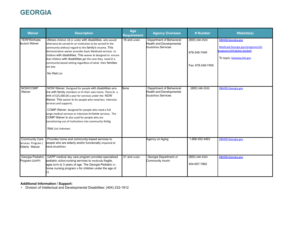# **GEORGIA**

| <b>Waiver</b>                                                 | <b>Description</b>                                                                                                                                                                                                                                                                                                                                                                                                                                                                                                  | Age<br><b>Requirement</b> | <b>Agency Oversees</b>                                                               | # Number                                            | <b>Website(s)</b>                                                                                                  |
|---------------------------------------------------------------|---------------------------------------------------------------------------------------------------------------------------------------------------------------------------------------------------------------------------------------------------------------------------------------------------------------------------------------------------------------------------------------------------------------------------------------------------------------------------------------------------------------------|---------------------------|--------------------------------------------------------------------------------------|-----------------------------------------------------|--------------------------------------------------------------------------------------------------------------------|
| <b>TERFRA/Katie</b><br><b>Beckett Waiver</b>                  | Allows children 18 or under with disabilities, who would<br>otherwise be served in an institution to be served in the<br>community without regard to the family's income. This<br>demonstration waiver provides basic Medicaid services to<br>children with disabilities. This waiver is designed to ensure<br>that children with disabilities get the care they need in a<br>community-based setting regardless of what their families<br>can pay.<br>No Wait List                                                 | 18 and under              | Department of Behavioral<br>Health and Developmental<br>Disabilities Services        | (800) 348-3503<br>678-248-7449<br>Fax: 678-248-7459 | DBHDD.Georgia.gov<br>Medicaid.Georgia.gov/programs/all-<br>orograms/tefrakatie-beckett<br>To Apply: Gateway.GA.gov |
| NOW/COMP<br>Waiver                                            | NOW Waiver: Designed for people with disabilities who<br>live with family members or in their own home. There is a<br>imit of \$25,000.00 a year for services under the NOW<br>Waiver. This waiver is for people who need less intensive<br>services and supports.<br>COMP Waiver: designed for people who need a full<br>range medical services or intensive in-home services. The<br>COMP Waiver is also used for people who are<br>transitioning out of institutions into community living.<br>Wait List Unknown | None                      | Department of Behavioral<br><b>Health and Developmental</b><br>Disabilities Services | (800) 348-3503.                                     | DBHDD.Georgia.gov                                                                                                  |
| <b>Community Care</b><br>Services Program /<br>Elderly Waiver | Provides home and community-based services to<br>people who are elderly and/or functionally impaired or<br>have disabilities                                                                                                                                                                                                                                                                                                                                                                                        |                           | Agency on Aging                                                                      | 1-866-552-4463                                      | <b>DBHDD.Georgia.gov</b>                                                                                           |
| Georgia Pediatric<br>Program (GAPP)                           | GAPP medical day care program provides specialized<br>pediatric skilled nursing services to medically fragile,<br>ages birth to 3 years of age. The Georgia Pediatric in-<br>home nursing program is for children under the age of<br>21.                                                                                                                                                                                                                                                                           | 21 and under              | Georgia Department of<br>Community Health                                            | $(800)$ 348-3503<br>404-657-7882                    | DBHDD.Georgia.gov                                                                                                  |

#### **Additional Information / Support:**

• Division of Intellectual and Developmental Disabilities: (404) 232-1912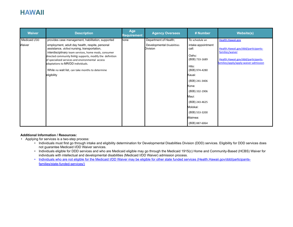### **HAWAII**

| <b>Waiver</b> | <b>Description</b>                                                                                                                                                                                                                                                                                                                                                               | Age<br>Requirement | <b>Agency Oversees</b>                 | # Number                                                                                                                                                                                                                       | <b>Website(s)</b>                                                                                                                      |
|---------------|----------------------------------------------------------------------------------------------------------------------------------------------------------------------------------------------------------------------------------------------------------------------------------------------------------------------------------------------------------------------------------|--------------------|----------------------------------------|--------------------------------------------------------------------------------------------------------------------------------------------------------------------------------------------------------------------------------|----------------------------------------------------------------------------------------------------------------------------------------|
| Medicaid I/DD | provides case management, habilitation, supported                                                                                                                                                                                                                                                                                                                                | none               | Department of Health;                  | To schedule an                                                                                                                                                                                                                 | Health.Hawaii.gov                                                                                                                      |
| Waiver        | employment, adult day health, respite, personal<br>assistance, skilled nursing, transportation,<br>interdisciplinary team services, home mods, consumer<br>directed community living supports, modify the definition<br>of specialized services and environmental access<br>adaptations to MR/DD individuals.<br>While no wait list, can take months to determine<br>eligibility |                    | Developmental Disabilities<br>Division | intake appointment<br>call:<br>Oahu:<br>(808) 733-1689<br>Hilo:<br>(808) 974-4280<br>Kauai:<br>(808) 241-3406<br>Kona:<br>(808) 332-1906<br>Maui:<br>(808) 243-4625<br>Molokai:<br>(808) 553-3200<br>Waimea:<br>(808) 887-6064 | Health.Hawaii.gov/ddd/participants-<br>families/waiver<br>Health.Hawaii.gov/ddd/participants-<br>families/apply/apply-waiver-admission |

### **Additional Information / Resources:**

- Applying for services is a two-step process:
	- Individuals must first go through intake and eligibility determination for Developmental Disabilities Division (DDD) services. Eligibility for DDD services does not guarantee Medicaid I/DD Waiver services.
	- Individuals eligible for DDD services and who are Medicaid eligible may go through the Medicaid 1915(c) Home and Community-Based (HCBS) Waiver for individuals with intellectual and developmental disabilities (Medicaid I/DD Waiver) admission process.
	- [Individuals who are not eligible for the Medicaid I/DD Waiver may be eligible for other state funded services \(Health.Hawaii.gov/ddd/participants](https://health.hawaii.gov/ddd/participants-families/state-funded-services/)[families/state-funded-services/\)](https://health.hawaii.gov/ddd/participants-families/state-funded-services/)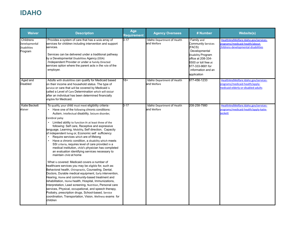# **IDAHO**

| <b>Waiver</b>                                                | <b>Description</b>                                                                                                                                                                                                                                                                                                                                                                                                                                                                                                                                                                                                                                                                                                                                                                                                                                                                                                                                                                                                                                                                                                                                                                                                                                                                                             | Age<br><b>Requirement</b> | <b>Agency Oversees</b>                    | # Number                                                                                                                                                                                 | <b>Website(s)</b>                                                                                              |
|--------------------------------------------------------------|----------------------------------------------------------------------------------------------------------------------------------------------------------------------------------------------------------------------------------------------------------------------------------------------------------------------------------------------------------------------------------------------------------------------------------------------------------------------------------------------------------------------------------------------------------------------------------------------------------------------------------------------------------------------------------------------------------------------------------------------------------------------------------------------------------------------------------------------------------------------------------------------------------------------------------------------------------------------------------------------------------------------------------------------------------------------------------------------------------------------------------------------------------------------------------------------------------------------------------------------------------------------------------------------------------------|---------------------------|-------------------------------------------|------------------------------------------------------------------------------------------------------------------------------------------------------------------------------------------|----------------------------------------------------------------------------------------------------------------|
| Childrens<br>Developmental<br><b>Disabilities</b><br>Program | Provides a system of care that has a wide array of<br>services for children including intervention and support<br>services.<br>Services can be delivered under a traditional pathway<br>by a Developmental Disabilities Agency (DDA)<br>/Independent Provider or under a Family Directed<br>services option where the parent acts in the role of the<br>employer.                                                                                                                                                                                                                                                                                                                                                                                                                                                                                                                                                                                                                                                                                                                                                                                                                                                                                                                                              | $2 - 17$                  | Idaho Department of Health<br>and Welfare | Family and<br>Community Services<br>(FACS)<br>Developmental<br>Disability Program<br>office at 208-334-<br>6500 or toll free at<br>877-333-9681 for<br>information and an<br>application | HealthAndWelfare.Idaho.gov/services-<br>rograms/medicaid-health/about-<br>hildrens-developmental-disabilities  |
| Aged and<br>Disabled                                         | Adults with disabilities can qualify for Medicaid based<br>on their income and household status. The type of<br>service or care that will be covered by Medicaid is<br>called a Level of Care Determination which will occur<br>after an individual has been determined financially<br>eligible for Medicaid.                                                                                                                                                                                                                                                                                                                                                                                                                                                                                                                                                                                                                                                                                                                                                                                                                                                                                                                                                                                                  | 18+                       | Idaho Department of Health<br>and Welfare | 877-456-1233                                                                                                                                                                             | HealthAndWelfare.Idaho.gov/services-<br>orograms/medicaid-health/apply-<br>nedicaid-elderly-or-disabled-adults |
| Katie Beckett<br>Waiver                                      | To qualify, your child must meet eligibility criteria -<br>Have one of the following chronic conditions:<br>Autism, Intellectual disability, Seizure disorder,<br>Cerebral palsy<br>Limited ability to function in at least three of the<br>following: Self care, Receptive and expressive<br>anguage, Learning, Mobility, Self direction, Capacity<br>of independent living or, Economic self sufficiency<br>Require services which are of lifelong<br>$\bullet$<br>Have a chronic condition, a disability which meets<br>SSI criteria, requires level of care provided in a<br>medical institution, child's physician has completed<br>an evaluation identifying services necessary to<br>maintain child at home<br>What is covered: Medicaid covers a number of<br>healthcare services you may be eligible for, such as:<br>Behavioral health, Chiropractic, Counseling, Dental,<br>Doctors, Durable medical equipment, Early intervention,<br>Hearing, Home and community-based treatment and<br>rehabilitation, Home health, Hospital, Immunizations,<br>Interpretation, Lead screening, Nutrition, Personal care<br>services, Physical, occupational, and speech therapy,<br>Podiatry, prescription drugs, School-based, Service<br>coordination, Transportation, Vision, Wellness exams for<br>children | $0 - 17$                  | Idaho Department of Health<br>and Welfare | 208-258-7980                                                                                                                                                                             | HealthAndWelfare.Idaho.gov/services-<br>rograms/medicaid-health/apply-katie-<br><b>peckett</b>                 |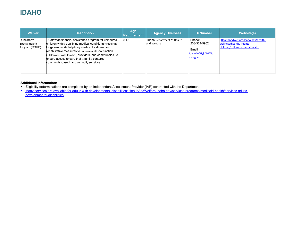# **IDAHO**

| <b>Waiver</b>                                  | <b>Description</b>                                                                                                                                                                                                                                                                                                                                                                            | Age<br>Requirement | <b>Agency Oversees</b>                    | # Number                                                       | <b>Website(s)</b>                                                                                    |
|------------------------------------------------|-----------------------------------------------------------------------------------------------------------------------------------------------------------------------------------------------------------------------------------------------------------------------------------------------------------------------------------------------------------------------------------------------|--------------------|-------------------------------------------|----------------------------------------------------------------|------------------------------------------------------------------------------------------------------|
| Children's<br>Special Health<br>Program (CSHP) | Statewide financial assistance program for uninsured<br>children with a qualifying medical condition(s) requiring<br>long-term multi-disciplinary medical treatment and<br>rehabilitative measures to improve ability to function.<br>CSHP works with families, providers, and communities to<br>ensure access to care that is family-centered,<br>community-based, and culturally sensitive. | $D-17$             | Idaho Department of Health<br>and Welfare | Phone:<br>208-334-5962<br>Email:<br>IdahoMCH@DHW.Id<br>aho.gov | HealthAndWelfare.Idaho.gov/health-<br>wellness/healthy-infants-<br>children/childrens-special-health |

#### **Additional Information:**

- Eligibility determinations are completed by an Independent Assessment Provider (IAP) contracted with the Department
- [Many services are available for adults with developmental disabilities: HealthAndWelfare.Idaho.gov/services-programs/medicaid-health/services-adults](https://healthandwelfare.idaho.gov/services-programs/medicaid-health/services-adults-developmental-disabilities)[developmental-disabilities](https://healthandwelfare.idaho.gov/services-programs/medicaid-health/services-adults-developmental-disabilities)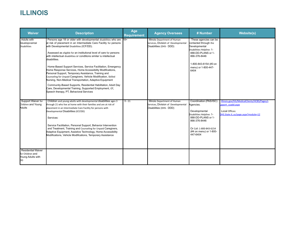# **ILLINOIS**

| <b>Waiver</b>                                                            | <b>Description</b>                                                                                                                                                                                                                                                                                                                                                                                                                                                                                                                                                                                                                                                                                                                                                                                                                          | Age<br><b>Requirement</b> | <b>Agency Oversees</b>                                                                         | # Number                                                                                                                                                                                   | <b>Website(s)</b>                                                                                                          |
|--------------------------------------------------------------------------|---------------------------------------------------------------------------------------------------------------------------------------------------------------------------------------------------------------------------------------------------------------------------------------------------------------------------------------------------------------------------------------------------------------------------------------------------------------------------------------------------------------------------------------------------------------------------------------------------------------------------------------------------------------------------------------------------------------------------------------------------------------------------------------------------------------------------------------------|---------------------------|------------------------------------------------------------------------------------------------|--------------------------------------------------------------------------------------------------------------------------------------------------------------------------------------------|----------------------------------------------------------------------------------------------------------------------------|
| <b>Adults with</b><br>Developmental<br><b>Disabilities</b>               | Persons age 18 or older with developmental disabilities who are<br>at risk of placement in an Intermediate Care Facility for persons<br>with Developmental Disabilities (ICF/DD).<br>Assessed as eligible for an institutional level of care for persons<br>with intellectual disabilities or conditions similar to intellectual<br>disabilities.<br>Home-Based Support Services, Service Facilitation, Emergency<br>Home Response Services, Home Accessibility Modifications,<br>Personal Support, Temporary Assistance, Training and<br>Counseling for Unpaid Caregivers, Vehicle Modification, Skilled<br>Nursing, Non-Medical Transportation, Adaptive Equipment<br>Community-Based Supports, Residential Habilitation, Adult Day<br>Care, Developmental Training, Supported Employment, OT,<br>Speech therapy, PT, Behavioral Services | $18+$                     | Illinois Department of Human<br>Services, Division of Developmental<br>Disabilities (DHS- DDD) | These agencies can be<br>contacted through the<br>Developmental<br>Disabilities Helpline: 1-<br>888-DD-PLANS or 1-<br>866-376-8446<br>1-800-843-6154 (#3 on<br>menu) or 1-800-447-<br>6404 |                                                                                                                            |
| Support Waiver for<br>Children and Young<br>Adults                       | Children and young adults with developmental disabilities ages 3<br>through 21 who live at home with their families and are at risk of<br>placement in an Intermediate Care Facility for persons with<br>Developmental Disabilities (ICF/DD)<br>Services:<br>Service Facilitation, Personal Support, Behavior Intervention<br>and Treatment, Training and Counseling for Unpaid Caregivers,<br>Adaptive Equipment, Assistive Technology, Home Accessibility<br>Modifications, Vehicle Modifications, Temporary Assistance                                                                                                                                                                                                                                                                                                                   | $3 - 21$                  | Illinois Department of Human<br>Services, Division of Developmental<br>Disabilities (DHS- DDD) | Coordination (PAS/ISC)<br>Agencies.<br>Developmental<br>Disabilities Helpline: 1-<br>888-DD-PLANS or 1-<br>866-376-8446<br>Or Call: 1-800-843-6154<br>(#4 on menu) or 1-800-<br>447-6404   | Illinois.gov/hfs/MedicalClients/HCBS/Pages/s<br>upport cyadd.aspx<br>Local Offices:<br>DHS.State.IL.us/page.aspx?module=12 |
| <b>Residential Waiver</b><br>for Children and<br>Young Adults with<br>DD |                                                                                                                                                                                                                                                                                                                                                                                                                                                                                                                                                                                                                                                                                                                                                                                                                                             |                           |                                                                                                |                                                                                                                                                                                            |                                                                                                                            |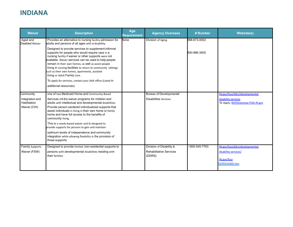# **INDIANA**

| <b>Waiver</b>                   | <b>Description</b>                                                                                                                                                                                                                                                                                                                                                                                                               | Age<br>Requirement | <b>Agency Oversees</b>                   | # Number      | <b>Website(s)</b>                                        |
|---------------------------------|----------------------------------------------------------------------------------------------------------------------------------------------------------------------------------------------------------------------------------------------------------------------------------------------------------------------------------------------------------------------------------------------------------------------------------|--------------------|------------------------------------------|---------------|----------------------------------------------------------|
| Aged and<br>Disabled Waiver     | Provides an alternative to nursing facility admission for<br>adults and persons of all ages with a disability.                                                                                                                                                                                                                                                                                                                   | None               | Division of Aging                        | 888-673-0002  |                                                          |
|                                 | Designed to provide services to supplement informal<br>supports for people who would require care in a<br>nursing facility if waiver or other supports were not<br>available. Waiver services can be used to help people<br>remain in their own homes, as well as assist people<br>living in nursing facilities to return to community settings<br>such as their own homes, apartments, assisted<br>living or Adult Family Care. |                    |                                          | 800-986-3505  |                                                          |
|                                 | To apply for services, contact your AAA office (Listed in                                                                                                                                                                                                                                                                                                                                                                        |                    |                                          |               |                                                          |
|                                 | additional resources)                                                                                                                                                                                                                                                                                                                                                                                                            |                    |                                          |               |                                                          |
| Community                       | one of two Medicaid Home-and Community-Based                                                                                                                                                                                                                                                                                                                                                                                     |                    | <b>Bureau of Developmental</b>           |               | IN.gov/fssa/ddrs/developmental-                          |
| Integration and<br>Habilitation | Services (HCBS) waiver programs for children and<br>adults with intellectual and developmental disabilities.                                                                                                                                                                                                                                                                                                                     |                    | <b>Disabilities Services</b>             |               | disability-services<br>To Apply: BDDSGateway.FSSA.IN.gov |
| Waiver (CIH)                    | Provide person-centered individualized supports that<br>assist individuals in living in their own home or family<br>home and have full access to the benefits of<br>community living.                                                                                                                                                                                                                                            |                    |                                          |               |                                                          |
|                                 | This is a needs-based waiver and is designed to<br>provide supports for persons to gain and maintain                                                                                                                                                                                                                                                                                                                             |                    |                                          |               |                                                          |
|                                 | optimum levels of independence and community<br>integration while allowing flexibility in the provision of<br>those supports.                                                                                                                                                                                                                                                                                                    |                    |                                          |               |                                                          |
| <b>Family Supports</b>          | Designed to provide limited, non-residential supports to                                                                                                                                                                                                                                                                                                                                                                         |                    | Division of Disability &                 | 1800-545-7763 | IN.gov/fssa/ddrs/developmental-                          |
| Waiver (FSW)                    | persons with developmental disabilities residing with<br>their families                                                                                                                                                                                                                                                                                                                                                          |                    | <b>Rehabilitative Services</b><br>(DDRS) |               | disability-services/<br>IN.gov/fssa<br>DDRS/4088.htm     |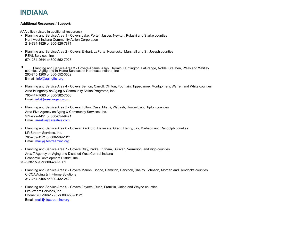### **INDIANA**

#### **Additional Resources / Support:**

AAA office (Listed in additional resources)

- Planning and Service Area 1 Covers Lake, Porter, Jasper, Newton, Pulaski and Starke counties Northwest Indiana Community Action Corporation 219-794-1829 or 800-826-7871
- Planning and Service Area 2 Covers Elkhart, LaPorte, Kosciusko, Marshall and St. Joseph counties REAL Services, Inc. 574-284-2644 or 800-552-7928
- Planning and Service Area 3 Covers Adams, Allen, DeKalb, Huntington, LaGrange, Noble, Steuben, Wells and Whitley counties Aging and In-Home Services of Northeast Indiana, Inc. 260-745-1200 or 800-552-3662 E-mail: [info@agingihs.org](mailto:info@agingihs.org)
- Planning and Service Area 4 Covers Benton, Carroll, Clinton, Fountain, Tippecanoe, Montgomery, Warren and White counties Area IV Agency on Aging & Community Action Programs, Inc. 765-447-7683 or 800-382-7556 Email: [info@areaivagency.org](mailto:info@areaivagency.org)
- Planning and Service Area 5 Covers Fulton, Cass, Miami, Wabash, Howard, and Tipton counties Area Five Agency on Aging & Community Services, Inc. 574-722-4451 or 800-654-9421 Email: [areafive@areafive.com](mailto:areafive@areafive.com)
- Planning and Service Area 6 Covers Blackford, Delaware, Grant, Henry, Jay, Madison and Randolph counties LifeStream Services, Inc. 765-759-1121 or 800-589-1121 Email: [mail@lifestreaminc.org](mailto:mail@lifestreaminc.org)
- Planning and Service Area 7 Covers Clay, Parke, Putnam, Sullivan, Vermillion, and Vigo counties Area 7 Agency on Aging and Disabled West Central Indiana Economic Development District, Inc. 812-238-1561 or 800-489-1561
- Planning and Service Area 8 Covers Marion, Boone, Hamilton, Hancock, Shelby, Johnson, Morgan and Hendricks counties CICOA Aging & In-Home Solutions 317-254-5465 or 800-432-2422
- Planning and Service Area 9 Covers Fayette, Rush, Franklin, Union and Wayne counties LifeStream Services, Inc. Phone: 765-966-1795 or 800-589-1121 Email: [mail@lifestreaminc.org](mailto:mail@lifestreaminc.org)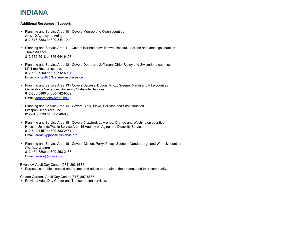# **INDIANA**

#### **Additional Resources / Support:**

- Planning and Service Area 10 Covers Monroe and Owen counties Area 10 Agency on Aging 812-876-3383 or 800-844-1010
- Planning and Service Area 11 Covers Bartholomew, Brown, Decatur, Jackson and Jennings counties Thrive Alliance 812-372-6918 or 866-644-6407;
- Planning and Service Area 12 Covers Dearborn, Jefferson, Ohio, Ripley and Switzerland counties LifeTime Resources, Inc. 812-432-6200 or 800-742-5001; Email: [contactltr@lifetime-resources.org](mailto:contactltr@lifetime-resources.org)
- Planning and Service Area 13 Covers Daviess, Dubois, Knox, Greene, Martin and Pike counties Generations Vincennes University Statewide Services 812-888-5880 or 800-742-9002 Email: [generations@vinu.edu](mailto:generations@vinu.edu)
- Planning and Service Area 14 Covers Clark, Floyd, Harrison and Scott counties Lifespan Resources, Inc. 812-948-8330 or 888-948-8330
- Planning and Service Area 15 Covers Crawford, Lawrence, Orange and Washington counties Hoosier Uplands/Public Service Area 15 Agency on Aging and Disability Services 812-849-4457 or 800-333-2451 Email: [area15@hoosieruplands.org](mailto:area15@hoosieruplands.org)
- Planning and Service Area 16 Covers Gibson, Perry, Posey, Spencer, Vanderburgh and Warrick counties SWIRCA & More 812-464-7800 or 800-253-2188 Email: [swirca@swirca.org](mailto:swirca@swirca.org)

Riverview Adult Day Center (574) 293-6886

• Purpose is to help disabled and/or impaired adults to remain in their homes and their community.

Golden Gardens Adult Day Center (317) 897-8555

• Provides Adult Day Center and Transportation services.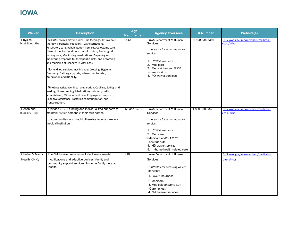# **IOWA**

| <b>Waiver</b>                             | <b>Description</b>                                                                                                                                                                                                                                                                                                                                                                                                                                                                                                                                                                                                                                                                                                                                                              | Age<br><b>Requirement</b> | <b>Agency Oversees</b>                                                                                                                                                                                                          | # Number       | <b>Website(s)</b>                                 |
|-------------------------------------------|---------------------------------------------------------------------------------------------------------------------------------------------------------------------------------------------------------------------------------------------------------------------------------------------------------------------------------------------------------------------------------------------------------------------------------------------------------------------------------------------------------------------------------------------------------------------------------------------------------------------------------------------------------------------------------------------------------------------------------------------------------------------------------|---------------------------|---------------------------------------------------------------------------------------------------------------------------------------------------------------------------------------------------------------------------------|----------------|---------------------------------------------------|
| Physical<br>Disabilities (PD)             | Skilled services may include: Tube feedings, Intravenous<br>therapy, Parenteral injections, Catheterizations,<br>Respiratory care, Rehabilitation services, Colostomy care,<br>Care of medical conditions out of control, Postsurgical<br>nursing care, Monitoring medications, Preparing and<br>monitoring response to therapeutic diets, and Recording<br>and reporting of changes in vital signs.<br>Non-skilled services may include: Dressing, Hygiene,<br>Grooming, Bathing supports, Wheelchair transfer,<br>Ambulation and mobility,<br>Toileting assistance, Meal preparation, Cooking, Eating and<br>feeding, Housekeeping, Medications ordinarily self-<br>administered, Minor wound care, Employment support,<br>Cognitive assistance, Fostering communication, and | 18-64                     | lowa Department of Human<br>Services<br>Hierarchy for accessing waiver<br>services:<br>1. Private insurance<br>2. Medicare<br>3. Medicaid and/or EPSDT<br>(Care for Kids)<br>4. PD waiver services                              | 1-800-338-8366 | DHS.lowa.gov/ime/members/medicaid-<br>a-to-z/hcbs |
| Health and<br>Disability (HD);            | Transportation.<br>provides service funding and individualized supports to<br>maintain eligible persons in their own homes<br>or communities who would otherwise require care in a<br>medical institution                                                                                                                                                                                                                                                                                                                                                                                                                                                                                                                                                                       | 65 and under              | lowa Department of Human<br>Services<br>Hierarchy for accessing waiver<br>services:<br>Private insurance<br>2. Medicare<br>Medicaid and/or EPSDT.<br>(Care for Kids)<br>4. HD waiver services<br>5. In-home health-related care | 1-800-338-8366 | DHS.lowa.gov/ime/members/medicaid-<br>a-to-z/hcbs |
| <b>Children's Mental</b><br>Health (CMH); | The CMH waiver services include: Environmental<br>modifications and adaptive devices, Family and<br>community support services, In-home family therapy,<br>Respite                                                                                                                                                                                                                                                                                                                                                                                                                                                                                                                                                                                                              | 0-18                      | lowa Department of Human<br>Services<br>Hierarchy for accessing waiver<br>services:<br>1. Private insurance<br>2. Medicare<br>3. Medicaid and/or EPSDT<br>(Care for Kids)<br>4. CMH waiver services                             |                | DHS.lowa.gov/ime/members/medicaid-<br>a-to-z/hcbs |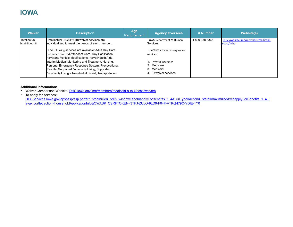### **IOWA**

| <b>Waiver</b>                    | <b>Description</b>                                                                                                                                                                                                                                                                                                                                                                      | Age<br><b>Requirement</b> | <b>Agency Oversees</b>                                                                                         | # Number       | <b>Website(s)</b>                                 |
|----------------------------------|-----------------------------------------------------------------------------------------------------------------------------------------------------------------------------------------------------------------------------------------------------------------------------------------------------------------------------------------------------------------------------------------|---------------------------|----------------------------------------------------------------------------------------------------------------|----------------|---------------------------------------------------|
| Intellectual<br>Disabilities (ID | Intellectual Disability (ID) waiver services are<br>Individualized to meet the needs of each member.                                                                                                                                                                                                                                                                                    |                           | lowa Department of Human<br>Services                                                                           | 1-800-338-8366 | DHS.lowa.gov/ime/members/medicaid-<br>a-to-z/hcbs |
|                                  | The following services are available: Adult Day Care,<br>Consumer-Directed Attendant Care, Day Habilitation,<br>Home and Vehicle Modifications, Home Health Aide,<br>Interim Medical Monitoring and Treatment, Nursing,<br>Personal Emergency Response System, Prevocational,<br>Respite, Supported Community Living, Supported<br>Community Living - Residential Based, Transportation |                           | Hierarchy for accessing waiver<br>services:<br>Private insurance<br>Medicare<br>Medicaid<br>ID waiver services |                |                                                   |

#### **Additional Information:**

• Waiver Comparison Website: [DHS.Iowa.gov/ime/members/medicaid-a-to-z/hcbs/waivers](https://dhs.iowa.gov/ime/members/medicaid-a-to-z/hcbs/waivers)

• To apply for services:

DHSServices.Iowa.gov/apspssp/ssp.portal?\_nfpb=true&\_st=&\_windowLabel=applyForBenefits\_1\_4&\_urlType=action&\_state=maximized&wlpapplyForBenefits\_1\_4\_j [avax.portlet.action=householdApplicationInfo&OWASP\\_CSRFTOKEN=3TFJ-ZULO-9LD9-F04F-VTKQ-I79C-YDIE-1Y0](https://dhsservices.iowa.gov/apspssp/ssp.portal?_nfpb=true&_st&_windowLabel=applyForBenefits_1_4&_urlType=action&_state=maximized&wlpapplyForBenefits_1_4_javax.portlet.action=householdApplicationInfo&OWASP_CSRFTOKEN=3TFJ-ZULO-9LD9-F04F-VTKQ-I79C-YDIE-1Y03)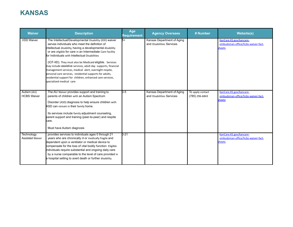# **KANSAS**

| <b>Waiver</b>                        | <b>Description</b>                                                                                                                                                                                                                                                                                                                                                                                                                                                                                                                                                                                                               | Age<br><b>Requirement</b> | <b>Agency Oversees</b>                                  | # Number                           | <b>Website(s)</b>                                                       |
|--------------------------------------|----------------------------------------------------------------------------------------------------------------------------------------------------------------------------------------------------------------------------------------------------------------------------------------------------------------------------------------------------------------------------------------------------------------------------------------------------------------------------------------------------------------------------------------------------------------------------------------------------------------------------------|---------------------------|---------------------------------------------------------|------------------------------------|-------------------------------------------------------------------------|
| <b>I/DD Waiver</b>                   | The Intellectual/Developmental Disability (IDD) waiver<br>serves individuals who meet the definition of<br>Intellectual disability, having a developmental disability<br>or are eligible for care in an Intermediate Care Facility<br>for Individuals with Intellectual Disabilities<br>(ICF-IID). They must also be Medicaid eligible. Services<br>may include assistive services, adult day supports, financial<br>management services, medical alert, overnight respite,<br>personal care services, residential supports for adults,<br>residential support for children, enhanced care services,<br>specialized medical care | $F_{+}$                   | Kansas Department of Aging<br>and Disabilities Services |                                    | KanCare.KS.gov/kancare-<br>ombudsman-office/hcbs-waiver-fact-<br>sheets |
| Autism (AU)<br><b>HCBS Waiver</b>    | The AU Waiver provides support and training to<br>parents of children with an Autism Spectrum<br>Disorder (ASD) diagnosis to help ensure children with<br>ASD can remain in their family home.<br>Its services include family adjustment counseling,<br>parent support and training (peer-to-peer) and respite<br>care.<br>Must have Autism diagnosis                                                                                                                                                                                                                                                                            | 0-5                       | Kansas Department of Aging<br>and Disabilities Services | To apply contact<br>(785) 296-6843 | KanCare.KS.gov/kancare-<br>ombudsman-office/hcbs-waiver-fact-<br>sheets |
| Technology<br><b>Assisted Waiver</b> | provides services to individuals ages 0 through 21<br>years who are chronically ill or medically fragile and<br>dependent upon a ventilator or medical device to<br>compensate for the loss of vital bodily function. Eligible<br>individuals require substantial and ongoing daily care<br>by a nurse comparable to the level of care provided in<br>a hospital setting to avert death or further disability.                                                                                                                                                                                                                   | $0 - 21$                  |                                                         |                                    | KanCare.KS.gov/kancare-<br>ombudsman-office/hcbs-waiver-fact-<br>sheets |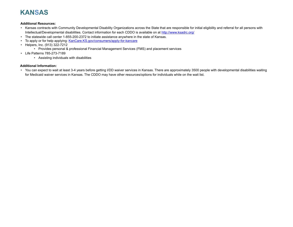# **KANSAS**

#### **Additional Resources:**

- Kansas contracts with Community Developmental Disability Organizations across the State that are responsible for initial eligibility and referral for all persons with Intellectual/Developmental disabilities. Contact information for each CDDO is available on at <http://www.ksadrc.org/>
- The statewide call center 1-855-200-2372 to initiate assistance anywhere in the state of Kansas.
- To apply or for help applying: [KanCare.KS.gov/consumers/apply-for-kancare](https://kancare.ks.gov/consumers/apply-for-kancare)
- Helpers, Inc. (913) 322-7212
	- Provides personal & professional Financial Management Services (FMS) and placement services
- Life Patterns 785-273-7189
	- Assisting individuals with disabilities

### **Additional Information:**

• You can expect to wait at least 3-4 years before getting I/DD waiver services in Kansas. There are approximately 3500 people with developmental disabilities waiting for Medicaid waiver services in Kansas. The CDDO may have other resources/options for individuals while on the wait list.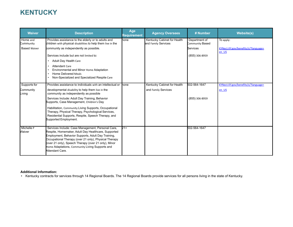# **KENTUCKY**

| <b>Waiver</b>                                | <b>Description</b>                                                                                                                                                                                                                                                                                                                                                                                                                                     | Age<br>Requirement | <b>Agency Oversees</b>                             | # Number                                                              | <b>Website(s)</b>                                         |
|----------------------------------------------|--------------------------------------------------------------------------------------------------------------------------------------------------------------------------------------------------------------------------------------------------------------------------------------------------------------------------------------------------------------------------------------------------------------------------------------------------------|--------------------|----------------------------------------------------|-----------------------------------------------------------------------|-----------------------------------------------------------|
| Home and<br>Community<br><b>Based Waiver</b> | Provides assistance to the elderly or to adults and<br>children with physical disabilities to help them live in the<br>community as independently as possible.<br>Services include but are not limited to:<br>Adult Day Health Care<br>Attendant Care<br>Environmental and Minor Home Adaptation<br><b>Home Delivered Meals</b><br>Non-Specialized and Specialized Respite Care                                                                        | none               | Kentucky Cabinet for Health<br>and Family Services | Department of<br>Community Based<br><b>Services</b><br>(855) 306-8959 | To apply:<br>KYNect.KY.gov/benefits/s/?language=<br>en US |
| Supports for<br>Community<br>Living          | Provides assistance to individuals with an intellectual or<br>developmental disability to help them live in the<br>community as independently as possible<br>Services Include: Adult Day Training, Behavior<br>Supports, Case Management, Children's Day<br>Habilitation, Community Living Supports, Occupational<br>Therapy, Physical Therapy, Psychological Services,<br>Residential Supports, Respite, Speech Therapy, and<br>Supported Employment. | hone               | Kentucky Cabinet for Health<br>and Family Services | 502-564-1647<br>(855) 306-8959                                        | KYNect.KY.gov/benefits/s/?language=<br>en US              |
| Michelle P<br>Waiver                         | Services Include: Case Management, Personal Care,<br>Respite, Homemaker, Adult Day Healthcare, Supported<br>Employment, Behavior Supports, Adult Day Training,<br>Occupational Therapy (over 21 only), Physical Therapy<br>(over 21 only), Speech Therapy (over 21 only), Minor<br>Home Adaptations, Community Living Supports and<br>Attendant Care.                                                                                                  | $21+$              |                                                    | 502-564-1647                                                          |                                                           |

#### **Additional Information:**

• Kentucky contracts for services through 14 Regional Boards. The 14 Regional Boards provide services for all persons living in the state of Kentucky.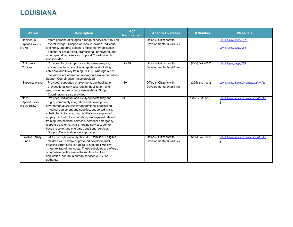# **LOUISIANA**

| <b>Waiver</b>         | <b>Description</b>                                                                                             | Age<br>Requirement | <b>Agency Oversees</b>     | # Number           | <b>Website(s)</b>                  |
|-----------------------|----------------------------------------------------------------------------------------------------------------|--------------------|----------------------------|--------------------|------------------------------------|
| Residential           | offers persons of all ages a range of services within an                                                       |                    | Office of Citizens with    |                    | LDH.LA.gov/page/1875               |
| <b>Options Waiver</b> | overall budget. Support options to include: individual                                                         |                    | Developmental Disabilities |                    |                                    |
| (ROW)                 | and family supports options, employment/habilitation                                                           |                    |                            |                    | LDH.LA.gov/page/134                |
|                       | options, skilled nursing, professional, behavioral, and<br>other specialized services. Support Coordination is |                    |                            |                    |                                    |
|                       | also included.                                                                                                 |                    |                            |                    |                                    |
| Children's            | Provides: Family supports, center-based respite,                                                               | $4 - 18$           | Office of Citizens with    | $(225)$ 342 - 0095 | LDH.LA.gov/page/218                |
| Choices               | environmental accessibility adaptations (including                                                             |                    | Developmental Disabilities |                    |                                    |
|                       | vehicles), and family training. Children who age out of                                                        |                    |                            |                    |                                    |
|                       | the waiver are offered an appropriate waiver for adults.                                                       |                    |                            |                    |                                    |
| Supports Waiver       | Support Coordination is also provided.<br>Provides: supported employment; day habilitation;                    | $18+$              | Office of Citizens with    | $(225)$ 342 - 0095 | LDH.LA.gov/index.cfm/page/134/n/13 |
|                       | prevocational services; respite; habilitation; and                                                             |                    | Developmental Disabilities |                    | $\overline{z}$                     |
|                       | personal emergency response systems. Support                                                                   |                    |                            |                    |                                    |
|                       | Coordination is also provided.                                                                                 |                    |                            |                    |                                    |
| New                   | Provides: individual and family supports (day and                                                              | k+                 |                            | 1.866.783.5553     | LDH.LA.gov/index.cfm/page/134/n/13 |
| Opportunities         | night) community integration and development                                                                   |                    |                            |                    | $\overline{1}$                     |
| Waiver (NOW)          | environmental accessibility adaptations, specialized                                                           |                    |                            |                    |                                    |
|                       | medical equipment and supplies, supported living,                                                              |                    |                            |                    |                                    |
|                       | substitute family care, day habilitation or supported                                                          |                    |                            |                    |                                    |
|                       | employment with transportation, employment related                                                             |                    |                            |                    |                                    |
|                       | training, professional services, personal emergency                                                            |                    |                            |                    |                                    |
|                       | response systems, skilled nursing services, center-                                                            |                    |                            |                    |                                    |
|                       | based respite, and one-time transitional services.<br>Support Coordination is also provided.                   |                    |                            |                    |                                    |
| Flexible Family       | OCDD provides monthly stipends to families of eligible                                                         |                    | Office of Citizens with    | $(225)$ 342 - 0095 | LDH.LA.gov/index.cfm/page/134/n/13 |
| Funds                 | children with severe or profound developmental                                                                 |                    | Developmental Disabilities |                    | $\mathbf{Z}$                       |
|                       | disabilities from birth to age 18 to help their families                                                       |                    |                            |                    |                                    |
|                       | meet extraordinary costs. These subsidies are offered                                                          |                    |                            |                    |                                    |
|                       | on a first-come, first-served basis. To submit an                                                              |                    |                            |                    |                                    |
|                       | application, contact a human services district or                                                              |                    |                            |                    |                                    |
|                       | authority.                                                                                                     |                    |                            |                    |                                    |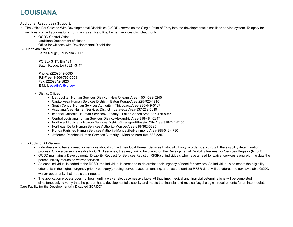# **LOUISIANA**

#### **Additional Resources / Support:**

- The Office For Citizens With Developmental Disabilities (OCDD) serves as the Single Point of Entry into the developmental disabilities service system. To apply for services, contact your regional community service office/ human services district/authority.
	- OCDD Central Office Louisiana Department of Health Office for Citizens with Developmental Disabilities
- 628 North 4th Street

Baton Rouge, Louisiana 70802

PO Box 3117, Bin #21 Baton Rouge, LA 70821-3117

Phone: (225) 342-0095 Toll-Free: 1-866-783-5553 Fax: (225) 342-8823 E-Mail: **[ocddinfo@la.gov](mailto:ocddinfo@la.gov)** 

- District Offices
	- Metropolitan Human Services District New Orleans Area 504-599-0245
	- Capitol Area Human Services District Baton Rouge Area-225-925-1910
	- South Central Human Services Authority Thibodaux Area-985-449-5167
	- Acadiana Area Human Services District Lafayette Area-337-262-5610
	- Imperial Calcasieu Human Services Authority Lake Charles Area-337-475-8045
	- Central Louisiana human Services District-Alexandria Area-318-484-2347
	- Northwest Louisiana Human Services District-Shreveport/Bossier City Area-318-741-7455
	- Northeast Delta Human Services Authority-Monroe Area-318-362-3396
	- Florida Parishes Human Services Authority-Mandeville/Hammond Area-985-543-4730
	- Jefferson Parishes Human Services Authority Metairie Area-504-838-5357
- To Apply for All Waivers:
	- Individuals who have a need for services should contact their local Human Services District/Authority in order to go through the eligibility determination process. Once a person is eligible for OCDD services, they may ask to be placed on the Developmental Disability Request for Services Registry (RFSR).
	- OCDD maintains a Developmental Disability Request for Services Registry (RFSR) of individuals who have a need for waiver services along with the date the person initially requested waiver services.
	- As each individual is added to the RFSR, the individual is screened to determine their urgency of need for services. An individual, who meets the eligibility criteria, is in the highest urgency priority category(s) being served based on funding, and has the earliest RFSR date, will be offered the next available OCDD waiver opportunity that meets their needs.
	- The application process does not begin until a waiver slot becomes available. At that time, medical and financial determinations will be completed simultaneously to verify that the person has a developmental disability and meets the financial and medical/psychological requirements for an Intermediate

Care Facility for the Developmentally Disabled (ICF/DD).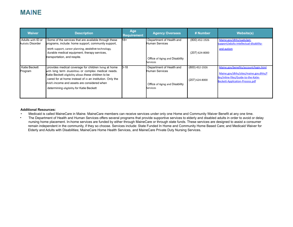### **MAINE**

| <b>Waiver</b>                          | <b>Description</b>                                                                                                                                                                                                                                                                                                                | Age<br><b>Requirement</b> | <b>Agency Oversees</b>                                                                          | # Number                           | <b>Website(s)</b>                                                                                                                                                 |
|----------------------------------------|-----------------------------------------------------------------------------------------------------------------------------------------------------------------------------------------------------------------------------------------------------------------------------------------------------------------------------------|---------------------------|-------------------------------------------------------------------------------------------------|------------------------------------|-------------------------------------------------------------------------------------------------------------------------------------------------------------------|
| Adults with ID or<br>Autistic Disorder | Some of the services that are available through these<br>programs, include: home support, community support,<br>work support, career planning, assistive technology,<br>durable medical equipment, therapy services,<br>transportation, and respite.                                                                              | 18+                       | Department of Health and<br>Human Services<br>Office of Aging and Disability<br><b>Services</b> | (800) 452-1926<br>$(207)$ 624-8000 | Maine.gov/dhhs/oads/get-<br>support/adults-intellectual-disability-<br>and-autism                                                                                 |
| Katie Beckett<br>Program               | provides medical coverage for children living at home<br>with long term disabilities or complex medical needs.<br>Katie Beckett eligibility allows these children to be<br>cared for at home instead of in an institution. Only the<br>child's income and assets are considered when<br>determining eligibility for Katie Beckett | 0-18                      | Department of Health and<br>Human Services<br>Office of Aging and Disability<br>Services        | (800) 452-1926<br>$(207)$ 624-8000 | Maine.gov/benefits/account/login.html<br>Maine.gov/dhhs/sites/maine.gov.dhhs/f<br>iles/inline-files/Guide-to-the-Katie-<br><b>Beckett-Application-Process.pdf</b> |

#### **Additional Resources:**

- Medicaid is called MaineCare in Maine. MaineCare members can receive services under only one Home and Community Waiver Benefit at any one time.
- The Department of Health and Human Services offers several programs that provide supportive services to elderly and disabled adults in order to avoid or delay nursing home placement. In-home services are funded by either through MaineCare or through state funds. These services are designed to assist a consumer remain independent in the community, if they so choose. Services include: State Funded In Home and Community Home Based Care; and Medicaid Waiver for Elderly and Adults with Disabilities; MaineCare Home Health Services, and MaineCare Private Duty Nursing Services.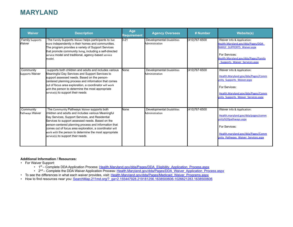### **MARYLAND**

| <b>Waiver</b>                    | <b>Description</b>                                                                                                                                                                                                                                                                                                                                                                                                           | Age<br><b>Requirement</b> | <b>Agency Oversees</b>                              | # Number      | <b>Website(s)</b>                                                                                                                                                                               |
|----------------------------------|------------------------------------------------------------------------------------------------------------------------------------------------------------------------------------------------------------------------------------------------------------------------------------------------------------------------------------------------------------------------------------------------------------------------------|---------------------------|-----------------------------------------------------|---------------|-------------------------------------------------------------------------------------------------------------------------------------------------------------------------------------------------|
| <b>Family Supports</b><br>Waiver | The Family Supports Waiver helps participants to live<br>more independently in their homes and communities.<br>The program provides a variety of Support Services<br>that promote community living, including a self-directed<br>service model and traditional, agency-based service<br>model.                                                                                                                               | $D-21$                    | <b>Developmental Disabilities</b><br>Administration | (410)767-6500 | Waiver Info & Application:<br>Health.Maryland.gov/dda/Pages/DDA<br><b>FAMILY SUPPORTS Waiver.aspx</b><br>For Services:<br>Health.Maryland.gov/dda/Pages/Family<br>Supports Waiver Services.aspx |
| Community<br>Supports Waiver     | supports both children and adults and includes various<br>Meaningful Day Services and Support Services to<br>support assessed needs. Based on the person-<br>centered planning process and information that comes<br>put of focus area exploration, a coordinator will work<br>with the person to determine the most appropriate<br>service(s) to support their needs                                                        | None                      | Developmental Disabilities<br>Administration        | (410)767-6500 | Waiver Info & Application:<br>Health.Maryland.gov/dda/Pages/Comm<br>unity Supports Waiver.aspx<br>For Services:<br>Health.Maryland.gov/dda/Pages/Comm<br>unity Supports Waiver Services.aspx    |
| Community<br>Pathways Waiver     | The Community Pathways Waiver supports both<br>children and adults and includes various Meaningful<br>Day Services, Support Services, and Residential<br>Services to support assessed needs. Based on the<br>person-centered planning process and information that<br>comes out of focus area exploration, a coordinator will<br>work with the person to determine the most appropriate<br>service(s) to support their needs | None                      | Developmental Disabilities<br>Administration        | (410)767-6500 | Waiver Info & Application:<br>Health.maryland.gov/dda/pages/comm<br>unity%20pathways.aspx<br>For Services:<br>Health.maryland.gov/dda/Pages/Comm<br>unity Pathways Waiver Services.aspx         |

#### **Additional Information / Resources:**

- For Waiver Support:
	- 1st Complete DDA Application Process: [Health.Maryland.gov/dda/Pages/DDA\\_Eligibility\\_Application\\_Process.aspx](https://health.maryland.gov/dda/Pages/DDA_Eligibility_Application_Process.aspx)
	- 2<sup>nd</sup> Complete the DDA Waiver Application Process: [Health.Maryland.gov/dda/Pages/DDA\\_Waiver\\_Application\\_Process.aspx](https://health.maryland.gov/dda/Pages/DDA_Waiver_Application_Process.aspx)
- To see the differences in what each waiver provides, visit: [Health.Maryland.gov/dda/Pages/Medicaid\\_Waiver\\_Programs.aspx](https://health.maryland.gov/dda/Pages/Medicaid_Waiver_Programs.aspx)
- How to find resources near you: [SearchMap.211md.org/?\\_ga=2.155447928.219181256.1638500606-1026621283.1638500606](https://searchmap.211md.org/?_ga=2.155447928.219181256.1638500606-1026621283.1638500606)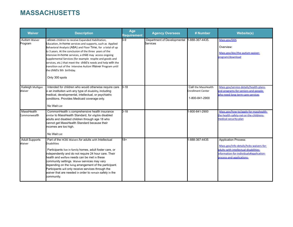### **MASSACHUSETTS**

| <b>Waiver</b>                   | <b>Description</b>                                                                                                                                                                                                                                                                                                                                                                                                                                                                                                                            | Age<br>Requirement | <b>Agency Oversees</b>                         | # Number                                                   | <b>Website(s)</b>                                                                                                                                                                         |
|---------------------------------|-----------------------------------------------------------------------------------------------------------------------------------------------------------------------------------------------------------------------------------------------------------------------------------------------------------------------------------------------------------------------------------------------------------------------------------------------------------------------------------------------------------------------------------------------|--------------------|------------------------------------------------|------------------------------------------------------------|-------------------------------------------------------------------------------------------------------------------------------------------------------------------------------------------|
| <b>Autism Waiver</b><br>Program | allows children to receive Expanded Habilitation,<br>Education, in-home services and supports, such as Applied<br>Behavioral Analysis (ABA) and Floor Time, for a total of up<br>to 3 years. At the conclusion of the three years of the<br>intensive in-home services, a child may access ongoing<br>Supplemental Services (for example respite and goods and<br>services, etc.) that meet the child's needs and help with the<br>transition out of the intensive Autism Waiver Program until<br>the child's 9th birthday.<br>Only 300 spots | $3-9$              | Department of Developmental<br><b>Services</b> | 1-888-367-4435.                                            | Mass.gov/DDS<br>Overview:<br>Mass.gov/doc/the-autism-waiver-<br>program/download                                                                                                          |
| Kaileigh Mulligan<br>Waiver     | Intended for children who would otherwise require care 0-18<br>in an institution with any type of disability, including<br>medical, developmental, intellectual, or psychiatric<br>conditions. Provides Medicaid coverage only.<br>No Wait List                                                                                                                                                                                                                                                                                               |                    |                                                | Call the MassHealth<br>Enrollment Center<br>1-800-841-2900 | Mass.gov/service-details/health-plans-<br>and-programs-for-seniors-and-people-<br>who-need-long-term-care-services                                                                        |
| MassHealth<br>Commonwealth      | CommonHealth is comprehensive health insurance<br>similar to MassHealth Standard, for eligible disabled<br>adults and disabled children through age 18 who<br>cannot get MassHealth Standard because their<br>incomes are too high.<br>No Wait List                                                                                                                                                                                                                                                                                           | $0 - 18$           |                                                | 1-800-841-2900                                             | Mass.gov/how-to/apply-for-masshealth-<br>he-health-safety-net-or-the-childrens-<br>medical-security-plan                                                                                  |
| <b>Adult Supports</b><br>Waiver | Part of the HCBS Waivers for adults with Intellectual<br><b>Disabilities</b><br>Participants live in family homes, adult foster care, or<br>independently and do not require 24 hour care. Their<br>health and welfare needs can be met in these<br>community settings. Waiver services may vary<br>depending on the living arrangement of the participant.<br>Participants will only receive services through the<br>waiver that are needed in order to remain safely in the<br>community.                                                   | $18 +$             |                                                | 1-888-367-4435                                             | <b>Application Process:</b><br>Mass.gov/info-details/hcbs-waivers-for-<br>adults-with-intellectual-disabilities-<br>information-for-individuals#application-<br>process-and-applications- |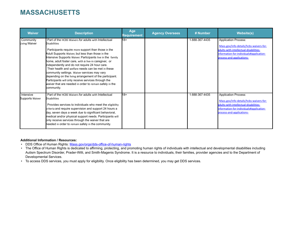### **MASSACHUSETTS**

| <b>Waiver</b>                | <b>Description</b>                                                                                                                                                                                                                                                                                                                                                                                                                                                                                                                                                                                                                                                 | Age<br>Requirement | <b>Agency Oversees</b> | # Number       | <b>Website(s)</b>                                                                                                                                                                         |
|------------------------------|--------------------------------------------------------------------------------------------------------------------------------------------------------------------------------------------------------------------------------------------------------------------------------------------------------------------------------------------------------------------------------------------------------------------------------------------------------------------------------------------------------------------------------------------------------------------------------------------------------------------------------------------------------------------|--------------------|------------------------|----------------|-------------------------------------------------------------------------------------------------------------------------------------------------------------------------------------------|
| Community<br>Living Waiver   | Part of the HCBS Waivers for adults with Intellectual<br><b>Disabilities</b><br>Participants require more support than those in the<br>Adult Supports Waiver, but less than those in the<br>Intensive Supports Waiver. Participants live in the family<br>home, adult foster care, with a live-in caregiver, or<br>independently and do not require 24 hour care.<br>Their health and welfare needs can be met in these<br>community settings. Waiver services may vary<br>depending on the living arrangement of the participant.<br>Participants will only receive services through the<br>waiver that are needed in order to remain safely in the<br>community. | $18+$              |                        | 1-888-367-4435 | <b>Application Process:</b><br>Mass.gov/info-details/hcbs-waivers-for-<br>adults-with-intellectual-disabilities-<br>information-for-individuals#application-<br>process-and-applications- |
| Intensive<br>Supports Waiver | Part of the HCBS Waivers for adults with Intellectual<br><b>Disabilities</b><br>Provides services to individuals who meet the eligibility<br>criteria and require supervision and support 24 hours a<br>day, seven days a week due to significant behavioral,<br>medical and/or physical support needs. Participants will<br>only receive services through the waiver that are<br>needed in order to remain safely in the community.                                                                                                                                                                                                                               | $18+$              |                        | 1-888-367-4435 | <b>Application Process:</b><br>Mass.gov/info-details/hcbs-waivers-for-<br>adults-with-intellectual-disabilities-<br>information-for-individuals#application-<br>process-and-applications- |

### **Additional Information / Resources:**

- DDS Office of Human Rights: [Mass.gov/orgs/dds-office-of-human-rights](https://www.mass.gov/orgs/dds-office-of-human-rights)
- The Office of Human Rights is dedicated to affirming, protecting, and promoting human rights of individuals with intellectual and developmental disabilities including Autism Spectrum Disorder, Prader-Willi, and Smith-Magenis Syndrome. It is a resource to individuals, their families, provider agencies and to the Department of Developmental Services.
- To access DDS services, you must apply for eligibility. Once eligibility has been determined, you may get DDS services.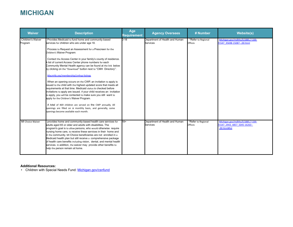# **MICHIGAN**

| <b>Waiver</b>                       | <b>Description</b>                                                                                                                                                                                                                                                                                                                                                                                                                                                                                                                                                                                                                                                                                                                                                                                                                                                                                                                                                                                                                                                   | Age<br><b>Requirement</b> | <b>Agency Oversees</b>                     | # Number                      | <b>Website(s)</b>                                                                 |
|-------------------------------------|----------------------------------------------------------------------------------------------------------------------------------------------------------------------------------------------------------------------------------------------------------------------------------------------------------------------------------------------------------------------------------------------------------------------------------------------------------------------------------------------------------------------------------------------------------------------------------------------------------------------------------------------------------------------------------------------------------------------------------------------------------------------------------------------------------------------------------------------------------------------------------------------------------------------------------------------------------------------------------------------------------------------------------------------------------------------|---------------------------|--------------------------------------------|-------------------------------|-----------------------------------------------------------------------------------|
| <b>Children's Waiver</b><br>Program | Provides Medicaid to fund home and community-based<br>services for children who are under age 18.<br>Process to Request an Assessment for a Prescreen for the<br>Children's Waiver Program:<br>Contact the Access Center in your family's county of residence.<br>A list of current Access Center phone numbers for each<br>Community Mental Health agency can be found at the link below<br>by clicking on the "Download" button next to "CMH Directory":<br>Macmhb.org/membership/cmhsp-listings<br>When an opening occurs on the CWP, an invitation to apply is<br>ssued to the child with the highest updated score that meets all<br>requirements at that time. Medicaid status is checked before<br>invitations to apply are issued. If your child receives an invitation<br>to apply, you will be contacted to make sure you still want to<br>apply for the Children's Waiver Program.<br>A total of 469 children are served on the CWP annually. All<br>openings are filled on a monthly basis, and generally, some<br>openings become available each month. | $0 - 18$                  | Department of Health and Human<br>Services | *Refer to Regional<br>Offices | Michigan.gov/mdhhs/0,5885,7-339-<br>71547 35698-15087--,00.html                   |
| MI Choice Waiver                    | provides home and community-based health care services for<br>adults aged 65 or older and adults with disabilities. The<br>program's goal is to allow persons, who would otherwise require<br>hursing home care, to receive these services in their home and<br>In the community. MI Choice beneficiaries are not enrolled in a<br>Medicaid health plan but still receive a comprehensive package<br>of health care benefits including vision, dental, and mental health<br>services. In addition, the waiver may provide other benefits to<br>help the person remain at home.                                                                                                                                                                                                                                                                                                                                                                                                                                                                                       | $18+$                     | Department of Health and Human<br>Services | *Refer to Regional<br>Offices | Michigan.gov/mdhhs/0,5885,7-339-<br>71547 2943 4857 5045-16263--<br>.00.html#list |

### **Additional Resources:**

• Children with Special Needs Fund: [Michigan.gov/csnfund](https://www.michigan.gov/csnfund)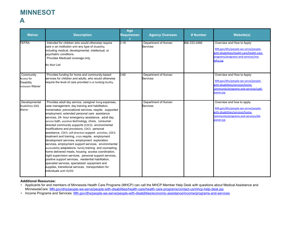### **MINNESOT A**

| <b>Waiver</b>                                                           | <b>Description</b>                                                                                                                                                                                                                                                                                                                                                                                                                                                                                                                                                                                                                                                                                                                                                                                                                                                                                                                                                                                                                        | Age<br><b>Requiremen</b> | <b>Agency Oversees</b>          | # Number     | <b>Website(s)</b>                                                                                                                                                 |
|-------------------------------------------------------------------------|-------------------------------------------------------------------------------------------------------------------------------------------------------------------------------------------------------------------------------------------------------------------------------------------------------------------------------------------------------------------------------------------------------------------------------------------------------------------------------------------------------------------------------------------------------------------------------------------------------------------------------------------------------------------------------------------------------------------------------------------------------------------------------------------------------------------------------------------------------------------------------------------------------------------------------------------------------------------------------------------------------------------------------------------|--------------------------|---------------------------------|--------------|-------------------------------------------------------------------------------------------------------------------------------------------------------------------|
| <b>TEFRA</b>                                                            | Intended for children who would otherwise require<br>care in an institution with any type of disability,<br>including medical, developmental, intellectual, or<br>psychiatric conditions.<br>Provides Medicaid coverage only.<br>No Wait List                                                                                                                                                                                                                                                                                                                                                                                                                                                                                                                                                                                                                                                                                                                                                                                             | $0 - 18$                 | Department of Human<br>Services | 866-333-2466 | Overview and How to Apply:<br>MN.gov/dhs/people-we-serve/people-<br>with-disabilities/health-care/health-care-<br>programs/programs-and-services/ma-<br>tefra.jsp |
| Community<br>Access for<br><b>Disability</b><br><b>Inclusion Waiver</b> | Provides funding for home and community-based<br>services for children and adults, who would otherwise<br>require the level of care provided in a nursing facility.                                                                                                                                                                                                                                                                                                                                                                                                                                                                                                                                                                                                                                                                                                                                                                                                                                                                       | $0 - 65$                 | Department of Human<br>Services |              | Overview and How to Apply:<br>MN.gov/dhs/people-we-serve/people-<br>with-disabilities/services/home-<br>community/programs-and-services/cadi-<br>waiver.jsp       |
| Developmental<br>Disabilities (DD)<br>Waiver                            | Provides adult day service, caregiver living expenses,<br>case management, day training and habilitation,<br>homemaker, prevocational services, respite, supported<br>employment, extended personal care assistance<br>services, 24- hour emergency assistance, adult day<br>service bath, assistive technology, chore, consumer<br>directed community supports (CDCS): environmental<br>modifications and provisions, CDCS: personal<br>assistance, CDCS: self-direction support activities, CDCS:<br>treatment and training, crisis respite, employment<br>development services, employment exploration<br>services, employment support services, environmental<br>accessibility adaptations, family training and counseling,<br>home delivered meals, housing access coordination,<br>hight supervision services, personal support services,<br>positive support services, residential habilitation,<br>specialist services, specialized equipment and<br>supplies, transitional services, transportation for<br>ndividuals with ID/DD |                          | Department of Human<br>Services |              | Overview and how to apply:<br>MN.gov/dhs/people-we-serve/people-<br>with-disabilities/services/home-<br>community/programs-and-services/dd-<br>waiver.jsp         |

#### **Additional Resources:**

• Applicants for and members of Minnesota Health Care Programs (MHCP) can call the MHCP Member Help Desk with questions about Medical Assistance and MinnesotaCare. [MN.gov/dhs/people-we-serve/people-with-disabilities/health-care/health-care-programs/contact-us/mhcp-help-desk.jsp](https://mn.gov/dhs/people-we-serve/people-with-disabilities/health-care/health-care-programs/contact-us/mhcp-help-desk.jsp)

• Income Programs and Services: [MN.gov/dhs/people-we-serve/people-with-disabilities/economic-assistance/income/programs-and-services](https://mn.gov/dhs/people-we-serve/people-with-disabilities/economic-assistance/income/programs-and-services/)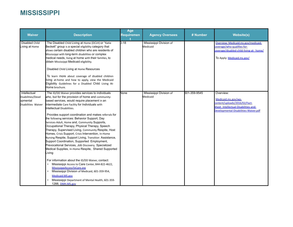## **MISSISSIPPI**

| <b>Waiver</b>                                                         | <b>Description</b>                                                                                                                                                                                                                                                                                                                                                                                                                                                                                                                                                                                                                                                                                                                                                                                                                                                                                                                                                                                                                                                                        | Age<br><b>Requiremen</b> | <b>Agency Oversees</b>              | # Number     | <b>Website(s)</b>                                                                                                                                  |
|-----------------------------------------------------------------------|-------------------------------------------------------------------------------------------------------------------------------------------------------------------------------------------------------------------------------------------------------------------------------------------------------------------------------------------------------------------------------------------------------------------------------------------------------------------------------------------------------------------------------------------------------------------------------------------------------------------------------------------------------------------------------------------------------------------------------------------------------------------------------------------------------------------------------------------------------------------------------------------------------------------------------------------------------------------------------------------------------------------------------------------------------------------------------------------|--------------------------|-------------------------------------|--------------|----------------------------------------------------------------------------------------------------------------------------------------------------|
| Disabled Child<br>Living at Home                                      | The Disabled Child Living at Home (DCLH) or "Katie<br>Beckett" group is a special eligibility category that<br>allows certain disabled children who are residents of<br>Mississippi with long-term disabilities or complex<br>medical needs, living at home with their families, to<br>obtain Mississippi Medicaid eligibility.<br>Disabled Child Living at Home Resources<br>To learn more about coverage of disabled children<br>living at-home and how to apply, view the Medicaid<br>Eligibility Guidelines for a Disabled Child Living At-<br>Home brochure.                                                                                                                                                                                                                                                                                                                                                                                                                                                                                                                         | $0 - 18$                 | Mississippi Division of<br>Medicaid |              | Overview: Medicaid.ms.gov/medicaid-<br>coverage/who-qualifies-for-<br>coverage/disabled-child-living-at- home/<br>To Apply: Medicaid.ms.gov/       |
| Intellectual<br>Disabilities/Devel<br>opmental<br>Disabilities Waiver | The ID/DD Waiver provides services to individuals<br>who, but for the provision of home and community-<br>based services, would require placement in an<br>Intermediate Care Facility for Individuals with<br>Intellectual Disabilities.<br>Provides support coordination and makes referrals for<br>the following services: Behavior Support, Day<br>Services-Adult, Home and, Community Supports,<br>Occupational Therapy, Physical Therapy, Speech<br>Therapy, Supervised Living, Community Respite, Host<br>Homes, Crisis Support, Crisis Intervention, In-Home<br>Nursing Respite, Support Living, Transition Assistance,<br>Support Coordination, Supported Employment,<br>Prevocational Services, Job Discovery, Specialized<br>Medical Supplies, In-Home Respite, Shared Supported<br>Living<br>For information about the ID/DD Waiver, contact:<br>Mississippi Access to Care Center, 844-822-4622,<br>MississippiAccessToCare.org<br>Mississippi Division of Medicaid, 601-359-954,<br>Medicaid.MS.gov<br>Mississippi Department of Mental Health, 601-359-<br>1288, DMH.MS.gov | None                     | Mississippi Division of<br>Medicaid | 601-359-9545 | Overview:<br>Medicaid.ms.gov/wp-<br>content/uploads/2016/02/Fact-<br>Sheet Intellectual-Disabilities-and-<br>Developmental-Disabilities-Waiver.pdf |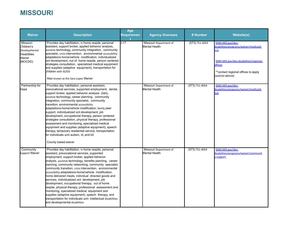# **MISSOURI**

| <b>Waiver</b>                                                                       | <b>Description</b>                                                                                                                                                                                                                                                                                                                                                                                                                                                                                                                                                                                                                                                                                                                                                                                                             | Age<br><b>Requiremen</b> | <b>Agency Oversees</b>                  | # Number           | <b>Website(s)</b>                                                                                                                                                                           |
|-------------------------------------------------------------------------------------|--------------------------------------------------------------------------------------------------------------------------------------------------------------------------------------------------------------------------------------------------------------------------------------------------------------------------------------------------------------------------------------------------------------------------------------------------------------------------------------------------------------------------------------------------------------------------------------------------------------------------------------------------------------------------------------------------------------------------------------------------------------------------------------------------------------------------------|--------------------------|-----------------------------------------|--------------------|---------------------------------------------------------------------------------------------------------------------------------------------------------------------------------------------|
| Missouri<br>Children's<br>Developmental<br><b>Disabilities</b><br>Waiver<br>(MOCDD) | Provides day habilitation, in home respite, personal<br>assistant, support broker, applied behavior analysis,<br>assistive technology, community integration, community<br>specialist, crisis intervention, environmental accessibility<br>adaptations-home/vehicle modification, individualized<br>skill development, out of home respite, person centered<br>strategies consultation, specialized medical equipment<br>and supplies (adaptive equipment), transportation for<br>children with ID/DD<br>Also known as the Sara Lopez Waiver                                                                                                                                                                                                                                                                                   | $0 - 17$                 | Missouri Department of<br>Mental Health | $(573) 751 - 4054$ | DMH.MO.gov/dev-<br>disabilities/programs/waiver/medicaid-<br><b>ncb</b><br>DMH.MO.gov/dev-disabilities/regional-<br><b>offices</b><br>**contact regional offices to apply<br>website above) |
| Partnership for<br>Hope                                                             | Provides day habilitation, personal assistant,<br>prevocational services, supported employment, dental,<br>support broker, applied behavior analysis (ABA),<br>assistive technology, career planning, community<br>Integration, community specialist, community<br>transition, environmental accessibility<br>adaptations-home/vehicle modification, family peer<br>support, individualized skill development, job<br>development, occupational therapy, person centered<br>strategies consultation, physical therapy, professional<br>assessment and monitoring, specialized medical<br>equipment and supplies (adaptive equipment), speech<br>therapy, temporary residential service, transportation<br>for individuals with autism, ID, and DD<br>County based waiver                                                       |                          | Missouri Department of<br>Mental Health | $(573) 751 - 4054$ | DMH.MO.gov/dev-<br>disabilities/programs/waiver/medicaid-<br><b>ncb</b>                                                                                                                     |
| Community<br>Support Waiver                                                         | Provides day habilitation, in home respite, personal<br>assistant, prevocational services, supported<br>employment, support broker, applied behavior<br>analysis, assistive technology, benefits planning, career<br>planning, community networking, community specialist,<br>community transition, crisis intervention, environmental<br>accessibility adaptations-home/vehicle modification,<br>home delivered meals, individual directed goods and<br>services, individualized skill development, job<br>development, occupational therapy, out of home<br>respite, physical therapy, professional assessment and<br>monitoring, specialized medical equipment and<br>supplies (adaptive equipment), speech therapy, and<br>transportation for individuals with intellectual disabilities<br>and developmental disabilities |                          | Missouri Department of<br>Mental Health | $(573) 751 - 4054$ | DMH.MO.gov/dev-<br>lisabilities/programs/waiver/communit<br>-support                                                                                                                        |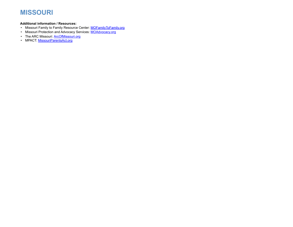# **MISSOURI**

#### **Additional information / Resources:**

- Missouri Family to Family Resource Center: MOFamily ToFamily.org
- Missouri Protection and Advocacy Services: [MOAdvocacy.org](http://www.moadvocacy.org/)
- The ARC Missouri: **[ArcOfMissouri.org](https://www.arcofmissouri.org/)**
- MPACT: **[MissouriParentsAct.org](https://www.missouriparentsact.org/)**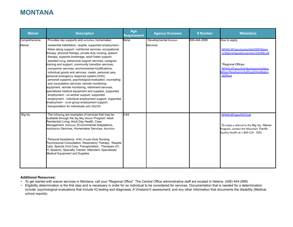## **MONTANA**

| <b>Waiver</b> | <b>Description</b>                                                                                                                                                                                                                                                                                                                                                                                                                                                                                                                                                                                                                                                                                                                                                                                                                                                                                                                                 | Age<br><b>Requirement</b> | <b>Agency Oversees</b> | # Number     | <b>Website(s)</b>                                                                                                                                                                             |
|---------------|----------------------------------------------------------------------------------------------------------------------------------------------------------------------------------------------------------------------------------------------------------------------------------------------------------------------------------------------------------------------------------------------------------------------------------------------------------------------------------------------------------------------------------------------------------------------------------------------------------------------------------------------------------------------------------------------------------------------------------------------------------------------------------------------------------------------------------------------------------------------------------------------------------------------------------------------------|---------------------------|------------------------|--------------|-----------------------------------------------------------------------------------------------------------------------------------------------------------------------------------------------|
| Comprehensive | Provides day supports and activities, homemaker,                                                                                                                                                                                                                                                                                                                                                                                                                                                                                                                                                                                                                                                                                                                                                                                                                                                                                                   | None                      | Developmental Division | 406-444-2995 | How to apply:                                                                                                                                                                                 |
| Waiver        | residential habilitation, respite, supported employment -<br>follow along support, nutritionist services, occupational<br>therapy, physical therapy, private duty nursing, speech<br>therapy, supports brokerage, adult foster support,<br>assisted living, behavioral support services, caregiver<br>training and support, community transition services,<br>companion services, environmental modifications,<br>individual goods and services, meals, personal care,<br>personal emergency response system (PERS),<br>personal supports, psychological evaluation, counseling<br>and consultation services, remote monitoring<br>equipment, remote monitoring, retirement services,<br>specialized medical equipment and supplies, supported<br>employment - co-worker support, supported<br>employment - individual employment support, supported<br>employment - small group employment support,<br>transportation for individuals with IDD/DD |                           | Services               |              | DPHHS.MT.gov/assets/dsd/DDP/Waive<br>rs/ddpmedsguidanceprotect102408.pdf<br>*Regional Offices:<br>DPHHS.MT.gov/dsd/developmentaldisa<br>oilities/DevelopmentalDisabilitiesRegion<br>alOffices |
| Big Sky       | The following are examples of services that may be<br>available through the Big Sky Waiver Program: Adult<br>Residential Living, Adult Day Health, Case<br>Management, Dietician, Environmental Adaptations,<br>Habilitation Services, Homemaker Services, Nutrition<br>Personal Assistance, PERS, Private Duty Nursing,<br>Psychosocial Consultation, Respiratory Therapy, Respite<br>Care, Special Child Care, Transportation, Therapies (OT,<br>PT, Speech), Specially Trained Attendant, Specialized<br><b>Medical Equipment and Supplies</b>                                                                                                                                                                                                                                                                                                                                                                                                  | $0 - 64$                  |                        |              | DPHHS.MT.gov/SLTC/csb<br>To make a referral to the Big Sky Waiver<br>Program, contact the Mountain Pacific<br>Quality Health at 1-800-219- 7035.                                              |

#### **Additional Resources:**

- To get started with waiver services in Montana, call your "Regional Office". The Central Office administrative staff are located in Helena. (406) 444-2995.
- Eligibility determination is the first step and is necessary in order for an individual to be considered for services. Documentation that is needed for a determination include: psychological evaluations that include IQ testing and diagnoses; A Vineland-II assessment; and any other information that documents the disability (Medical, school reports).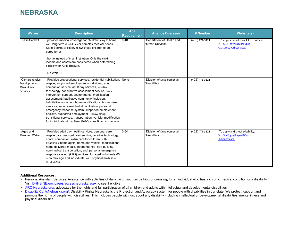### **NEBRASKA**

| <b>Waiver</b>                                                            | <b>Description</b>                                                                                                                                                                                                                                                                                                                                                                                                                                                                                                                                                                                                                                                                | Age<br><b>Requirement</b> | <b>Agency Oversees</b>                                  | # Number         | <b>Website(s)</b>                                                                           |
|--------------------------------------------------------------------------|-----------------------------------------------------------------------------------------------------------------------------------------------------------------------------------------------------------------------------------------------------------------------------------------------------------------------------------------------------------------------------------------------------------------------------------------------------------------------------------------------------------------------------------------------------------------------------------------------------------------------------------------------------------------------------------|---------------------------|---------------------------------------------------------|------------------|---------------------------------------------------------------------------------------------|
| Katie Beckett                                                            | provides medical coverage for children living at home<br>with long term disabilities or complex medical needs.<br>Katie Beckett eligibility allows these children to be<br>cared for at<br>home instead of in an institution. Only the child's<br>income and assets are considered when determining<br>eligibility for Katie Beckett.<br>No Wait List                                                                                                                                                                                                                                                                                                                             | $0 - 18$                  | Department of Health and<br>Human Services              | (402) 471-3121   | To apply contact local DHHS office:<br>DHHS.NE.gov/Pages/Public-<br>Assistance-Offices.aspx |
| Comprehensive<br>Developmental<br><b>Disabilities</b><br><b>Services</b> | Provides prevocational services, residential habilitation,<br>respite, supported employment – individual, adult<br>companion service, adult day services, assistive<br>technology, consultative assessment service, crisis<br>intervention support, environmental modification<br>assessment, habilitative community inclusion,<br>habilitative workshop, home modifications, homemaker<br>services, in-home residential habilitation, personal<br>emergency response system, supported employment -<br>enclave, supported employment - follow along,<br>transitional services, transportation, vehicle modification<br>for individuals with autism, ID/DD, ages 0 to no max age. | None                      | Division of Developmental<br><b>Disabilities</b>        | $(402)$ 471-3121 |                                                                                             |
| Aged and<br>Disabled Waiver                                              | Provides adult day health services, personal care,<br>respite care, assisted living service, assistive technology,<br>chore, companion, extra care for children with<br>disabilities, home again, home and vehicle modifications,<br>home delivered meals, independence skills building,<br>hon-medical transportation, and personal emergency<br>response system (PERS) services for aged individuals 65<br>- no max age and individuals with physical disabilities<br>0-64 years.                                                                                                                                                                                               | $0 - 64$                  | <b>Division of Developmental</b><br><b>Disabilities</b> | $(402)$ 471-3121 | To apply and check eligibility:<br>DHHS.NE.gov/Pages/DD-<br>Eligibility.aspx                |

#### **Additional Resources:**

- Personal Assistant Services: Assistance with activities of daily living, such as bathing or dressing, for an individual who has a chronic medical condition or a disability. Visit [DHHS.NE.gov/pages/accessnebraska.aspx](https://dhhs.ne.gov/pages/accessnebraska.aspx) to see if eligible
- [ARC-Nebraska.org/:](https://www.arc-nebraska.org/) advocates for the rights and full participation of all children and adults with intellectual and developmental disabilities
- [DisabilityRightsNebraska.org/](https://www.disabilityrightsnebraska.org/): Disability Rights Nebraska is the Protection and Advocacy system for people with disabilities in our state. We protect, support and promote the rights of people with disabilities. This includes people with just about any disability including intellectual or developmental disabilities, mental illness and physical disabilities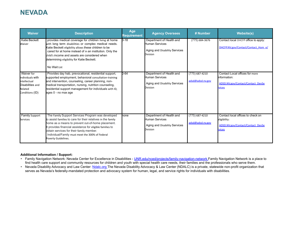## **NEVADA**

| <b>Waiver</b>                                                                                    | <b>Description</b>                                                                                                                                                                                                                                                                                                                                        | Age<br><b>Requirement</b> | <b>Agency Oversees</b>                                                                         | # Number                               | <b>Website(s)</b>                                                                                    |
|--------------------------------------------------------------------------------------------------|-----------------------------------------------------------------------------------------------------------------------------------------------------------------------------------------------------------------------------------------------------------------------------------------------------------------------------------------------------------|---------------------------|------------------------------------------------------------------------------------------------|----------------------------------------|------------------------------------------------------------------------------------------------------|
| Katie Beckett<br>Waiver                                                                          | provides medical coverage for children living at home<br>with long term disabilities or complex medical needs.<br>Katie Beckett eligibility allows these children to be<br>cared for at home instead of in an institution. Only the<br>child's income and assets are considered when<br>determining eligibility for Katie Beckett.<br>No Wait List        | $D-18$                    | Department of Health and<br>Human Services<br>Aging and Disability Services<br>Division        | $(775)$ 684-3676                       | Contact local DHCFP office to apply:<br>DHCFP.NV.gov/Contact/Contact Hom e/                          |
| Waiver for<br>Individuals with<br>Intellectual<br>Disabilities and<br>Related<br>Conditions (ID) | Provides day hab, prevocational, residential support,<br>supported employment, behavioral consultation-training<br>and intervention, counseling, career planning, non-<br>medical transportation, nursing, nutrition counseling,<br>residential support management for individuals with ID,<br>ages 0 - no max age                                        | 0-64                      | Department of Health and<br>Human Services<br>Aging and Disability Services<br>Division        | $(775) 687 - 4210$<br>adsd@adsd.nv.gov | Contact Local offices for more<br>information:<br>ADSD.NV.gov/Contact/Contact DevSe<br><b>rvices</b> |
| <b>Family Support</b><br>Services                                                                | The Family Support Services Program was developed<br>to assist families to care for their relatives in the family<br>home as a means to prevent out-of-home placement.<br>It provides financial assistance for eligible families to<br>obtain services for their family member.<br>Individual/Family must meet the 300% of Federal<br>Poverty Guidelines. | none                      | Department of Health and<br><b>Human Services</b><br>Aging and Disability Services<br>Division | $(775) 687 - 4210$<br>adsd@adsd.nv.gov | Contact local offices to check on<br>eligibility:<br>ADSD.NV.gov/Contact/Contact DevSe<br>rvices     |

#### **Additional Information / Support:**

- Family Navigation Network: Nevada Center for Excellence in Disabilities [UNR.edu/nced/projects/family-navigation-network F](https://www.unr.edu/nced/projects/family-navigation-network)amily Navigation Network is a place to find health care support and community resources for children and youth with special health care needs, their families and the professionals who serve them.
- Nevada Disability Advocacy and Law Center: [Ndalc.org T](https://www.ndalc.org/)he Nevada Disability Advocacy & Law Center (NDALC) is a private, statewide non-profit organization that serves as Nevada's federally-mandated protection and advocacy system for human, legal, and service rights for individuals with disabilities.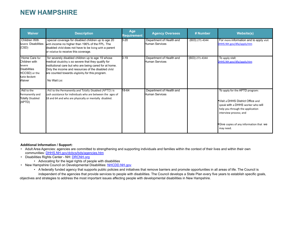### **NEW HAMPSHIRE**

| <b>Waiver</b>                                                                                               | <b>Description</b>                                                                                                                                                                                                                                                                                | Age<br><b>Requirement</b> | <b>Agency Oversees</b>                     | # Number       | <b>Website(s)</b>                                                                                                                                                                                                                                  |
|-------------------------------------------------------------------------------------------------------------|---------------------------------------------------------------------------------------------------------------------------------------------------------------------------------------------------------------------------------------------------------------------------------------------------|---------------------------|--------------------------------------------|----------------|----------------------------------------------------------------------------------------------------------------------------------------------------------------------------------------------------------------------------------------------------|
| Children With<br>Severe Disabilities<br>(CSD)                                                               | special coverage for disabled children up to age 20<br>with income no higher than 196% of the FPL. The<br>disabled child does not have to be living with a parent<br>or relative to receive this coverage.                                                                                        | $0 - 20$                  | Department of Health and<br>Human Services | (603) 271-4344 | For more information and to apply visit<br>DHHS.NH.gov/dfa/apply.htm                                                                                                                                                                               |
| Home Care for<br>Children with<br>Severe<br><b>Disabilities</b><br>HCCSD) or the<br>Katie Beckett<br>Waiver | for severely disabled children up to age 19 whose<br>medical disability is so severe that they qualify for<br>institutional care but who are being cared for at home.<br>Only the income and resources of the disabled child<br>are counted towards eligibility for this program.<br>No Wait List | $0 - 19$                  | Department of Health and<br>Human Services | (603) 271-4344 | To apply visit:<br>DHHS.NH.gov/dfa/apply.htm                                                                                                                                                                                                       |
| Aid to the<br>Permanently and<br><b>Totally Disabled</b><br>(APTD)                                          | Aid to the Permanently and Totally Disabled (APTD) is<br>cash assistance for individuals who are between the ages of<br>18 and 64 and who are physically or mentally disabled.                                                                                                                    | 18-64                     | Department of Health and<br>Human Services |                | To apply for the APTD program:<br>$\blacktriangleright$ Visit a DHHS District Office and<br>speak with a DHHS worker who will<br>help you through the application<br>interview process; and<br>Give copies of any information that we<br>may need. |

#### **Additional Information / Support:**

- Adult Area Agencies: agencies are committed to strengthening and supporting individuals and families within the context of their lives and within their own communities: [DHHS.NH.gov/dcbcs/bds/agencies.htm](https://www.dhhs.nh.gov/dcbcs/bds/agencies.htm)
- Disabilities Rights Center NH: **[DRCNH.org](https://drcnh.org/)** 
	- Advocating for the legal rights of people with disabilities
- New Hampshire Council on Developmental Disabilities: [NHCDD.NH.gov](https://www.nhcdd.nh.gov/)
	- A federally funded agency that supports public policies and initiatives that remove barriers and promote opportunities in all areas of life. The Council is independent of the agencies that provide services to people with disabilities. The Council develops a State Plan every five years to establish specific goals,

objectives and strategies to address the most important issues affecting people with developmental disabilities in New Hampshire.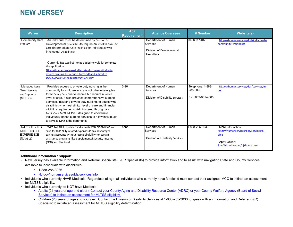## **NEW JERSEY**

| <b>Waiver</b>                                                          | <b>Description</b>                                                                                                                                                                                                                                                                                                                                                                                                                                                                                                                                             | Age<br><b>Requirement</b> | <b>Agency Oversees</b>                                                                     | # Number                                           | <b>Website(s)</b>                                                                                                  |
|------------------------------------------------------------------------|----------------------------------------------------------------------------------------------------------------------------------------------------------------------------------------------------------------------------------------------------------------------------------------------------------------------------------------------------------------------------------------------------------------------------------------------------------------------------------------------------------------------------------------------------------------|---------------------------|--------------------------------------------------------------------------------------------|----------------------------------------------------|--------------------------------------------------------------------------------------------------------------------|
| <b>Community Care</b><br>Program                                       | An individual must be determined by Division of<br>Developmental Disabilities to require an ICF/IID Level of<br>Care (Intermediate Care Facilities for Individuals with<br>Intellectual Disabilities).<br>Currently has waitlist - to be added to wait list complete<br>the application:<br>NJ.gov/humanservices/ddd/assets/documents/individu<br>als/ccp-waiting-list-request-form.pdf and submit to<br>DDD.CCPWaitListRequests@DHS.NJ.gov                                                                                                                    | $18+$                     | Department of Human<br><b>Services</b><br>Division of Developmental<br><b>Disabilities</b> | 609.633.1482                                       | NJ.gov/humanservices/ddd/individuals/<br>community/waitinglist                                                     |
| Managed Long<br><b>Term Services</b><br>and Supports<br>(MLTSS)        | Provides access to private duty nursing in the<br>community for children who are not otherwise eligible<br>for NJ FamilyCare due to income but require a skilled<br>level of care. It also provides comprehensive support<br>services, including private duty nursing, to adults with<br>disabilities who meet clinical level of care and financial<br>eligibility requirements. Administered through a NJ<br>FamilyCare MCO, MLTSS is designed to coordinate<br>individually based support services to allow individuals<br>to remain living in the community | 0-20                      | Department of Human<br><b>Services</b><br>Division of Disability Services                  | Telephone: 1-888-<br>285-3036<br>Fax: 609-631-4365 | NJ.gov/humanservices/dds/services/ml<br><b>SS</b>                                                                  |
| <b>NJ ACHIEVING</b><br>A BETTER LIFE<br><b>EXPERIENCE</b><br>(NJ ABLE) | With NJ ABLE, qualified individuals with disabilities can<br>save for disability related expenses in tax advantaged<br>savings accounts without losing eligibility for certain<br>assistance programs like Supplemental Security Income<br>(SSI) and Medicaid.                                                                                                                                                                                                                                                                                                 | none                      | Department of Human<br><b>Services</b><br>Division of Disability Services                  | 1-888-285-3036                                     | More Information:<br>NJ.gov/humanservices/dds/services/nj<br>able<br>Appy Online:<br>SaveWithAble.com/ni/home.html |

#### **Additional Information / Support:**

- New Jersey has available Information and Referral Specialists (I & R Specialists) to provide information and to assist with navigating State and County Services available to individuals with disabilities.
	- 1-888-285-3036
	- [NJ.gov/humanservices/dds/services/info](https://www.nj.gov/humanservices/dds/services/info/)
- Individuals who currently HAVE Medicaid: Regardless of age, all individuals who currently have Medicaid must contact their assigned MCO to initiate an assessment for MLTSS eligibility.
- Individuals who currently do NOT have Medicaid:
	- [Adults \(21 years of age and older\): Contact your County Aging and Disability Resource Center \(ADRC\) or your County Welfare Agency \(Board of Social](https://www.nj.gov/humanservices/njsnap/home/cbss.shtml)  [Services\) to initiate an assessment for MLTSS eligibility.](https://www.nj.gov/humanservices/njsnap/home/cbss.shtml)
	- Children (20 years of age and younger): Contact the Division of Disability Services at 1-888-285-3036 to speak with an Information and Referral (I&R) Specialist to initiate an assessment for MLTSS eligibility determination.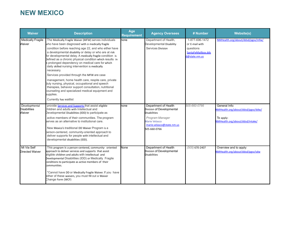## **NEW MEXICO**

| <b>Waiver</b>                                  | <b>Description</b>                                                                                                                                                                                                                                                                                                                                                                                                                                                                                                                                                                                                                                                                                                                                                                     | Age<br><b>Requirement</b> | <b>Agency Oversees</b>                                                                                                                                    | # Number                                                                             | <b>Website(s)</b>                                                                                 |
|------------------------------------------------|----------------------------------------------------------------------------------------------------------------------------------------------------------------------------------------------------------------------------------------------------------------------------------------------------------------------------------------------------------------------------------------------------------------------------------------------------------------------------------------------------------------------------------------------------------------------------------------------------------------------------------------------------------------------------------------------------------------------------------------------------------------------------------------|---------------------------|-----------------------------------------------------------------------------------------------------------------------------------------------------------|--------------------------------------------------------------------------------------|---------------------------------------------------------------------------------------------------|
| <b>Medically Fragile</b><br>Waiver             | The Medically Fragile Waiver (MFW) serves individuals<br>who have been diagnosed with a medically fragile<br>condition before reaching age 22, and who either have<br>a developmental disability or delay or who are at risk<br>for developmental delay. A medically fragile condition is<br>defined as a chronic physical condition which results in<br>a prolonged dependency on medical care for which<br>daily skilled nursing intervention is medically<br>necessary.<br>Services provided through the MFW are case<br>management, home health care, respite care, private<br>duty nursing, physical, occupational and speech<br>therapies, behavior support consultation, nutritional<br>counseling and specialized medical equipment and<br>supplies.<br>Currently has waitlist | $\bar{p}$ one             | Department of Health,<br>Developmental Disability<br>Services Division                                                                                    | 1-877-696-1472<br>or E-mail with<br>questions<br>SantaFeMailbox.dds<br>d@state.nm.us | NMHealth.org/about/ddsd/pgsv/mfw/                                                                 |
| Developmental<br><b>Disabilities</b><br>Waiver | provide Services and Supports that assist eligible<br>children and adults with Intellectual and<br>Developmental Disabilities (IDD) to participate as<br>active members of their communities. The program<br>serves as an alternative to institutional care.<br>New Mexico's traditional DD Waiver Program is a<br>person-centered, community-oriented approach to<br>deliver supports for people with intellectual and<br>developmental disabilities (IDD).                                                                                                                                                                                                                                                                                                                           | one                       | Department of Health<br>Division of Developmental<br><b>Disabilities</b><br>Program Manager<br>Marie Velasco<br>marie.velasco@state.nm.us<br>505-660-0766 | 505-660-0766                                                                         | General Info:<br>/WHealth.org/about/ddsd/pgsy/ddw<br>To apply:<br>NMHealth.org/about/ddsd/intake/ |
| Mi Via Self<br>Directed Waiver                 | This program is a person-centered, community- oriented<br>approach to deliver services and supports that assist<br>eligible children and adults with Intellectual and<br>Developmental Disabilities (IDD) or Medically Fragile<br>conditions to participate as active members of their<br>communities.<br>*Cannot have DD or Medically Fragile Waiver. If you have<br>either of these waivers, you must fill out a Waiver<br>Change Form (WCF)                                                                                                                                                                                                                                                                                                                                         | None                      | Department of Health<br>Division of Developmental<br><b>Disabilities</b>                                                                                  | $(505)$ 670-2407                                                                     | Overview and to apply:<br>NMHealth.org/about/ddsd/pgsv/sdw                                        |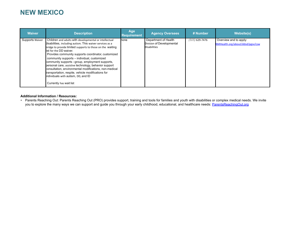#### **NEW MEXICO**

| <b>Waiver</b>   | <b>Description</b>                                                                                                                                                                                                                                                                                                                                                                                                                                                                                                                                                                                               | Age<br><b>Requirement</b> | <b>Agency Oversees</b>                                                   | # Number         | Website(s)                                                 |
|-----------------|------------------------------------------------------------------------------------------------------------------------------------------------------------------------------------------------------------------------------------------------------------------------------------------------------------------------------------------------------------------------------------------------------------------------------------------------------------------------------------------------------------------------------------------------------------------------------------------------------------------|---------------------------|--------------------------------------------------------------------------|------------------|------------------------------------------------------------|
| Supports Waiver | Children and adults with developmental or intellectual<br>disabilities, including autism. This waiver services as a<br>bridge to provide limited supports to those on the waiting<br>list for the DD waiver.<br>Provides community supports coordinator, customized<br>community supports - individual, customized<br>community supports -group, employment supports,<br>personal care, assistive technology, behavior support<br>consultation, environmental modifications, non-medical<br>transportation, respite, vehicle modifications for<br>individuals with autism, DD, and ID<br>Currently has wait list | hone                      | Department of Health<br>Division of Developmental<br><b>Disabilities</b> | $(505)$ 629-7476 | Overview and to apply:<br>NMHealth.org/about/ddsd/pgsv/csw |

#### **Additional Information / Resources:**

• Parents Reaching Out: Parents Reaching Out (PRO) provides support, training and tools for families and youth with disabilities or complex medical needs. We invite you to explore the many ways we can support and guide you through your early childhood, educational, and healthcare needs: [ParentsReachingOut.org](https://parentsreachingout.org/)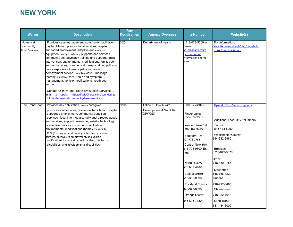# **NEW YORK**

| <b>Waiver</b>                                  | <b>Description</b>                                                                                                                                                                                                                                                                                                                                                                                                                                                                                                                                                                                                                                                                                                                                                 | Age<br><b>Requiremen</b> | <b>Agency Oversees</b>                                         | # Number                                                                                                                                                                                                                                                                                                                                | <b>Website(s)</b>                                                                                                                                                                                                                                                                                                                  |
|------------------------------------------------|--------------------------------------------------------------------------------------------------------------------------------------------------------------------------------------------------------------------------------------------------------------------------------------------------------------------------------------------------------------------------------------------------------------------------------------------------------------------------------------------------------------------------------------------------------------------------------------------------------------------------------------------------------------------------------------------------------------------------------------------------------------------|--------------------------|----------------------------------------------------------------|-----------------------------------------------------------------------------------------------------------------------------------------------------------------------------------------------------------------------------------------------------------------------------------------------------------------------------------------|------------------------------------------------------------------------------------------------------------------------------------------------------------------------------------------------------------------------------------------------------------------------------------------------------------------------------------|
| Home and<br>Community<br><b>Based Services</b> | Provides case management, community habilitation,<br>day habilitation, prevocational services, respite,<br>supported employment, adaptive and assistive<br>equipment, caregiver/family supports and services,<br>community self-advocacy training and supports, crisis<br>Intervention, environmental modifications, family peer<br>support services, non-medical transportation, palliative<br>care - expressive therapy, palliative care -<br>bereavement service, palliative care - massage<br>therapy, palliative care - pain and symptom<br>management, vehicle modifications, youth peer<br>support<br>Contact Children and Youth Evaluation Services (C-<br>to apply: NYMedicaidChoice.com/connecting-<br>'ES)<br>hildren-home-and-community-based-services | $0 - 20$                 | Department of Health                                           | 518-473-5569 or<br>email<br>hhsc@health.ny.go<br>v to get more<br>information and/or<br>enroll                                                                                                                                                                                                                                          | For information:<br>OMH.NY.gov/omhweb/bho/docs/hcbs<br>brochure english.pdf                                                                                                                                                                                                                                                        |
| The Front Door                                 | Provides day habilitation, live-in caregiver,<br>prevocational services, residential habilitation, respite,<br>supported employment, community transition<br>services, fiscal intermediary, individual directed goods<br>and services, support brokerage, assistive technology<br>- adaptive devices, community habilitation,<br>environmental modifications (home accessibility),<br>family education and training, intensive behavioral<br>services, pathway to employment, and vehicle<br>modifications for individuals with autism, intellectual<br>disabilities, and developmental disabilities                                                                                                                                                               | None                     | Office For People with<br>Developmental Disabilities<br>OPWDD) | Call Local Offices:<br><b>Finger Lakes</b><br>855-679-3335<br>Western New York<br>800-487-6310<br>Southern Tier<br>607-771-7784<br><b>Central New York</b><br>315-793-9600, Ext.<br>603<br>North Country<br>518-536-3480<br>Capital District<br>518-388-0398<br><b>Rockland County</b><br>845-947-6390<br>Orange County<br>845-695-7330 | Opwdd.NY.gov/access-supports<br><b>Additional Local Office Numbers:</b><br>Taconic<br>845-473-5050<br><b>Westchester County</b><br>914-332-8960<br><b>Brooklyn</b><br>718-642-8576<br>Bronx<br>718-430-0757<br>Manhattan<br>646-766-3220<br>Queens<br>718-217-6485<br>Staten Island<br>718-982-1913<br>Long Island<br>631-434-6000 |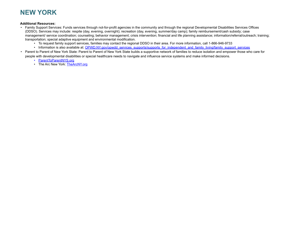# **NEW YORK**

#### **Additional Resources:**

- Family Support Services: Funds services through not-for-profit agencies in the community and through the regional Developmental Disabilities Services Offices (DDSO). Services may include: respite (day, evening, overnight); recreation (day, evening, summer/day camp); family reimbursement/cash subsidy; case management/ service coordination; counseling; behavior management; crisis intervention; financial and life planning assistance; information/referral/outreach; training; transportation; special adaptive equipment and environmental modification.
	- To request family support services, families may contact the regional DDSO in their area. For more information, call 1-866-946-9733
	- Information is also available at: [OPWD.NY.gov/opwdd\\_services\\_supports/supports\\_for\\_independent\\_and\\_family\\_living/family\\_support\\_services](http://www.opwdd.ny.gov/opwdd_services_supports/supports_for_independent_and_family_living/family_support_services)
- Parent to Parent of New York State: Parent to Parent of New York State builds a supportive network of families to reduce isolation and empower those who care for people with developmental disabilities or special healthcare needs to navigate and influence service systems and make informed decisions.
	- [ParentToParentNYS.org](http://parenttoparentnys.org/)
	- The Arc New York: [TheArcNY.org](https://www.thearcny.org/)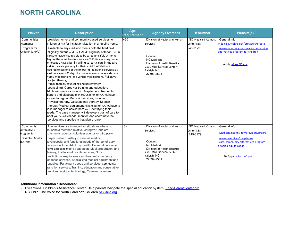## **NORTH CAROLINA**

| <b>Waiver</b>                                                                  | <b>Description</b>                                                                                                                                                                                                                                                                                                                                                                                                                                                                                                                                                                                                                                                                                                                                                                                                                                                                                                                                                                                                                                                                                                                                                                                                                                                                                                       | Age<br><b>Requirement</b> | <b>Agency Oversees</b>                                                                                                                                                    | # Number                                              | <b>Website(s)</b>                                                                                                                                                              |
|--------------------------------------------------------------------------------|--------------------------------------------------------------------------------------------------------------------------------------------------------------------------------------------------------------------------------------------------------------------------------------------------------------------------------------------------------------------------------------------------------------------------------------------------------------------------------------------------------------------------------------------------------------------------------------------------------------------------------------------------------------------------------------------------------------------------------------------------------------------------------------------------------------------------------------------------------------------------------------------------------------------------------------------------------------------------------------------------------------------------------------------------------------------------------------------------------------------------------------------------------------------------------------------------------------------------------------------------------------------------------------------------------------------------|---------------------------|---------------------------------------------------------------------------------------------------------------------------------------------------------------------------|-------------------------------------------------------|--------------------------------------------------------------------------------------------------------------------------------------------------------------------------------|
| Communities<br>Alternative<br>Program for<br>Children (CAP/C)                  | provides home- and community-based services to<br>children at risk for institutionalization in a nursing home.<br>Available to any child who meets both the Medicaid<br>eligibility criteria and the CAP/C eligibility criteria: Live in<br>a private residence, Be able to be cared for safely at home,<br>Require the same level of care as a child in a nursing home<br>or hospital, Have a family willing to participate in the care<br>and in the care planning for their child. Families are<br>required to use one of the following additional services, at<br>east once every 90 days: In- home nurse or nurse aide care,<br>Home modifications and vehicle modifications, Palliative<br>care (art therapy,<br>music therapy, counseling and bereavement<br>counseling), Caregiver training and education.<br>Additional services include: Respite care, Reusable<br>diapers and disposable liners. Children on CAP/C have<br>access to regular Medicaid services, including:<br>Physical therapy, Occupational therapy, Speech<br>therapy, Medical equipment All families on CAP/C have a<br>case manager to assist them with identifying their<br>heeds. The case manager will develop a plan of care to<br>meet your child's needs, monitor, and coordinate the<br>services and supplies in that plan of care | $0 - 20$                  | Division of Health and Human<br><b>Services</b><br>Contact:<br><b>NC</b> Medicaid<br>Division of Health Benefits<br>2501 Mail Service Center<br>Raleigh, NC<br>27699-2501 | NC Medicaid Contact<br>Center 888-<br>245-0179        | General Info:<br>Medicaid.ncdhhs.gov/providers/progra<br>ms-services/long-term-care/community-<br>alternatives-program-for-children<br>To Apply: ePass.NC.gov                  |
| Community<br>Alternatives<br>Program for<br><b>Disabled Adults</b><br>(CAP/DA) | The services are intended for situations where no<br>household member, relative, caregiver, landlord,<br>community, agency, volunteer agency or third-party<br>payer is able or willing to meet all medical,<br>psychosocial and functional needs of the beneficiary.<br>Services include: Adult day health, Personal care aide,<br>Home accessibility and adaptation, Meal preparation and<br>delivery, Institutional respite services, Non-<br>institutional respite services, Personal emergency<br>response services, Specialized medical equipment and<br>supplies, Participant goods and services, Community<br>transition services, Training, education and consultative<br>services, Assistive technology, Case management                                                                                                                                                                                                                                                                                                                                                                                                                                                                                                                                                                                       | $18+$                     | Division of Health and Human<br>Services<br>Contact:<br><b>NC</b> Medicaid<br>Division of Health Benefits<br>2501 Mail Service Center<br>Raleigh, NC<br>27699-2501        | <b>NC Medicaid Contact</b><br>Center 888-<br>245-0179 | General Info:<br>Medicaid.ncdhhs.gov/providers/progra<br>ms-and-services/long-term-<br>care/community-alternatives-program-<br>disabled-adults-capda<br>To Apply: ePass.NC.gov |

#### **Additional Information / Resources:**

- Exceptional Children's Assistance Center: Help parents navigate the special education system: *[Ecac-ParentCenter.org](https://www.ecac-parentcenter.org/)*
- NC Child: The Voice for North Carolina's Children **[NCChild.org](https://ncchild.org/)**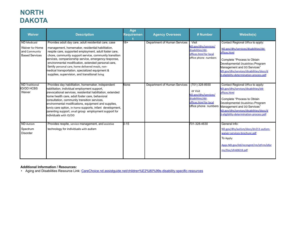# **NORTH DAKOTA**

| <b>Waiver</b>                                                            | <b>Description</b>                                                                                                                                                                                                                                                                                                                                                                                                                                                                                    | Age<br>Requiremen | <b>Agency Oversees</b>       | # Number                                                                                                                        | <b>Website(s)</b>                                                                                                                                                                                                                                                                   |
|--------------------------------------------------------------------------|-------------------------------------------------------------------------------------------------------------------------------------------------------------------------------------------------------------------------------------------------------------------------------------------------------------------------------------------------------------------------------------------------------------------------------------------------------------------------------------------------------|-------------------|------------------------------|---------------------------------------------------------------------------------------------------------------------------------|-------------------------------------------------------------------------------------------------------------------------------------------------------------------------------------------------------------------------------------------------------------------------------------|
| ND Medicaid<br>Waiver for Home<br>and Community<br><b>Based Services</b> | Provides adult day care, adult residential care, case<br>management, homemaker, residential habilitation,<br>respite care, supported employment, adult foster care,<br>chore, community support service, community transition<br>services, companionship service, emergency response,<br>environmental modification, extended personal care,<br>family personal care, home delivered meals, non-<br>medical transportation, specialized equipment &<br>supplies, supervision, and transitional living | $18+$             | Department of Human Services | Visit<br>ND.gov/dhs/services/<br>disabilities/dd-<br>offices.html for local<br>office phone numbers                             | Contact Regional Office to apply:<br>ND.gov/dhs/services/disabilities/dd-<br>offices.html<br>Complete "Process to Obtain<br>Developmental Disabilities Program<br>Management and DD Services"<br>ND.gov/dhs/services/disabilities/docs/d<br>d-eligibility-determination-process.pdf |
| ND Traditional<br><b>IID/DD HCBS</b><br>Waiver                           | Provides day habilitation, homemaker, independent<br>habilitation, individual employment support,<br>prevocational services, residential habilitation, extended<br>home health care, adult foster care, behavioral<br>consultation, community transition services,<br>environmental modifications, equipment and supplies,<br>family care option, in-home supports, infant development,<br>parenting support, small group employment support for<br>individuals with ID/DD                            | None              | Department of Human Services | (701) 328-8930<br>or Visit<br><b>ND.gov/dhs/services/</b><br>disabilities/dd-<br>offices.html for local<br>office phone numbers | Contact Regional Office to apply:<br>ND.gov/dhs/services/disabilities/dd-<br>offices.html<br>Complete "Process to Obtain<br>Developmental Disabilities Program<br>Management and DD Services"<br>ND.gov/dhs/services/disabilities/docs/d<br>d-eligibility-determination-process.pdf |
| <b>ND</b> Autism<br>Spectrum<br><b>Disorder</b>                          | Provides respite, service management, and assistive<br>technology for individuals with autism                                                                                                                                                                                                                                                                                                                                                                                                         | $0 - 15$          |                              | 701-328-4630                                                                                                                    | General Info:<br>ND.gov/dhs/autism/docs/dn211-autism-<br>waiver-services-brochure.pdf<br>To Apply:<br>Apps.ND.gov/itd/recmgmt/rm/stFrm/efor<br>ms/Doc/sfn60618.pdf                                                                                                                  |

#### **Additional Information / Resources:**

• Aging and Disabilities Resource Link: [CareChoice.nd.assistguide.net/children%E2%80%99s-disability-specific-resources](https://carechoice.nd.assistguide.net/children%E2%80%99s-disability-specific-resources)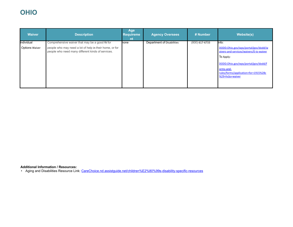# **OHIO**

| <b>Waiver</b>         | <b>Description</b>                                                                                           | Age<br><b>Requireme</b><br>nt | <b>Agency Oversees</b>     | # Number         | <b>Website(s)</b>                                                                                                                                                                                          |
|-----------------------|--------------------------------------------------------------------------------------------------------------|-------------------------------|----------------------------|------------------|------------------------------------------------------------------------------------------------------------------------------------------------------------------------------------------------------------|
| Individual            | Comprehensive waiver that may be a good fit for                                                              | none                          | Department of Disabilities | $(800)$ 617-6733 | Info:                                                                                                                                                                                                      |
| <b>Options Waiver</b> | people who may need a lot of help in their home, or for<br>people who need many different kinds of services. |                               |                            |                  | DODD.Ohio.gov/wps/portal/gov/dodd/w<br>aivers-and-services/waivers/0-io-waiver<br>To Apply:<br>DODD.Ohio.gov/wps/portal/gov/dodd/f<br>orms-and-<br>rules/forms/application+for+1915%28c<br>%29+hcbs+waiver |

**Additional Information / Resources:**

• Aging and Disabilities Resource Link: [CareChoice.nd.assistguide.net/children%E2%80%99s-disability-specific-resources](https://carechoice.nd.assistguide.net/children%E2%80%99s-disability-specific-resources)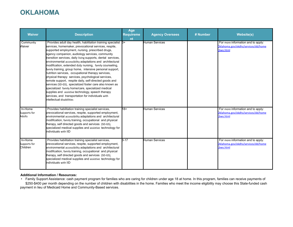# **OKLAHOMA**

| <b>Waiver</b>                       | <b>Description</b>                                                                                                                                                                                                                                                                                                                                                                                                                                                                                                                                                                                                                                                                                                                                                                                                                                                                                              | Age<br><b>Requireme</b><br>nt | <b>Agency Oversees</b> | # Number | <b>Website(s)</b>                                                                      |
|-------------------------------------|-----------------------------------------------------------------------------------------------------------------------------------------------------------------------------------------------------------------------------------------------------------------------------------------------------------------------------------------------------------------------------------------------------------------------------------------------------------------------------------------------------------------------------------------------------------------------------------------------------------------------------------------------------------------------------------------------------------------------------------------------------------------------------------------------------------------------------------------------------------------------------------------------------------------|-------------------------------|------------------------|----------|----------------------------------------------------------------------------------------|
| Community<br>Waiver                 | Provides adult day health, habilitation training specialist 8+<br>services, homemaker, prevocational services, respite,<br>supported employment, nursing, prescribed drugs,<br>agency companion, audiology services, community<br>transition services, daily living supports, dental services,<br>environmental accessibility adaptations and architectural<br>modification, extended duty nursing, family counseling,<br>family training, group home, intensive personal support,<br>nutrition services, occupational therapy services,<br>physical therapy services, psychological services,<br>remote support, respite daily, self-directed goods and<br>services (SD-GS), specialized foster care also known as<br>specialized family home/care, specialized medical<br>supplies and assistive technology, speech therapy<br>services, and transportation for individuals with<br>Intellectual disabilities |                               | <b>Human Services</b>  |          | For more information and to apply:<br>Oklahoma.gov/okdhs/services/dd/home<br>cbws.html |
| In-Home<br>Supports for<br>Adults   | Provides habilitation training specialist services,<br>prevocational services, respite, supported employment,<br>environmental accessibility adaptations and architectural<br>modification, family training, occupational and physical<br>therapy, self directed goods and services (SD-GS),<br>specialized medical supplies and assistive technology for<br>Individuals with IID                                                                                                                                                                                                                                                                                                                                                                                                                                                                                                                               | $18+$                         | Human Services         |          | For more information and to apply:<br>Oklahoma.gov/okdhs/services/dd/home<br>cbws.html |
| In-Home<br>Supports for<br>Children | Provides habilitation training specialist services,<br>prevocational services, respite, supported employment,<br>environmental accessibility adaptations and architectural<br>modification, family training, occupational and physical<br>therapy, self directed goods and services (SD-GS),<br>specialized medical supplies and assistive technology for<br>individuals with IID                                                                                                                                                                                                                                                                                                                                                                                                                                                                                                                               | $3 - 17$                      | Human Services         |          | For more information and to apply:<br>Oklahoma.gov/okdhs/services/dd/home<br>cbws.html |

#### **Additional Information / Resources:**

• Family Support Assistance: cash payment program for families who are caring for children under age 18 at home. In this program, families can receive payments of \$250-\$400 per month depending on the number of children with disabilities in the home. Families who meet the income eligibility may choose this State-funded cash payment in lieu of Medicaid Home and Community-Based services.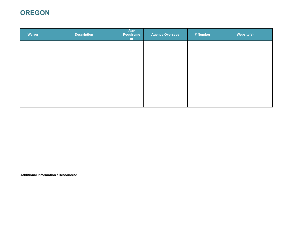# **OREGON**

| <b>Description</b> | Age<br>nt | <b>Agency Oversees</b> | # Number | Website(s) |
|--------------------|-----------|------------------------|----------|------------|
|                    |           |                        |          |            |
|                    |           |                        |          |            |
|                    |           |                        |          |            |
|                    |           |                        |          |            |
|                    |           |                        |          |            |
|                    |           | Requireme              |          |            |

**Additional Information / Resources:**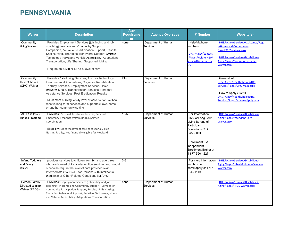# **PENNSYLVANIA**

| <b>Waiver</b>                                       | <b>Description</b>                                                                                                                                                                                                                                                                                                                                                                                                       | Age<br><b>Requireme</b><br>nt | <b>Agency Oversees</b>          | # Number                                                                                                                                                                              | <b>Website(s)</b>                                                                                                                                                                |
|-----------------------------------------------------|--------------------------------------------------------------------------------------------------------------------------------------------------------------------------------------------------------------------------------------------------------------------------------------------------------------------------------------------------------------------------------------------------------------------------|-------------------------------|---------------------------------|---------------------------------------------------------------------------------------------------------------------------------------------------------------------------------------|----------------------------------------------------------------------------------------------------------------------------------------------------------------------------------|
| Community<br>Living Waiver                          | Provides Employment Services (job finding and job<br>coaching), In-Home and Community Support,<br>Companion, Community Participation Support, Respite,<br>Shift Nursing, Therapies, Behavioral Support, Assistive<br>Technology, Home and Vehicle Accessibility, Adaptations,<br>Transportation, Life Sharing, Supported Living<br>Require an ICF/ID or ICF/ORC level of care                                            | none                          | Department of Human<br>Services | Helpful phone<br>numbers:<br>DHS.PA.gov/contact<br>/Pages/Helpful%20P<br>none%20Numbers.a<br><b>SDX</b>                                                                               | DHS.PA.gov/Services/Assistance/Page<br>/Home-and-Community-<br>Based%20Services.aspx<br>DHS.PA.gov/Services/Disabilities-<br>Aging/Pages/Community-Living-<br><b>Waiver.aspx</b> |
| Community<br><b>HealthChoices</b><br>(CHC) Waiver   | Provides Daily Living Services, Assistive Technology,<br>Environmental Adaptations, Cognitive Rehabilitation<br>Therapy Services, Employment Services, Home<br>Delivered Meals, Transportation Services, Personal<br>Assistance Services, Pest Eradication, Respite<br>Must meet nursing facility level of care criteria. Wish to<br>receive long-term services and supports in own home<br>or another community setting | $21 +$                        | Department of Human<br>Services |                                                                                                                                                                                       | General Info:<br>DHS.PA.gov/HealthChoices/HC-<br>Services/Pages/CHC-Main.aspx<br>How to Apply / Enroll:<br>DHS.PA.gov/HealthChoices/HC-<br>Services/Pages/How-to-Apply.aspx      |
| ACT 150 (State<br>Funded Program)                   | Provides: Personal Assistance Services, Personal<br>Emergency Response System (PERS), Service<br>Coordination<br>Eligibility: Meet the level of care needs for a Skilled<br>Nursing Facility, Not financially eligible for Medicaid                                                                                                                                                                                      | $18 - 59$                     | Department of Human<br>Services | For Information:<br>Office of Long-Term<br>Living Bureau of<br>Participant<br>Operations (717)<br>787-8091<br>Enrollment: PA<br>Independent<br>Enrollment Broker at<br>1-877-550-4227 | DHS.PA.gov/Services/Disabilities-<br>Aging/Pages/Attendant-Care-<br>Waiver.aspx                                                                                                  |
| Infant, Toddlers<br>and Family<br>Waiver            | provides services to children from birth to age three<br>who are in need of Early Intervention services and would<br>otherwise require the level of care provided in an<br>Intermediate Care Facility for Persons with Intellectual<br>Disabilities or Other Related Conditions (ICF/ORC)                                                                                                                                | $0-3$                         |                                 | For more information<br>and how to<br>enroll/apply call 717-<br>346-1119                                                                                                              | DHS.PA.gov/Services/Disabilities-<br>Aging/Pages/Infant-Toddlers-Familes-<br><b>Naiver.aspx</b>                                                                                  |
| Person/Family-<br>Directed Support<br>Waiver (PFDS) | <b>Provides:</b> Employment Services (job finding and job<br>coaching), In-Home and Community Support, Companion,<br>Community Participation Support, Respite, Shift Nursing,<br>Therapies, Behavioral Support, Assistive Technology, Home<br>and Vehicle Accessibility Adaptations, Transportation                                                                                                                      | none                          | Department of Human<br>Services |                                                                                                                                                                                       | DHS.PA.gov/Services/Disabilities-<br>Aging/Pages/PFDS-Waiver.aspx                                                                                                                |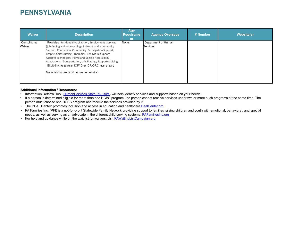### **PENNSYLVANIA**

| <b>Waiver</b>          | <b>Description</b>                                                                                                                                                                                                                                                                                                                                                                                                                                                    | Age<br><b>Requireme</b><br>nt | <b>Agency Oversees</b>                 | # Number | <b>Website(s)</b> |
|------------------------|-----------------------------------------------------------------------------------------------------------------------------------------------------------------------------------------------------------------------------------------------------------------------------------------------------------------------------------------------------------------------------------------------------------------------------------------------------------------------|-------------------------------|----------------------------------------|----------|-------------------|
| Consolidated<br>Waiver | Provides: Residential Habilitation, Employment Services<br>(job finding and job coaching), In-Home and Community<br>Support, Companion, Community Participation Support,<br>Respite, Shift Nursing, Therapies, Behavioral Support,<br>Assistive Technology, Home and Vehicle Accessibility<br>Adaptations, Transportation, Life Sharing, Supported Living<br>Eligibility: Require an ICF/ID or ICF/ORC level of care<br>No individual cost limit per year on services | None                          | Department of Human<br><b>Services</b> |          |                   |

#### **Additional Information / Resources:**

- Information Referral Tool: [HumanServices.State.PA.us/irt -](https://www.humanservices.state.pa.us/irt) will help identify services and supports based on your needs
- If a person is determined eligible for more than one HCBS program, the person cannot receive services under two or more such programs at the same time. The person must choose one HCBS program and receive the services provided by it
- The PEAL Center: promotes inclusion and access in education and healthcare [PealCenter.org](https://www.pealcenter.org/)
- PA Families Inc. (PFI) is a not-for-profit Statewide Family Network providing support to families raising children and youth with emotional, behavioral, and special needs, as well as serving as an advocate in the different child serving systems. [PAFamiliesInc.org](http://pafamiliesinc.org/)
- For help and guidance while on the wait list for waivers, visit **[PAWaitingListCampaign.org](http://www.pawaitinglistcampaign.org/)**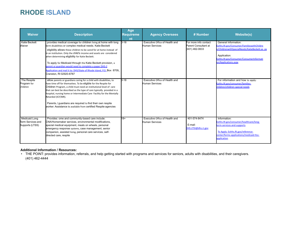### **RHODE ISLAND**

| <b>Waiver</b>                                                | <b>Description</b>                                                                                                                                                                                                                                                                                                                                                                                                                                                                                                                                             | Age<br><b>Requireme</b><br>nt | <b>Agency Oversees</b>                                  | # Number                                                        | <b>Website(s)</b>                                                                                                                                                                                     |
|--------------------------------------------------------------|----------------------------------------------------------------------------------------------------------------------------------------------------------------------------------------------------------------------------------------------------------------------------------------------------------------------------------------------------------------------------------------------------------------------------------------------------------------------------------------------------------------------------------------------------------------|-------------------------------|---------------------------------------------------------|-----------------------------------------------------------------|-------------------------------------------------------------------------------------------------------------------------------------------------------------------------------------------------------|
| <b>Katie Beckett</b><br>Waiver                               | provides medical coverage for children living at home with long<br>term disabilities or complex medical needs. Katie Beckett<br>eligibility allows these children to be cared for at home instead of<br>In an institution. Only the child's income and assets are considered<br>when determining eligibility for Katie Beckett.<br>To apply for Medicaid through the Katie Beckett provision, a<br>Darent or guardian would need to complete a paper DHS-2<br>Application and mail it to: DHS/State of Rhode Island, P.O. Box 8709,<br>Cranston, RI 02920-8787 | $0 - 18$                      | Executive Office of Health and<br>Human Services        | For more info contact<br>Parent Consultant at<br>(401) 462-0633 | General Information:<br>Eohhs.RI.gov/Consumer/FamilieswithChildre<br>n/ChildrenwithSpecialNeeds/KatieBeckett.as px<br>Application:<br>Eohhs.RI.gov/Consumer/ConsumerInformati<br>on/Applications.aspx |
| The Respite<br>Program for<br>Children                       | allow parents or guardians caring for a child with disabilities, to<br>have time off for themselves. To be eligible for the Respite for<br>Children Program, a child must need an institutional level of care<br>that can best be described as the type of care typically provided in a<br>hospital, nursing home or Intermediate Care Facility for the Mentally<br>Retarded (ICF/MR).<br>Parents / guardians are required to find their own respite<br>worker. Assistance is available from certified Respite agencies                                        | $0 - 18$                      | Executive Office of Health and<br><b>Human Services</b> |                                                                 | For information and how to apply:<br>Eohhs.RI.gov/consumer/families-<br>children/children-special-needs                                                                                               |
| <b>Medicaid Long</b><br>Term Services and<br>Supports (LTSS) | Provides: ome and community-based care include:<br>CNA/Homemaker services, environmental modifications,<br>special medical equipment, meals on wheels, personal<br>emergency response systems, case management, senior<br>companion, assisted living, personal care services, self-<br>directed care, respite                                                                                                                                                                                                                                                  | 18+                           | Executive Office of Health and<br>Human Services        | 401-574-8474<br>E-mail:<br>DHS.LTSS@dhs.ri.gov                  | Information:<br>Eohhs.RI.gov/consumer/healthcare/long-<br>term-services-and-supports<br>To Apply: Eohhs.RI.gov/reference-<br>center/forms-applications/medicaid-ltss-<br>application                  |

#### **Additional Information / Resources:**

• THE POINT: provides information, referrals, and help getting started with programs and services for seniors, adults with disabilities, and their caregivers. (401) 462-4444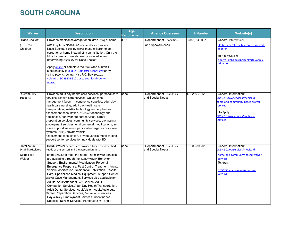## **SOUTH CAROLINA**

| <b>Waiver</b>                                                       | <b>Description</b>                                                                                                                                                                                                                                                                                                                                                                                                                                                                                                                                                                                                                                                                                                                                                                                                                   | Age<br>Requirement | <b>Agency Oversees</b>                          | # Number            | <b>Website(s)</b>                                                                                                                                                 |
|---------------------------------------------------------------------|--------------------------------------------------------------------------------------------------------------------------------------------------------------------------------------------------------------------------------------------------------------------------------------------------------------------------------------------------------------------------------------------------------------------------------------------------------------------------------------------------------------------------------------------------------------------------------------------------------------------------------------------------------------------------------------------------------------------------------------------------------------------------------------------------------------------------------------|--------------------|-------------------------------------------------|---------------------|-------------------------------------------------------------------------------------------------------------------------------------------------------------------|
| Katie Beckett<br>(TEFRA)<br>Children                                | Provides medical coverage for children living at home<br>with long term disabilities or complex medical needs.<br>Katie Beckett eligibility allows these children to be<br>cared for at home instead of in an institution. Only the<br>child's income and assets are considered when<br>determining eligibility for Katie Beckett.<br>Apply online or complete the forms and submit it<br>electronically to 8888201204@fax.scdhhs.gov.or by<br>mail to SCDHHS-Central Mail, P.O. Box 100101,<br>Columbia, SC 29202-3101 or to your local county<br>office.                                                                                                                                                                                                                                                                           | $D-18$             | Department of Disabilities<br>and Special Needs | $(888)$ 549-0820    | General Information:<br>SCdhhs.gov/eligibility-groups/disabled-<br>children<br>To Apply Online:<br>Apply.SCdhhs.gov/CitizenPortal/applic<br>ation.do              |
| Community<br>Supports                                               | Provides adult day health care services, personal care<br>services, respite care services, waiver case<br>management (WCM), incontinence supplies, adult day<br>health care nursing, adult day health care<br>transportation, assistive technology and appliances<br>assessment/consultation, assistive technology and<br>appliances, behavior support services, career<br>preparation services, community services, day activity,<br>employment services, environmental modifications, in-<br>home support services, personal emergency response<br>systems (PERS), private vehicle<br>assessment/consultation, private vehicle modifications,<br>support center services for individuals with IID                                                                                                                                  | none               | Department of Disabilities<br>and Special Needs | 800-289-7012        | General Information:<br>DDSN.SC.gov/services/medicaid-<br>nome-and-community-based-waiver-<br>ervices<br>To Apply:<br>DDSN.SC.gov/services/applying-<br>ervices   |
| Intellectual<br>Disability/Related<br><b>Disabilities</b><br>Waiver | ID/RD Waiver services are provided based on identified<br>heeds of the person and the appropriateness<br>of the service to meet the need. The following services<br>are available through the ID/RD Waiver: Behavior<br>Support, Environmental Modification, Personal<br>Emergency Response, Pest Control Treatment, Private<br>Vehicle Modification, Residential Habilitation, Respite<br>Care, Specialized Medical Equipment, Support Center,<br>Waiver Case Management. Services also available for<br>Adults: Adult Attendant Care Service, Adult<br>Companion Service, Adult Day Health Transportation,<br>Adult Dental Services, Adult Vision, Adult Audiology,<br>Career Preparation Services, Community Services,<br>Day Activity, Employment Services, Incontinence<br>Supplies, Nursing Services, Personal Care (I and (() | one                | Department of Disabilities<br>and Special Needs | $-800 - 289 - 7012$ | General Information:<br>DDSN.SC.gov/services/medicaid-<br>home-and-community-based-waiver-<br>services<br>To Apply:<br>DDSN.SC.gov/services/applying-<br>services |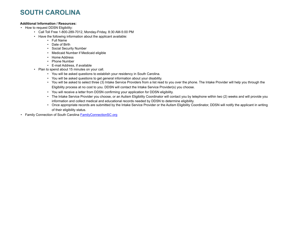## **SOUTH CAROLINA**

#### **Additional Information / Resources:**

- How to request DDSN Eligibility:
	- Call Toll Free 1-800-289-7012, Monday-Friday, 8:30 AM-5:00 PM
	- Have the following information about the applicant available:
		- Full Name
			- Date of Birth
			- Social Security Number
			- Medicaid Number if Medicaid eligible
			- Home Address
			- Phone Number
			- E-mail Address, if available
	- Plan to spend about 15 minutes on your call.
		- You will be asked questions to establish your residency in South Carolina.
		- You will be asked questions to get general information about your disability.
		- You will be asked to select three (3) Intake Service Providers from a list read to you over the phone. The Intake Provider will help you through the Eligibility process at no cost to you. DDSN will contact the Intake Service Provider(s) you choose.
		- You will receive a letter from DDSN confirming your application for DDSN eligibility.
		- The Intake Service Provider you choose, or an Autism Eligibility Coordinator will contact you by telephone within two (2) weeks and will provide you information and collect medical and educational records needed by DDSN to determine eligibility.
		- Once appropriate records are submitted by the Intake Service Provider or the Autism Eligibility Coordinator, DDSN will notify the applicant in writing of their eligibility status.
- Family Connection of South Carolina **[FamilyConnectionSC.org](https://www.familyconnectionsc.org/)**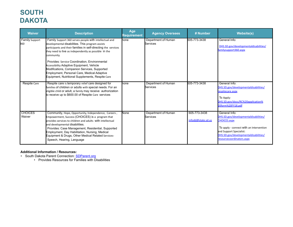# **SOUTH DAKOTA**

| <b>Waiver</b>                | <b>Description</b>                                                                                                                                                                                                                                                                                                                                                                                                                                                                                          | Age<br>Requirement | <b>Agency Oversees</b>                 | # Number                           | <b>Website(s)</b>                                                                                                                                                                                                         |
|------------------------------|-------------------------------------------------------------------------------------------------------------------------------------------------------------------------------------------------------------------------------------------------------------------------------------------------------------------------------------------------------------------------------------------------------------------------------------------------------------------------------------------------------------|--------------------|----------------------------------------|------------------------------------|---------------------------------------------------------------------------------------------------------------------------------------------------------------------------------------------------------------------------|
| <b>Family Support</b><br>360 | Family Support 360 serves people with intellectual and<br>developmental disabilities. This program assists<br>participants and their families in self-directing the services<br>they need to live as independently as possible in the<br>community.<br>Provides: Service Coordination, Environmental<br><b>Accessibility Adaptive Equipment, Vehicle</b><br>Modifications, Companion Services, Supported<br>Employment, Personal Care, Medical Adaptive<br>Equipment, Nutritional Supplements, Respite Care | hone               | Department of Human<br><b>Services</b> | 605-773-3438                       | General Info:<br>DHS.SD.gov/developmentaldisabilities/<br>familysupport360.aspx                                                                                                                                           |
| Respite Care                 | Respite care is temporary relief care designed for<br>families of children or adults with special needs. For an<br>eligible child or adult, a family may receive authorization<br>to receive up to \$600.00 of Respite Care services                                                                                                                                                                                                                                                                        | none               | Department of Human<br>Services        | 605-773-3438                       | General Info:<br>DHS.SD.gov/developmentaldisabilities/<br>respitecare.aspx<br>To Apply:<br>DHS.SD.gov/docs/RC%20application%<br>20form%20FY18.pdf                                                                         |
| <b>CHOICES</b><br>Waiver     | Community, Hope, Opportunity, Independence, Careers,<br>Empowerment, Success (CHOICES) is a program that<br>provides services to children and adults with intellectual<br>and developmental disabilities.<br>Provides: Case Management, Residential, Supported<br>Employment, Day Habilitation, Nursing, Medical<br>Equipment & Drugs, Other Medical Related Services-<br>Speech, Hearing, Language                                                                                                         | None               | Department of Human<br>Services        | 605-773-3438<br>infodd@state.sd.us | General Info:<br>DHS.SD.gov/developmentaldisabilities/<br><b>CHOICES.aspx</b><br>To apply - connect with an Intervention<br>and Support Specialist:<br>DHS.SD.gov/developmentaldisabilities/<br>resourcecoordinators.aspx |

#### **Additional Information / Resources:**

• South Dakota Parent Connection: **[SDParent.org](https://www.sdparent.org/)** 

• Provides Resources for Families with Disabilities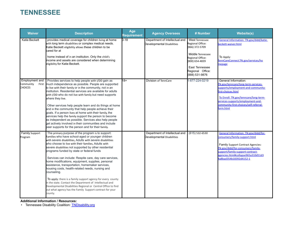### **TENNESSEE**

| <b>Waiver</b>                                 | <b>Description</b>                                                                                                                                                                                                                                                                                                                                                                                                                                                                                                                                                                                                                                                                                                                                                                                                                        | Age<br>Requirement | <b>Agency Oversees</b>                                       | # Number                                                                                                                                                                      | <b>Website(s)</b>                                                                                                                                                                                                                                          |
|-----------------------------------------------|-------------------------------------------------------------------------------------------------------------------------------------------------------------------------------------------------------------------------------------------------------------------------------------------------------------------------------------------------------------------------------------------------------------------------------------------------------------------------------------------------------------------------------------------------------------------------------------------------------------------------------------------------------------------------------------------------------------------------------------------------------------------------------------------------------------------------------------------|--------------------|--------------------------------------------------------------|-------------------------------------------------------------------------------------------------------------------------------------------------------------------------------|------------------------------------------------------------------------------------------------------------------------------------------------------------------------------------------------------------------------------------------------------------|
| Katie Beckett                                 | provides medical coverage for children living at home<br>with long term disabilities or complex medical needs.<br>Katie Beckett eligibility allows these children to be<br>cared for at<br>home instead of in an institution. Only the child's<br>income and assets are considered when determining<br>eligibility for Katie Beckett.                                                                                                                                                                                                                                                                                                                                                                                                                                                                                                     | $0 - 18$           | Department of Intellectual and<br>Developmental Disabilities | <b>West Tennessee</b><br>Regional Office:<br>(866) 372-5709<br>Middle Tennessee<br>Regional Office:<br>(800) 654-4839<br>East Tennessee<br>Regional Office:<br>(888) 531-9876 | General Information: TN.gov/didd/katie-<br>eckett-waiver.html<br>To Apply:<br>TennCareConnect.TN.gov/services/ho<br>nepage                                                                                                                                 |
| Employment and<br>Community<br><b>CHOICES</b> | Provides services to help people with I/DD gain as<br>First much independence as possible. People are supported<br>to live with their family or in the community, not in an<br>Institution. Residential services are available for adults<br>with I/DD who do not live with family but need supports<br>where they live.<br>Other services help people learn and do things at home<br>and in the community that help people achieve their<br>goals. If a person lives at home with their family, the<br>services help the family support the person to become<br>as independent as possible. Services also help people<br>get actively involved in their communities and include<br>peer supports for the person and for their family.                                                                                                    | 18+                | Division of TennCare                                         | 1-877-224-0219                                                                                                                                                                | General Information:<br>TN.gov/tenncare/long-term-services-<br>supports/employment-and-community-<br>first-choices.html<br>To Enroll: TN.gov/tenncare/long-term-<br>ervices-supports/employment-and-<br>community-first-choices/self-referral-<br>orm.html |
| <b>Family Support</b><br>Program              | The primary purpose of the program is to support:<br>Families who have school-aged or younger children<br>with severe disabilities, Adults with severe disabilities<br>who choose to live with their families, Adults with<br>severe disabilities not supported by other residential<br>programs funded by state or federal funds<br>Services can include: Respite care, day care services,<br>home modifications, equipment, supplies, personal<br>assistance, transportation, homemaker services,<br>housing costs, health-related needs, nursing and<br>counseling.<br>To apply: there is a family support agency for every county<br>in the state. Contact the Department of Intellectual and<br>Developmental Disabilities Regional or Central Office to find<br>out what agency has the Family Support contract for your<br>county. |                    | Department of Intellectual and<br>Developmental Disabilities | $(615) 532 - 6530$                                                                                                                                                            | General Information: TN.gov/didd/for-<br>consumers/family-support.html<br>Family Support Contract Agencies:<br>TN.gov/didd/for-consumers/family-<br>support/family-support-contract-<br>agencies.html#collapse965a310d51d3<br>4a8bad354b18392d4152-1       |

#### **Additional Information / Resources:**

• Tennessee Disability Coalition: **[TNDisability.org](https://www.tndisability.org/)**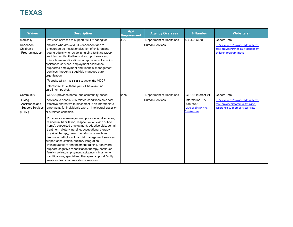# **TEXAS**

| <b>Waiver</b>                                                  | <b>Description</b>                                                                                                                                                                                                                                                                                                                                                                                                                                                                                                                                                                                                                                    | Age<br><b>Requirement</b> | <b>Agency Oversees</b>   | # Number                                                                 | <b>Website(s)</b>                                                                                           |
|----------------------------------------------------------------|-------------------------------------------------------------------------------------------------------------------------------------------------------------------------------------------------------------------------------------------------------------------------------------------------------------------------------------------------------------------------------------------------------------------------------------------------------------------------------------------------------------------------------------------------------------------------------------------------------------------------------------------------------|---------------------------|--------------------------|--------------------------------------------------------------------------|-------------------------------------------------------------------------------------------------------------|
| Medically                                                      | Provides services to support families caring for                                                                                                                                                                                                                                                                                                                                                                                                                                                                                                                                                                                                      | $0 - 20$                  | Department of Health and | 877-438-5658                                                             | General Info:                                                                                               |
| Dependent<br>Children's<br>Program (MDCP)                      | children who are medically dependent and to<br>encourage de-institutionalization of children and<br>young adults who reside in nursing facilities. MDCP<br>provides respite, flexible family support services,<br>minor home modifications, adaptive aids, transition<br>assistance services, employment assistance,<br>supported employment and financial management<br>services through a STAR Kids managed care<br>prganization.<br>To apply, call 877-438-5658 to get on the MDCP                                                                                                                                                                 |                           | Human Services           |                                                                          | HHS.Texas.gov/providers/long-term-<br>care-providers/medically-dependent-<br>children-program-mdcp          |
|                                                                | interest list. From there you will be mailed an<br>enrollment packet.                                                                                                                                                                                                                                                                                                                                                                                                                                                                                                                                                                                 |                           |                          |                                                                          |                                                                                                             |
| Community                                                      | CLASS provides home- and community-based                                                                                                                                                                                                                                                                                                                                                                                                                                                                                                                                                                                                              | none                      | Department of Health and | <b>CLASS</b> interest list                                               | General Info:                                                                                               |
| Living<br>Assistance and<br><b>Support Services</b><br>(CLASS) | services to people with related conditions as a cost-<br>effective alternative to placement in an intermediate<br>care facility for individuals with an intellectual disability<br>br a related condition.                                                                                                                                                                                                                                                                                                                                                                                                                                            |                           | Human Services           | information: 877-<br>438-5658<br><b>CLASSPolicy@HHS</b><br>C.state.tx.us | HHS.Texas.gov/providers/long-term-<br>care-providers/community-living-<br>assistance-support-services-class |
|                                                                | Provides case management, prevocational services,<br>residential habilitation, respite (in-home and out-of-<br>home), supported employment, adaptive aids, dental<br>treatment, dietary, nursing, occupational therapy,<br>physical therapy, prescribed drugs, speech and<br>language pathology, financial management services,<br>support consultation, auditory integration<br>training/auditory enhancement training, behavioral<br>support, cognitive rehabilitation therapy, continued<br>family services, employment assistance, minor home<br>modifications, specialized therapies, support family<br>services, transition assistance services |                           |                          |                                                                          |                                                                                                             |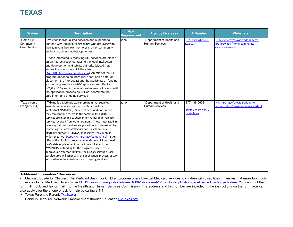# **TEXAS**

| <b>Waiver</b>                                  | <b>Description</b>                                                                                                                                                                                                                                                                                                                                                                                                                                                                                                                                                                                                                                                                                                                                                                                                                                                                                                                                     | Age<br><b>Requirement</b> | <b>Agency Oversees</b>                     | # Number                                         | <b>Website(s)</b>                                                                          |
|------------------------------------------------|--------------------------------------------------------------------------------------------------------------------------------------------------------------------------------------------------------------------------------------------------------------------------------------------------------------------------------------------------------------------------------------------------------------------------------------------------------------------------------------------------------------------------------------------------------------------------------------------------------------------------------------------------------------------------------------------------------------------------------------------------------------------------------------------------------------------------------------------------------------------------------------------------------------------------------------------------------|---------------------------|--------------------------------------------|--------------------------------------------------|--------------------------------------------------------------------------------------------|
| Home and<br>Community<br><b>Based Services</b> | Provides individualized services and supports to<br>persons with intellectual disabilities who are living with<br>their family, in their own home or in other community<br>settings, such as small group homes.<br>Those interested in receiving HCS services are placed<br>on an interest list by contacting the local intellectual<br>and developmental disability authority (LIDDA) that<br>serves the county in which they live<br>(Apps.HHS.Texas.gov/contact/la.cfm). An offer of the HCS<br>program depends on individual need, one's date of<br>placement the interest list and the availability of funding<br>for the program. Once HHSC approves an offer for<br>HCS, the LIDDA serving a local service area will assist with<br>the application process, as well as coordinate the<br>enrollment and ongoing services                                                                                                                       | none                      | Department of Health and<br>Human Services | HCSPolicy@hhsc.st<br>ate.tx.us                   | HHS.Texas.gov/providers/long-term-<br>care-providers/home-community-<br>based-services-hcs |
| Texas Home<br>Living (TxHmL)                   | TxHmL is a Medicaid waiver program that supplies<br>essential services and supports to Texans with an<br>intellectual disability (ID) or a related condition so that<br>they can continue to live in the community. TxHmL<br>services are intended to supplement rather than replace<br>services received from other programs. Those interested in<br>receiving TxHmL services are placed on an interest list by<br>contacting the local intellectual and developmental<br>disability authority (LIDDA) that serves the county in<br>which they live (Apps.HHS.Texas.gov/contact/la.cfm). An<br>offer of the TxHmL program depends on individual need,<br>one's date of placement on the interest list and the<br>availability of funding for the program. Once HHSC<br>approves an offer for TxHmL, the LIDDA serving a local<br>service area will assist with the application process, as well<br>as coordinate the enrollment and ongoing services. | none                      | Department of Health and<br>Human Services | 877-438-5658<br>TxHmLPolicy@hhsc<br>.state.tx.us | HHS.Texas.gov/providers/long-term-<br>care-providers/texas-home-living-txhml               |

**Additional Information / Resources:**

• Medicaid Buy-In for Children: The Medicaid Buy-In for Children program offers low-cost Medicaid services to children with disabilities in families that make too much money to get Medicaid. To apply, visit **HHS.Texas.gov/regulations/forms/1000-1999/form-h1200-mbic-application-benefits-medicaid-buy-children.** You can print the form, fill it out, and fax or mail it to the Health and Human Services Commission. The address and fax number are included in the instructions on the form. You can also apply over the phone or ask for help by calling 2-1-1.

• Texas Parent to Parent: [Txp2p.org](https://www.txp2p.org/)

• Partners Resource Network: Empowerment through Education **[PMTexas.org](https://prntexas.org/)**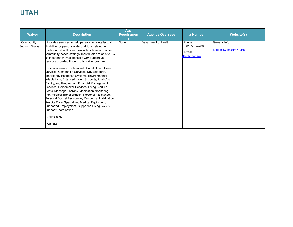# **UTAH**

| <b>Waiver</b>                | <b>Description</b>                                                                                                                                                                                                                                                                                                                                                                                                                                                                                                                                                                                                                                                                                                                                                                                                                                                                                                                                                              | Age<br>Requiremen | <b>Agency Oversees</b> | # Number                                            | <b>Website(s)</b>                           |
|------------------------------|---------------------------------------------------------------------------------------------------------------------------------------------------------------------------------------------------------------------------------------------------------------------------------------------------------------------------------------------------------------------------------------------------------------------------------------------------------------------------------------------------------------------------------------------------------------------------------------------------------------------------------------------------------------------------------------------------------------------------------------------------------------------------------------------------------------------------------------------------------------------------------------------------------------------------------------------------------------------------------|-------------------|------------------------|-----------------------------------------------------|---------------------------------------------|
| Community<br>Supports Waiver | Provides services to help persons with intellectual<br>disabilities or persons with conditions related to<br>intellectual disabilities remain in their homes or other<br>community-based settings. Individuals are able to live<br>as independently as possible with supportive<br>services provided through this waiver program.<br>Services include: Behavioral Consultation, Chore<br>Services, Companion Services, Day Supports,<br><b>Emergency Response Systems, Environmental</b><br>Adaptations, Extended Living Supports, Family/Ind.<br>Training and Preparation, Financial Management<br>Services, Homemaker Services, Living Start-up<br>Costs, Massage Therapy, Medication Monitoring,<br>Non-medical Transportation, Personal Assistance,<br>Personal Budget Assistance, Residential Habilitation,<br>Respite Care, Specialized Medical Equipment,<br>Supported Employment, Supported Living, Waiver<br><b>Support Coordination</b><br>Call to apply<br>Wait List | None              | Department of Health   | Phone:<br>(801) 538-4200<br>Email:<br>dspd@utah.gov | General Info:<br>Medicaid.utah.gov/ltc-2/cs |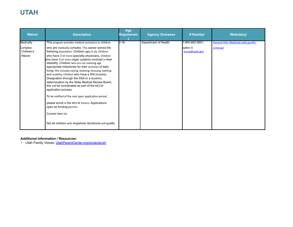# **UTAH**

| <b>Waiver</b>                   | <b>Description</b>                                                                                                                                                                                                                                                                                                                                                                                                                                                                                                                                                                                                                                                                                                                                                                                                                                | Age<br>Requiremen | <b>Agency Oversees</b> | # Number                  | <b>Website(s)</b>                    |
|---------------------------------|---------------------------------------------------------------------------------------------------------------------------------------------------------------------------------------------------------------------------------------------------------------------------------------------------------------------------------------------------------------------------------------------------------------------------------------------------------------------------------------------------------------------------------------------------------------------------------------------------------------------------------------------------------------------------------------------------------------------------------------------------------------------------------------------------------------------------------------------------|-------------------|------------------------|---------------------------|--------------------------------------|
| Medically                       | This program provides medical assistance to children                                                                                                                                                                                                                                                                                                                                                                                                                                                                                                                                                                                                                                                                                                                                                                                              | $0 - 18$          | Department of Health   | -800-662-9651,            | General Info: Medicaid.utah.gov/ltc- |
| Complex<br>Children's<br>Waiver | who are medically complex. This waiver serves the<br>following population: Children ages 0-18, Children<br>who have 3 or more specialty physicians, Children<br>who have 3 or more organ systems involved in their<br>disability, Children who are not meeting age<br>appropriate milestones for their activities of daily<br>living; this includes eating, toileting, dressing, bathing<br>and mobility, Children who have a SSI Disability<br>Designation through the SSA or a disability<br>determination by the State Medical Review Board,<br>this will be coordinated as part of the MCCW<br>application process.<br>To be notified of the next open application period,<br>please enroll in the MCCW listserv. Applications<br>open as funding permits<br><b>Current Wait list</b><br>Not all children with Angelman Syndrome will qualify |                   |                        | option 5<br>mccw@utah.gov | 2/mccw/                              |

#### **Additional Information / Resources:**

• Utah Family Voices: [UtahParentCenter.org/projects/ufv](https://utahparentcenter.org/projects/ufv/)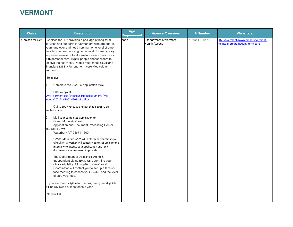# **VERMONT**

| <b>Waiver</b>    | <b>Description</b>                                                                                                                                                                                                                                                                                                                                                                                                                                                                                                                                                                                                                                                                                                                                                                                                                        | Age<br><b>Requirement</b> | <b>Agency Oversees</b>                 | # Number       | <b>Website(s)</b>                                                     |
|------------------|-------------------------------------------------------------------------------------------------------------------------------------------------------------------------------------------------------------------------------------------------------------------------------------------------------------------------------------------------------------------------------------------------------------------------------------------------------------------------------------------------------------------------------------------------------------------------------------------------------------------------------------------------------------------------------------------------------------------------------------------------------------------------------------------------------------------------------------------|---------------------------|----------------------------------------|----------------|-----------------------------------------------------------------------|
| Choices for Care | Choices for Care provides a package of long-term<br>services and supports to Vermonters who are age 18<br>years and over and need nursing home level of care.<br>People who need nursing home level of care typically<br>require extensive or total assistance on a daily basis<br>with personal care. Eligible people choose where to<br>receive their services. People must meet clinical and<br>financial eligibility for long-term care Medicaid in<br>Vermont.<br>To apply:<br>Complete the 202LTC application form:<br>Print a copy at:<br>DVHA.Vermont.gov/sites/dvha/files/documents/Me<br>mbers/202LTC%2002%2018-1.pdf or<br>Call 1-800-479-6151 and ask that a 202LTC be<br>mailed to you.<br>Mail your completed application to:<br>2.<br>Green Mountain Care<br>Application and Document Processing Center<br>280 State Drive | none                      | Department of Vermont<br>Health Access | 1-800-479-6151 | DVHA.Vermont.gov/members/vermont-<br>medicaid-programs/long-term-care |
|                  | Waterbury, VT 05671-1500<br>Green Mountain Care will determine your financial<br>3.<br>eligibility: A worker will contact you to set up a phone<br>interview to discuss your application and any<br>documents you may need to provide.<br>The Department of Disabilities, Aging &<br>4.                                                                                                                                                                                                                                                                                                                                                                                                                                                                                                                                                   |                           |                                        |                |                                                                       |
|                  | Independent Living (DAIL) will determine your<br>clinical eligibility: A Long-Term Care Clinical<br>Coordinator will contact you to set up a face-to-<br>face meeting to assess your abilities and the level<br>of care you need.                                                                                                                                                                                                                                                                                                                                                                                                                                                                                                                                                                                                         |                           |                                        |                |                                                                       |
|                  | If you are found eligible for the program, your eligibility<br>will be reviewed at least once a year.                                                                                                                                                                                                                                                                                                                                                                                                                                                                                                                                                                                                                                                                                                                                     |                           |                                        |                |                                                                       |
|                  | No wait list                                                                                                                                                                                                                                                                                                                                                                                                                                                                                                                                                                                                                                                                                                                                                                                                                              |                           |                                        |                |                                                                       |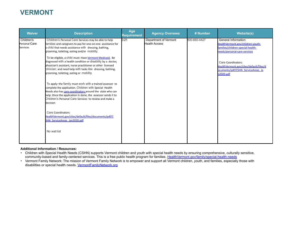# **VERMONT**

| 800-660-4427<br>Children's<br>Children's Personal Care Services may be able to help<br>$0 - 21$<br>Department of Vermont<br>General Information:<br><b>Health Access</b><br>Personal Care<br>families and caregivers to pay for one-on-one assistance for<br>a child that needs assistance with dressing, bathing,<br>Services<br>families/children-special-health-<br>needs/personal-care-services<br>grooming, toileting, eating and/or mobility.<br>To be eligible, a child must: Have Vermont Medicaid, Be<br>diagnosed with a health condition or disability by a doctor,                                                                      | <b>Waiver</b> | <b>Description</b> | Age<br>Requirement | <b>Agency Oversees</b> | # Number | <b>Website(s)</b>                                                                                                                       |
|-----------------------------------------------------------------------------------------------------------------------------------------------------------------------------------------------------------------------------------------------------------------------------------------------------------------------------------------------------------------------------------------------------------------------------------------------------------------------------------------------------------------------------------------------------------------------------------------------------------------------------------------------------|---------------|--------------------|--------------------|------------------------|----------|-----------------------------------------------------------------------------------------------------------------------------------------|
| physician's assistant, nurse practitioner or other licensed<br>clinician; and need help with tasks like dressing, bathing,<br>grooming, toileting, eating or mobility.<br>n2020.pdf<br>To apply: the family must work with a trained assessor to<br>complete the application. Children with Special Health<br>Needs also has care coordinators around the state who can<br>help. Once the application is done, the assessor sends it to<br>Children's Personal Care Services to review and make a<br>decision<br>Care Coordinators:<br>HealthVermont.gov/sites/default/files/documents/pdf/C<br><b>SHN ServiceAreas Jan2020.pdf</b><br>No wait list |               |                    |                    |                        |          | HealthVermont.gov/children-vouth-<br>Care Coordinators:<br>HealthVermont.gov/sites/default/files/d<br>ocuments/pdf/CSHN ServiceAreas Ja |

#### **Additional Information / Resources:**

• Children with Special Health Needs (CSHN) supports Vermont children and youth with special health needs by ensuring comprehensive, culturally sensitive, community-based and family-centered services. This is a free public health program for families. [HealthVermont.gov/family/special-health-needs](https://www.healthvermont.gov/family/special-health-needs)

• Vermont Family Network: The mission of Vermont Family Network is to empower and support all Vermont children, youth, and families, especially those with disabilities or special health needs. [VermontFamilyNetwork.org](https://www.vermontfamilynetwork.org/)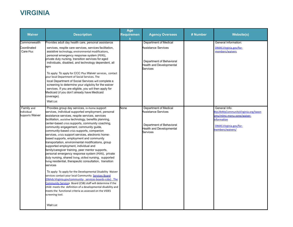# **VIRGINIA**

| <b>Waiver</b>                              | <b>Description</b>                                                                                                                                                                                                                                                                                                                                                                                                                                                                                                                                                                                                                                                                                                                                                                                                                                                                                                                                                                                                                                                                                                                                                                                                             | Age<br><b>Requiremen</b> | <b>Agency Oversees</b>                                                                                                         | # Number | <b>Website(s)</b>                                                                                                                              |
|--------------------------------------------|--------------------------------------------------------------------------------------------------------------------------------------------------------------------------------------------------------------------------------------------------------------------------------------------------------------------------------------------------------------------------------------------------------------------------------------------------------------------------------------------------------------------------------------------------------------------------------------------------------------------------------------------------------------------------------------------------------------------------------------------------------------------------------------------------------------------------------------------------------------------------------------------------------------------------------------------------------------------------------------------------------------------------------------------------------------------------------------------------------------------------------------------------------------------------------------------------------------------------------|--------------------------|--------------------------------------------------------------------------------------------------------------------------------|----------|------------------------------------------------------------------------------------------------------------------------------------------------|
| Commonwealth<br>Coordinated<br>Care Plus   | Provides adult day health care, personal assistance<br>services, respite care services, services facilitation,<br>assistive technology, environmental modifications,<br>personal emergency response system (PERS),<br>private duty nursing, transition services for aged<br>individuals, disabled, and technology dependent, all<br>ages<br>To apply: To apply for CCC Plus Waiver services, contact<br>your local Department of Social Services. The<br>local Department of Social Services will complete a<br>screening to determine your eligibility for the waiver<br>services. If you are eligible, you will then apply for<br>Medicaid (if you don't already have Medicaid<br>coverage).<br><b>Wait List</b>                                                                                                                                                                                                                                                                                                                                                                                                                                                                                                             |                          | <b>Department of Medical</b><br>Assistance Services<br>Department of Behavioral<br>Health and Developmental<br><b>Services</b> |          | General Information:<br>DMAS.Virginia.gov/for-<br>members/waivers                                                                              |
| Family and<br>ndividual<br>Supports Waiver | Provides group day services, in-home support<br>services, individual supported employment, personal<br>assistance services, respite services, services<br>facilitation, assistive technology, benefits planning,<br>center-based crisis supports, community coaching,<br>community engagement, community guide,<br>community-based crisis supports, companion<br>services, crisis support services, electronic home-<br>based supports, employment and community<br>transportation, environmental modifications, group<br>supported employment, individual and<br>family/caregiver training, peer mentor supports,<br>personal emergency response system (PERS), private<br>duty nursing, shared living, skilled nursing, supported<br>living residential, therapeutic consultation, transition<br>services<br>To apply: To apply for the Developmental Disability Waiver<br>services contact your local Community Services Board<br>(Dbhds.Virginia.gov/community- services-boards-csbs). The<br>Community Services Board (CSB) staff will determine if the<br>child: meets the definition of a developmental disability and<br>meets the functional criteria as assessed on the VIDES<br>screening tool.<br><b>Wait List</b> | None                     | Department of Medical<br>Assistance Services<br>Department of Behavioral<br>Health and Developmental<br>Services               |          | General Info:<br>MyLifeMyCommunityVirginia.org/taxon<br>omy/mlmc-menu-zone/waiver-<br>nformation<br>DMAS.Virginia.gov/for-<br>members/waivers/ |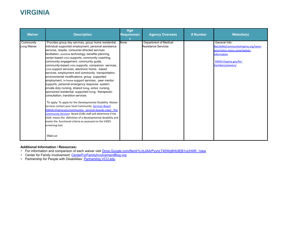## **VIRGINIA**

| <b>Waiver</b>              | <b>Description</b>                                                                                                                                                                                                                                                                                                                                                                                                                                                                                                                                                                                                                                                                                                                                                                                                                                                                                                                                                                                                                                                                                                                                                                                                     | Age<br>Requiremen | <b>Agency Oversees</b>                              | # Number | <b>Website(s)</b>                                                                                                                                      |
|----------------------------|------------------------------------------------------------------------------------------------------------------------------------------------------------------------------------------------------------------------------------------------------------------------------------------------------------------------------------------------------------------------------------------------------------------------------------------------------------------------------------------------------------------------------------------------------------------------------------------------------------------------------------------------------------------------------------------------------------------------------------------------------------------------------------------------------------------------------------------------------------------------------------------------------------------------------------------------------------------------------------------------------------------------------------------------------------------------------------------------------------------------------------------------------------------------------------------------------------------------|-------------------|-----------------------------------------------------|----------|--------------------------------------------------------------------------------------------------------------------------------------------------------|
| Community<br>Living Waiver | Provides group day services, group home residential,<br>individual supported employment, personal assistance<br>services, respite, consumer-directed services<br>facilitation, assistive technology, benefits planning,<br>center-based crisis supports, community coaching,<br>community engagement, community guide,<br>community-based crisis supports, companion services,<br>crisis support services, electronic home- based<br>services, employment and community transportation,<br>environmental modifications, group supported<br>employment, in-home support services, peer mentor<br>supports, personal emergency response system,<br>private duty nursing, shared living, skilled nursing,<br>sponsored residential, supported living, therapeutic<br>consultation, transition services<br>To apply: To apply for the Developmental Disability Waiver<br>services contact your local Community Services Board<br>(Dbhds.Virginia.gov/community- services-boards-csbs). The<br>Community Services Board (CSB) staff will determine if the<br>child: meets the definition of a developmental disability and<br>meets the functional criteria as assessed on the VIDES<br>screening tool.<br><b>Wait List</b> | None              | <b>Department of Medical</b><br>Assistance Services |          | General Info:<br>MyLifeMyCommunityVirginia.org/taxon<br>omy/mlmc-menu-zone/waiver-<br><b>information</b><br>DMAS.Virginia.gov/for-<br>members/waivers/ |

#### **Additional Information / Resources:**

- For information and comparison of each waiver visit [Drive.Google.com/file/d/1LrbJAArPyynLT40Wq8hfcllEB1uUHAR\\_/view](https://drive.google.com/file/d/1LrbJAArPyynLT40Wq8hfcllEB1uUHAR_/view)
- Center for Family Involvement: [CenterForFamilyInvolvementBlog.org](https://centerforfamilyinvolvementblog.org/)
- Partnership for People with Disabilities: **[Partnership.VCU.edu](https://partnership.vcu.edu/)**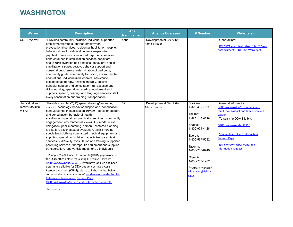## **WASHINGTON**

| <b>Waiver</b>                                      | <b>Description</b>                                                                                                                                                                                                                                                                                                                                                                                                                                                                                                                                                                                                                                                                                                                                                                                                                                                                                                                                                                                                                                                                                                                                                                                                                               | Age<br>Requirement | <b>Agency Oversees</b>                              | # Number                                                                                                                                                                                                                          | <b>Website(s)</b>                                                                                                                                                                                                                                                                   |
|----------------------------------------------------|--------------------------------------------------------------------------------------------------------------------------------------------------------------------------------------------------------------------------------------------------------------------------------------------------------------------------------------------------------------------------------------------------------------------------------------------------------------------------------------------------------------------------------------------------------------------------------------------------------------------------------------------------------------------------------------------------------------------------------------------------------------------------------------------------------------------------------------------------------------------------------------------------------------------------------------------------------------------------------------------------------------------------------------------------------------------------------------------------------------------------------------------------------------------------------------------------------------------------------------------------|--------------------|-----------------------------------------------------|-----------------------------------------------------------------------------------------------------------------------------------------------------------------------------------------------------------------------------------|-------------------------------------------------------------------------------------------------------------------------------------------------------------------------------------------------------------------------------------------------------------------------------------|
| <b>CORE Waiver</b>                                 | Provides community inclusion, individual supported<br>employment/group supported employment,<br>prevocational services, residential habilitation, respite,<br>behavioral health stabilization services-specialized<br>psychiatric services, specialized psychiatric services,<br>behavioral health stabilization services-behavioral<br>health crisis diversion bed services, behavioral health<br>stabilization services-positive behavior support and<br>consultation, chemical extermination of bed bugs,<br>community guide, community transition, environmental<br>adaptations, individualized technical assistance,<br>occupational therapy, physical therapy, positive<br>behavior support and consultation, risk assessment,<br>skilled nursing, specialized medical equipment and<br>supplies, speech, hearing, and language services, staff<br>family consultation and training, transportation                                                                                                                                                                                                                                                                                                                                        | <b>none</b>        | <b>Developmental Disabilities</b><br>Administration |                                                                                                                                                                                                                                   | General Info:<br>DSHS.WA.gov/sites/default/files/DDA/d<br>da/documents/CORE%20Waiver.pdf                                                                                                                                                                                            |
| Individual and<br><b>Family Services</b><br>Waiver | Provides respite, OT, PT, speech/hearing/language,<br>assistive technology, behavior support and consultation,<br>behavioral health stabilization services- behavior support<br>and consultation, behavioral health<br>stabilization-specialized psychiatric services, community<br>engagement, environmental accessibility mods, nurse<br>delegation, peer mentoring, person- centered planning<br>facilitation, psychosexual evaluation, skilled nursing,<br>specialized clothing, specialized medical equipment and<br>supplies, specialized nutrition, specialized psychiatric<br>services, staff/family consultation and training, supported<br>parenting services, therapeutic equipment and supplies,<br>transportation, and vehicle mods for DD individuals<br>To apply: You will need to submit eligibility paperwork to<br>the DDA office before requesting IFS waiver services<br>(DSHS.WA.gov/node/5756/). If you have applied and been<br>determined eligible for DDA but do not have a Case<br>Resource Manager (CRM), please call the number below<br>corresponding to your county of residence or see the Service<br>Referral and Information Request Page<br>(DSHS.WA.gov/dda/service-and-information-request).<br>No wait list | $3+$               | <b>Developmental Disabilities</b><br>Administration | Spokane:<br>1-800-319-7116<br>Yakima:<br>1-866-715-3646<br>Seattle:<br>1-800-974-4428<br>Everett:<br>1-800-567-5582<br>Tacoma:<br>1-800-735-6740<br>Olympia:<br>1-888-707-1202<br>Program Manager:<br>eila.graves@dshs.w<br>1.gov | General Information:<br>-DSHS.WA.gov/dda/consumers-and<br>amilies/individual-and-family-services-<br>vaiver<br>To Apply for DDA Eligibly:<br>OSHS.WA.gov/node/5756/<br><b>Service Referral and Information</b><br>Request Page<br>DSHS.WAgov/dda/service-and-<br>nformation-request |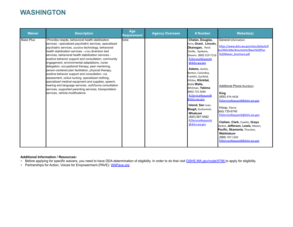### **WASHINGTON**

| <b>Waiver</b>     | <b>Description</b>                                                                                                                                                                                                                                                                                                                                                                                                                                                                                                                                                                                                                                                                                                                                                                                                                      | Age<br><b>Requirement</b> | <b>Agency Oversees</b> | # Number                                                                                                                                                                                                                                                                                                                                                                                                                                                                  | <b>Website(s)</b>                                                                                                                                                                                                                                                                                                                                                                                                                                                         |
|-------------------|-----------------------------------------------------------------------------------------------------------------------------------------------------------------------------------------------------------------------------------------------------------------------------------------------------------------------------------------------------------------------------------------------------------------------------------------------------------------------------------------------------------------------------------------------------------------------------------------------------------------------------------------------------------------------------------------------------------------------------------------------------------------------------------------------------------------------------------------|---------------------------|------------------------|---------------------------------------------------------------------------------------------------------------------------------------------------------------------------------------------------------------------------------------------------------------------------------------------------------------------------------------------------------------------------------------------------------------------------------------------------------------------------|---------------------------------------------------------------------------------------------------------------------------------------------------------------------------------------------------------------------------------------------------------------------------------------------------------------------------------------------------------------------------------------------------------------------------------------------------------------------------|
| <b>Basic Plus</b> | Provides respite, behavioral health stabilization<br>services - specialized psychiatric services, specialized<br>psychiatric services, assistive technology, behavioral<br>health stabilization services - crisis diversion bed<br>services, behavioral health stabilization services -<br>positive behavior support and consultation, community<br>engagement, environmental adaptations, nurse<br>delegation, occupational therapy, peer mentoring,<br>person-centered plan facilitation, physical therapy,<br>positive behavior support and consultation, risk<br>assessment, skilled nursing, specialized clothing,<br>specialized medical equipment and supplies, speech,<br>hearing and language services, staff/family consultation<br>services, supported parenting services, transportation<br>services, vehicle modifications | hone                      |                        | Chelan, Douglas,<br>Ferry, Grant, Lincoln,<br>Okanogan, Pend<br>Oreille, Spokane,<br>Stevens (800) 319-7116<br><b>R1ServiceRequestA</b><br>@dshs.wa.gov<br>Adams, Asotin,<br>Benton, Columbia,<br>Franklin, Garfield,<br>Kittitas, Klickitat,<br>Walla Walla,<br>Whitman, Yakima<br>(866) 715-3646<br><b>R1ServiceRequestB</b><br>@dshs.wa.gov<br>Island, San Juan,<br>Skagit, Snohomish,<br><b>Whatcom</b><br>(800) 567-5582<br><b>R2ServiceRequestA</b><br>@dshs.wa.gov | General Information:<br>https://www.dshs.wa.gov/sites/default/fi<br>es/DDA/dda/documents/Basic%20Plus<br>%20Waiver brochure.pdf<br><b>Additional Phone Numbers:</b><br>King<br>(800) 974-4428<br>R2ServiceRequestB@dshs.wa.gov<br>Kitsap, Pierce<br>(800) 735-6740<br>R3ServiceRequestA@dshs.wa.gov<br>Clallam, Clark, Cowlitz, Grays<br>Harbor, Jefferson, Lewis, Mason,<br>Pacific, Skamania, Thurston,<br>Wahkiakum<br>(888) 707-1202<br>R3ServiceRequestB@dshs.wa.gov |

#### **Additional Information / Resources:**

- Before applying for specific waivers, you need to have DDA determination of eligibility. In order to do that visit **DSHS.WA.gov/node/5756** to apply for eligibility.
- Partnerships for Action, Voices for Empowerment (PAVE): **[WAPave.org](https://wapave.org/)**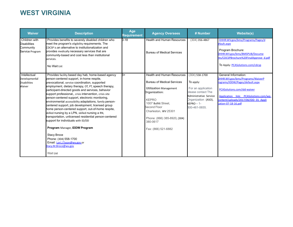# **WEST VIRGINIA**

| <b>Waiver</b>                                                        | <b>Description</b>                                                                                                                                                                                                                                                                                                                                                                                                                                                                                                                                                                                                                                                                                                                                                                                                                                                 | Age<br><b>Requirement</b> | <b>Agency Oversees</b>                                                                                                                                                                                                                                               | # Number                                                                                                                                                     | <b>Website(s)</b>                                                                                                                                                                                                                   |
|----------------------------------------------------------------------|--------------------------------------------------------------------------------------------------------------------------------------------------------------------------------------------------------------------------------------------------------------------------------------------------------------------------------------------------------------------------------------------------------------------------------------------------------------------------------------------------------------------------------------------------------------------------------------------------------------------------------------------------------------------------------------------------------------------------------------------------------------------------------------------------------------------------------------------------------------------|---------------------------|----------------------------------------------------------------------------------------------------------------------------------------------------------------------------------------------------------------------------------------------------------------------|--------------------------------------------------------------------------------------------------------------------------------------------------------------|-------------------------------------------------------------------------------------------------------------------------------------------------------------------------------------------------------------------------------------|
| Children with<br><b>Disabilities</b><br>Community<br>Service Program | Provides benefits to severely disabled children who<br>meet the program's eligibility requirements. The<br>CDCSP is an alternative to institutionalization and<br>provides medically necessary services that are<br>community-based and cost less than institutional<br>services.<br>No Wait List                                                                                                                                                                                                                                                                                                                                                                                                                                                                                                                                                                  | $0 - 18$                  | <b>Health and Human Resources</b><br><b>Bureau of Medical Services</b>                                                                                                                                                                                               | $(304)$ 356-4867                                                                                                                                             | DHHR.WV.gov/bms/Programs/Pages/d<br>efault.aspx<br>Program Brochure:<br>DHHR.WV.gov/bms/BMSPUB/Docume<br>nts/CDCSPBrochure%20FinalApprove d.pdf<br>To Apply: <b>PCASolutions.com/cdcsp</b>                                          |
| Intellectual<br>Developmental<br><b>Disabilities</b><br>Waiver       | Provides facility based day hab, home-based agency<br>person-centered support, in-home respite,<br>prevocational, service coordination, supported<br>employment, dietary therapy, OT, PT, speech therapy,<br>participant-directed goods and services, behavior<br>support professional,, crisis intervention, crisis site<br>person-centered support, electronic monitoring,<br>environmental accessibility adaptations, family person-<br>centered support, job development, licensed group<br>home person-centered support, out-of-home respite,<br>skilled nursing by a LPN, skilled nursing a RN,<br>transportation, unlicensed residential person-centered<br>support for individuals with ID/DD<br>Program Manager, IDDW Program<br><b>Stacy Broce</b><br>Phone: (304) 558-1700<br>Email: Lori.J.Tyson@wv.gov or<br>Stacy.M.Broce@wv.gov<br><b>Wait List</b> | k+                        | Health and Human Resources<br><b>Bureau of Medical Services</b><br><b>Utilization Management</b><br>Organization:<br><b>KEPRO</b><br>1007 Bullitt Street.<br>Second Floor<br>Charleston, WV 25301<br>Phone: (866) 385-8920, (304)<br>380-0617<br>Fax: (866) 521-6882 | $(304)$ 558-1700<br>To apply:<br>For an application<br>please contact The<br>Administrative Service<br>Organization (ASO),<br>$KEPRO - 1 -$<br>800-461-0655. | General Information:<br>DHHR.WV.gov/bms/Programs/WaiverP<br>rograms/IDDW/Pages/default.aspx<br>PCASolutions.com/idd-waiver<br>Application link: PCASolutions.com/wp-<br>content/uploads/2017/06/IDD 01 Appli<br>cation-07-18-16.pdf |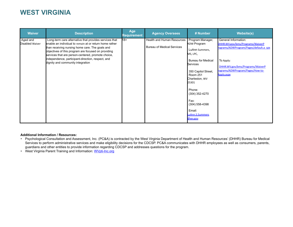### **WEST VIRGINIA**

| <b>Waiver</b>               | <b>Description</b>                                                                                                                                                                                                                                                                                                                                                          | Age<br><b>Requirement</b> | <b>Agency Oversees</b>                                          | # Number                                                                                                                                                                                                                                                                    | <b>Website(s)</b>                                                                                                                                                                                     |
|-----------------------------|-----------------------------------------------------------------------------------------------------------------------------------------------------------------------------------------------------------------------------------------------------------------------------------------------------------------------------------------------------------------------------|---------------------------|-----------------------------------------------------------------|-----------------------------------------------------------------------------------------------------------------------------------------------------------------------------------------------------------------------------------------------------------------------------|-------------------------------------------------------------------------------------------------------------------------------------------------------------------------------------------------------|
| Aged and<br>Disabled Waiver | Long-term care alternative that provides services that<br>enable an individual to remain at or return home rather<br>than receiving nursing home care. The goals and<br>objectives of this program are focused on providing<br>services that are person-centered, promote choice,<br>Independence, participant-direction, respect, and<br>dignity and community integration | $18+$                     | Health and Human Resources<br><b>Bureau of Medical Services</b> | Program Manager,<br>ADW Program<br>LuAnn Summers,<br>MS, LPC,<br><b>Bureau for Medical</b><br>Services<br>350 Capitol Street,<br><b>Room 251</b><br>Charleston, WV<br>25301<br>Phone:<br>(304) 352-4270<br>Fax:<br>$(304)$ 558-4398<br>Email:<br>LuAnn.S.Summers<br>@wv.gov | General Information:<br>DHHR.WV.gov/bms/Programs/WaiverP<br>rograms/ADWProgram/Pages/default.a spx<br>To Apply:<br>DHHR.WV.gov/bms/Programs/WaiverP<br>rograms/ADWProgram/Pages/How-to-<br>Apply.aspx |

#### **Additional Information / Resources:**

- Psychological Consultation and Assessment, Inc. (PC&A) is contracted by the West Virginia Department of Health and Human Resources' (DHHR) Bureau for Medical Services to perform administrative services and make eligibility decisions for the CDCSP. PC&A communicates with DHHR employees as well as consumers, parents, guardians and other entities to provide information regarding CDCSP and addresses questions for the program.
- West Virginia Parent Training and Information: [WVpti-Inc.org](http://www.wvpti-inc.org/)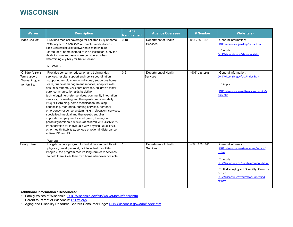## **WISCONSIN**

| <b>Waiver</b>                                                            | <b>Description</b>                                                                                                                                                                                                                                                                                                                                                                                                                                                                                                                                                                                                                                                                                                                                                                                                                                                                                                                                    | Age<br>Requirement | <b>Agency Oversees</b>                  | # Number         | <b>Website(s)</b>                                                                                                                                                                                                                        |
|--------------------------------------------------------------------------|-------------------------------------------------------------------------------------------------------------------------------------------------------------------------------------------------------------------------------------------------------------------------------------------------------------------------------------------------------------------------------------------------------------------------------------------------------------------------------------------------------------------------------------------------------------------------------------------------------------------------------------------------------------------------------------------------------------------------------------------------------------------------------------------------------------------------------------------------------------------------------------------------------------------------------------------------------|--------------------|-----------------------------------------|------------------|------------------------------------------------------------------------------------------------------------------------------------------------------------------------------------------------------------------------------------------|
| <b>Katie Beckett</b>                                                     | Provides medical coverage for children living at home<br>with long term disabilities or complex medical needs.<br>Katie Beckett eligibility allows these children to be<br>cared for at home instead of in an institution. Only the<br>child's income and assets are considered when<br>determining eligibility for Katie Beckett.<br>No Wait List                                                                                                                                                                                                                                                                                                                                                                                                                                                                                                                                                                                                    | $0 - 18$           | Department of Health<br>Services        | 888-786-3246     | General Information:<br>DHS.Wisconsin.gov/kbp/index.htm<br>To Apply:<br>DHS. Wisconsin. gov/kbp/apply.htm                                                                                                                                |
| Children's Long<br>Term Support<br><b>Waiver Program</b><br>for Families | Provides consumer education and training, day<br>services, respite, support and service coordination,<br>supported employment – individual, supportive home<br>care, financial management services, adaptive aids,<br>adult family home, child care services, children's foster<br>care, communication aids/assistive<br>technology/interpreter services, community integration<br>services, counseling and therapeutic services, daily<br>living skills training, home modification, housing<br>counseling, mentoring, nursing services, personal<br>emergency response system (PERS), relocation services,<br>specialized medical and therapeutic supplies,<br>supported employment - small group, training for<br>parents/guardians & families of children with disabilities,<br>transportation for individuals with physical disabilities,<br>other health disabilities, serious emotional disturbance,<br>autism, DD, and ID<br><b>Wait List</b> | $0 - 21$           | Department of Health<br>Services        | $(608)$ 266-1865 | General Information:<br>DHS.Wisconsin.gov/clts/index.htm<br>To Apply:<br>DHS.Wisconsin.gov/clts/waiver/family/a<br>pply.htm                                                                                                              |
| <b>Family Care</b>                                                       | Long-term care program for frail elders and adults with<br>physical, developmental, or intellectual disabilities.<br>People in the program receive long-term care services<br>to help them live in their own home whenever possible                                                                                                                                                                                                                                                                                                                                                                                                                                                                                                                                                                                                                                                                                                                   | $18+$              | Department of Health<br><b>Services</b> | $(608)$ 266-1865 | General Information:<br>DHS.Wisconsin.gov/familycare/whatisf<br>$.$ htm<br>To Apply:<br>DHS.Wisconsin.gov/familycare/apply.ht m<br>To find an Aging and Disability Resource<br>Center:<br>DHS. Wisconsin.gov/adrc/consumer/ind<br>ex.htm |

## **Additional Information / Resources:**

- Family Voices of Wisconsin: **[DHS.Wisconsin.gov/clts/waiver/family/apply.htm](https://www.dhs.wisconsin.gov/clts/waiver/family/apply.htm)**
- Parent to Parent of Wisconsin: **[P2Pwi.org/](https://p2pwi.org/)**
- Aging and Disability Resource Centers Consumer Page: **[DHS.Wisconsin.gov/adrc/index.htm](https://www.dhs.wisconsin.gov/adrc/index.htm)**